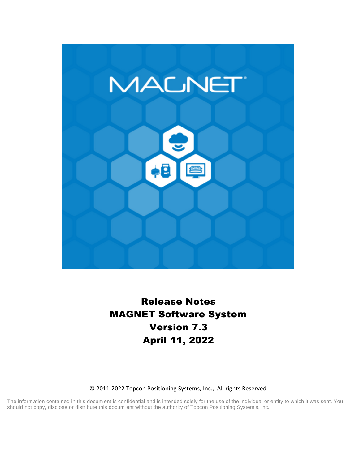

# **Release Notes MAGNET Software System Version 7.3 April 11, 2022**

#### © 2011-2022 Topcon Positioning Systems, Inc., All rights Reserved

The information contained in this docum ent is confidential and is intended solely for the use of the individual or entity to which it was sent. You should not copy, disclose or distribute this docum ent without the authority of Topcon Positioning System s, Inc.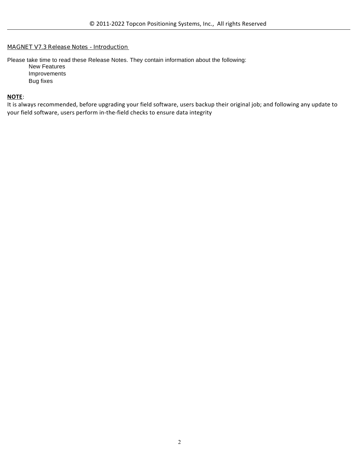#### **MAGNET V7.3 Release Notes - Introduction**

Please take time to read these Release Notes. They contain information about the following: New Features Improvements Bug fixes

#### **NOTE**:

It is always recommended, before upgrading your field software, users backup their original job; and following any update to your field software, users perform in-the-field checks to ensure data integrity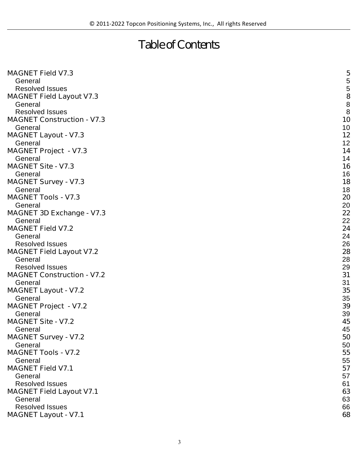# **Table of Contents**

| <b>MAGNET Field V7.3</b>          | 5                                     |
|-----------------------------------|---------------------------------------|
| General                           |                                       |
| <b>Resolved Issues</b>            | $\frac{5}{5}$                         |
| <b>MAGNET Field Layout V7.3</b>   |                                       |
| General                           | $\begin{array}{c} 8 \\ 8 \end{array}$ |
| <b>Resolved Issues</b>            |                                       |
| <b>MAGNET Construction - V7.3</b> | 10                                    |
| General                           | 10                                    |
| <b>MAGNET Layout - V7.3</b>       | 12                                    |
| General                           | 12                                    |
| <b>MAGNET Project - V7.3</b>      | 14                                    |
| General                           | 14                                    |
| <b>MAGNET Site - V7.3</b>         | 16                                    |
| General                           | 16                                    |
| <b>MAGNET Survey - V7.3</b>       | 18                                    |
| General                           | 18                                    |
| <b>MAGNET Tools - V7.3</b>        | 20                                    |
| General                           | 20                                    |
| <b>MAGNET 3D Exchange - V7.3</b>  | 22                                    |
| General                           | 22                                    |
| <b>MAGNET Field V7.2</b>          | 24                                    |
| General                           | 24                                    |
| <b>Resolved Issues</b>            | 26                                    |
| <b>MAGNET Field Layout V7.2</b>   | 28                                    |
| General                           | 28                                    |
| <b>Resolved Issues</b>            | 29                                    |
| <b>MAGNET Construction - V7.2</b> | 31                                    |
| General                           | 31                                    |
| <b>MAGNET Layout - V7.2</b>       | 35                                    |
| General                           | 35                                    |
| <b>MAGNET Project - V7.2</b>      | 39                                    |
| General                           | 39                                    |
| <b>MAGNET Site - V7.2</b>         | 45                                    |
| General                           | 45                                    |
| <b>MAGNET Survey - V7.2</b>       | 50                                    |
| General                           | 50                                    |
| <b>MAGNET Tools - V7.2</b>        | 55                                    |
| General                           | 55                                    |
| <b>MAGNET Field V7.1</b>          | 57                                    |
| General                           | 57                                    |
| <b>Resolved Issues</b>            | 61                                    |
| <b>MAGNET Field Layout V7.1</b>   | 63                                    |
| General                           | 63                                    |
| <b>Resolved Issues</b>            | 66                                    |
|                                   | 68                                    |
| <b>MAGNET Layout - V7.1</b>       |                                       |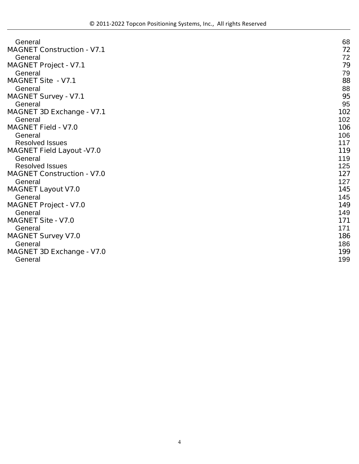| General                           | 68  |
|-----------------------------------|-----|
| <b>MAGNET Construction - V7.1</b> | 72  |
| General                           | 72  |
| <b>MAGNET Project - V7.1</b>      | 79  |
| General                           | 79  |
| <b>MAGNET Site - V7.1</b>         | 88  |
| General                           | 88  |
| <b>MAGNET Survey - V7.1</b>       | 95  |
| General                           | 95  |
| <b>MAGNET 3D Exchange - V7.1</b>  | 102 |
| General                           | 102 |
| <b>MAGNET Field - V7.0</b>        | 106 |
| General                           | 106 |
| <b>Resolved Issues</b>            | 117 |
| <b>MAGNET Field Layout -V7.0</b>  | 119 |
| General                           | 119 |
| <b>Resolved Issues</b>            | 125 |
| <b>MAGNET Construction - V7.0</b> | 127 |
| General                           | 127 |
| <b>MAGNET Layout V7.0</b>         | 145 |
| General                           | 145 |
| <b>MAGNET Project - V7.0</b>      | 149 |
| General                           | 149 |
| <b>MAGNET Site - V7.0</b>         | 171 |
| General                           | 171 |
| <b>MAGNET Survey V7.0</b>         | 186 |
| General                           | 186 |
| <b>MAGNET 3D Exchange - V7.0</b>  | 199 |
| General                           | 199 |
|                                   |     |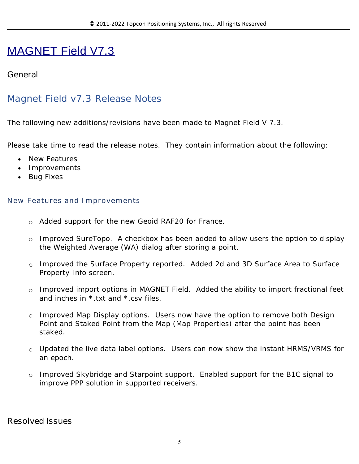# MAGNET Field V7.3

### **General**

## Magnet Field v7.3 Release Notes

The following new additions/revisions have been made to Magnet Field V 7.3.

Please take time to read the release notes. They contain information about the following:

- New Features
- Improvements
- Bug Fixes

#### **New Features and Improvements**

- o Added support for the new Geoid RAF20 for France.
- o Improved SureTopo. A checkbox has been added to allow users the option to display the Weighted Average (WA) dialog after storing a point.
- o Improved the Surface Property reported. Added 2d and 3D Surface Area to Surface Property Info screen.
- o Improved import options in MAGNET Field. Added the ability to import fractional feet and inches in \*.txt and \*.csv files.
- o Improved Map Display options. Users now have the option to remove both Design Point and Staked Point from the Map (Map Properties) after the point has been staked.
- o Updated the live data label options. Users can now show the instant HRMS/VRMS for an epoch.
- o Improved Skybridge and Starpoint support. Enabled support for the B1C signal to improve PPP solution in supported receivers.

#### **Resolved Issues**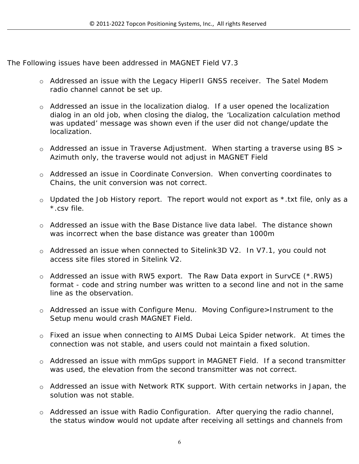The Following issues have been addressed in MAGNET Field V7.3

- o Addressed an issue with the Legacy HiperII GNSS receiver. The Satel Modem radio channel cannot be set up.
- o Addressed an issue in the localization dialog. If a user opened the localization dialog in an old job, when closing the dialog, the 'Localization calculation method was updated' message was shown even if the user did not change/update the localization.
- o Addressed an issue in Traverse Adjustment. When starting a traverse using BS > Azimuth only, the traverse would not adjust in MAGNET Field
- o Addressed an issue in Coordinate Conversion. When converting coordinates to Chains, the unit conversion was not correct.
- $\circ$  Updated the Job History report. The report would not export as  $*$  txt file, only as a \*.csv file.
- o Addressed an issue with the Base Distance live data label. The distance shown was incorrect when the base distance was greater than 1000m
- o Addressed an issue when connected to Sitelink3D V2. In V7.1, you could not access site files stored in Sitelink V2.
- o Addressed an issue with RW5 export. The Raw Data export in SurvCE (\*.RW5) format - code and string number was written to a second line and not in the same line as the observation.
- o Addressed an issue with Configure Menu. Moving Configure>Instrument to the Setup menu would crash MAGNET Field.
- o Fixed an issue when connecting to AIMS Dubai Leica Spider network. At times the connection was not stable, and users could not maintain a fixed solution.
- o Addressed an issue with mmGps support in MAGNET Field. If a second transmitter was used, the elevation from the second transmitter was not correct.
- o Addressed an issue with Network RTK support. With certain networks in Japan, the solution was not stable.
- o Addressed an issue with Radio Configuration. After querying the radio channel, the status window would not update after receiving all settings and channels from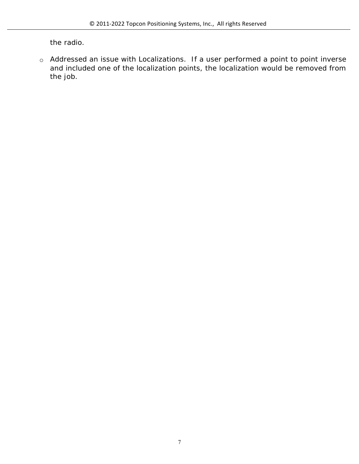the radio.

o Addressed an issue with Localizations. If a user performed a point to point inverse and included one of the localization points, the localization would be removed from the job.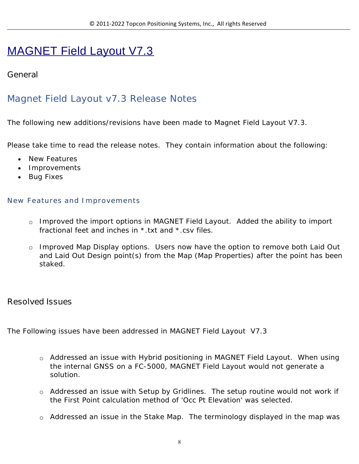# MAGNET Field Layout V7.3

## **General**

## Magnet Field Layout v7.3 Release Notes

The following new additions/revisions have been made to Magnet Field Layout V7.3.

Please take time to read the release notes. They contain information about the following:

- New Features
- Improvements
- Bug Fixes

#### **New Features and Improvements**

- o Improved the import options in MAGNET Field Layout. Added the ability to import fractional feet and inches in \*.txt and \*.csv files.
- o Improved Map Display options. Users now have the option to remove both Laid Out and Laid Out Design point(s) from the Map (Map Properties) after the point has been staked.

#### **Resolved Issues**

The Following issues have been addressed in MAGNET Field Layout V7.3

- o Addressed an issue with Hybrid positioning in MAGNET Field Layout. When using the internal GNSS on a FC-5000, MAGNET Field Layout would not generate a solution.
- o Addressed an issue with Setup by Gridlines. The setup routine would not work if the First Point calculation method of 'Occ Pt Elevation' was selected.
- o Addressed an issue in the Stake Map. The terminology displayed in the map was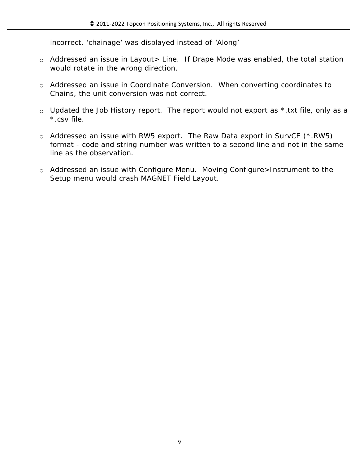incorrect, 'chainage' was displayed instead of 'Along'

- o Addressed an issue in Layout> Line. If Drape Mode was enabled, the total station would rotate in the wrong direction.
- o Addressed an issue in Coordinate Conversion. When converting coordinates to Chains, the unit conversion was not correct.
- $\circ$  Updated the Job History report. The report would not export as  $*$  txt file, only as a \*.csv file.
- o Addressed an issue with RW5 export. The Raw Data export in SurvCE (\*.RW5) format - code and string number was written to a second line and not in the same line as the observation.
- o Addressed an issue with Configure Menu. Moving Configure>Instrument to the Setup menu would crash MAGNET Field Layout.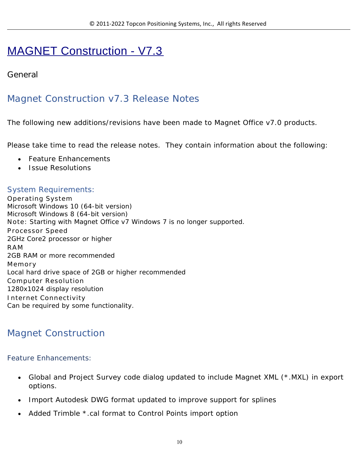# MAGNET Construction - V7.3

## **General**

# Magnet Construction v7.3 Release Notes

The following new additions/revisions have been made to Magnet Office v7.0 products.

Please take time to read the release notes. They contain information about the following:

- Feature Enhancements
- Issue Resolutions

## System Requirements:

**Operating System** Microsoft Windows 10 (64-bit version) Microsoft Windows 8 (64-bit version) **Note:** Starting with Magnet Office v7 Windows 7 is no longer supported. **Processor Speed** 2GHz Core2 processor or higher **RAM** 2GB RAM or more recommended **Memory** Local hard drive space of 2GB or higher recommended **Computer Resolution** 1280x1024 display resolution **Internet Connectivity** Can be required by some functionality.

# Magnet Construction

#### Feature Enhancements:

- Global and Project Survey code dialog updated to include Magnet XML (\*.MXL) in export options.
- Import Autodesk DWG format updated to improve support for splines
- Added Trimble \*.cal format to Control Points import option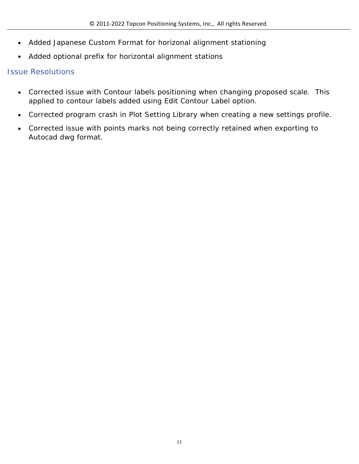- Added Japanese Custom Format for horizonal alignment stationing
- Added optional prefix for horizontal alignment stations

### Issue Resolutions

- Corrected issue with Contour labels positioning when changing proposed scale. This applied to contour labels added using Edit Contour Label option.
- Corrected program crash in Plot Setting Library when creating a new settings profile.
- Corrected issue with points marks not being correctly retained when exporting to Autocad dwg format.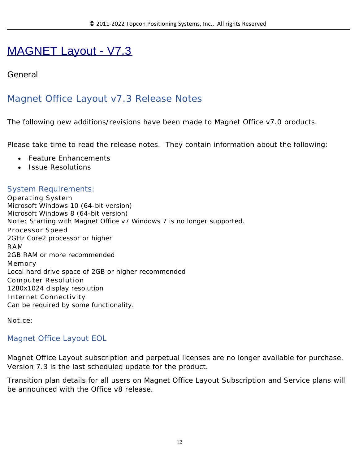# MAGNET Layout - V7.3

## **General**

# Magnet Office Layout v7.3 Release Notes

The following new additions/revisions have been made to Magnet Office v7.0 products.

Please take time to read the release notes. They contain information about the following:

- Feature Enhancements
- **Issue Resolutions**

#### System Requirements:

**Operating System** Microsoft Windows 10 (64-bit version) Microsoft Windows 8 (64-bit version) **Note:** Starting with Magnet Office v7 Windows 7 is no longer supported. **Processor Speed** 2GHz Core2 processor or higher **RAM** 2GB RAM or more recommended **Memory** Local hard drive space of 2GB or higher recommended **Computer Resolution** 1280x1024 display resolution **Internet Connectivity** Can be required by some functionality.

**Notice:**

#### Magnet Office Layout EOL

Magnet Office Layout subscription and perpetual licenses are no longer available for purchase. Version 7.3 is the last scheduled update for the product.

Transition plan details for all users on Magnet Office Layout Subscription and Service plans will be announced with the Office v8 release.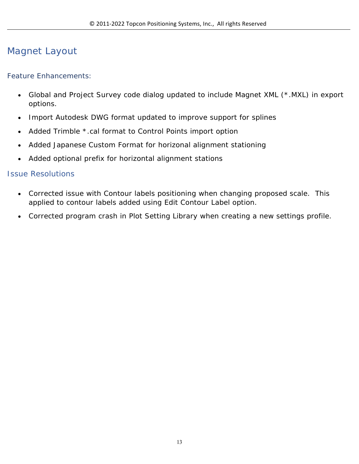# Magnet Layout

#### Feature Enhancements:

- Global and Project Survey code dialog updated to include Magnet XML (\*.MXL) in export options.
- Import Autodesk DWG format updated to improve support for splines
- Added Trimble \*.cal format to Control Points import option
- Added Japanese Custom Format for horizonal alignment stationing
- Added optional prefix for horizontal alignment stations

#### Issue Resolutions

- Corrected issue with Contour labels positioning when changing proposed scale. This applied to contour labels added using Edit Contour Label option.
- Corrected program crash in Plot Setting Library when creating a new settings profile.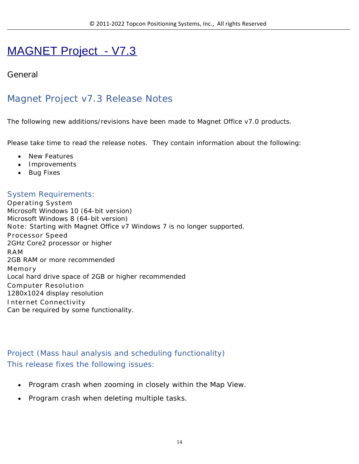# MAGNET Project - V7.3

### **General**

# Magnet Project v7.3 Release Notes

The following new additions/revisions have been made to Magnet Office v7.0 products.

Please take time to read the release notes. They contain information about the following:

- New Features
- Improvements
- Bug Fixes

## System Requirements:

**Operating System** Microsoft Windows 10 (64-bit version) Microsoft Windows 8 (64-bit version) **Note:** Starting with Magnet Office v7 Windows 7 is no longer supported. **Processor Speed** 2GHz Core2 processor or higher **RAM** 2GB RAM or more recommended **Memory** Local hard drive space of 2GB or higher recommended **Computer Resolution** 1280x1024 display resolution **Internet Connectivity** Can be required by some functionality.

Project (Mass haul analysis and scheduling functionality) This release fixes the following issues:

- Program crash when zooming in closely within the Map View.
- Program crash when deleting multiple tasks.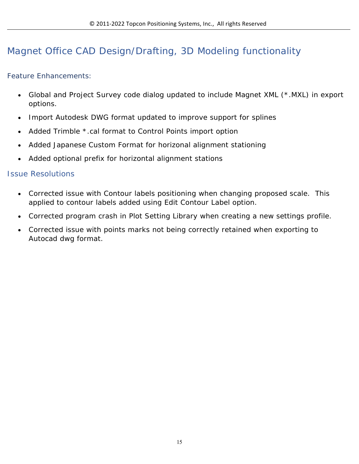# Magnet Office CAD Design/Drafting, 3D Modeling functionality

Feature Enhancements:

- Global and Project Survey code dialog updated to include Magnet XML (\*.MXL) in export options.
- Import Autodesk DWG format updated to improve support for splines
- Added Trimble \*.cal format to Control Points import option
- Added Japanese Custom Format for horizonal alignment stationing
- Added optional prefix for horizontal alignment stations

#### Issue Resolutions

- Corrected issue with Contour labels positioning when changing proposed scale. This applied to contour labels added using Edit Contour Label option.
- Corrected program crash in Plot Setting Library when creating a new settings profile.
- Corrected issue with points marks not being correctly retained when exporting to Autocad dwg format.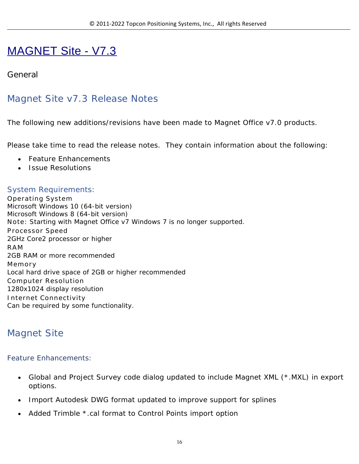# MAGNET Site - V7.3

## **General**

## Magnet Site v7.3 Release Notes

The following new additions/revisions have been made to Magnet Office v7.0 products.

Please take time to read the release notes. They contain information about the following:

- Feature Enhancements
- Issue Resolutions

### System Requirements:

**Operating System** Microsoft Windows 10 (64-bit version) Microsoft Windows 8 (64-bit version) **Note:** Starting with Magnet Office v7 Windows 7 is no longer supported. **Processor Speed** 2GHz Core2 processor or higher **RAM** 2GB RAM or more recommended **Memory** Local hard drive space of 2GB or higher recommended **Computer Resolution** 1280x1024 display resolution **Internet Connectivity** Can be required by some functionality.

## Magnet Site

#### Feature Enhancements:

- Global and Project Survey code dialog updated to include Magnet XML (\*.MXL) in export options.
- Import Autodesk DWG format updated to improve support for splines
- Added Trimble \*.cal format to Control Points import option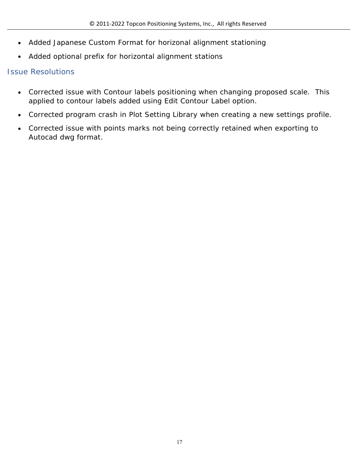- Added Japanese Custom Format for horizonal alignment stationing
- Added optional prefix for horizontal alignment stations

### Issue Resolutions

- Corrected issue with Contour labels positioning when changing proposed scale. This applied to contour labels added using Edit Contour Label option.
- Corrected program crash in Plot Setting Library when creating a new settings profile.
- Corrected issue with points marks not being correctly retained when exporting to Autocad dwg format.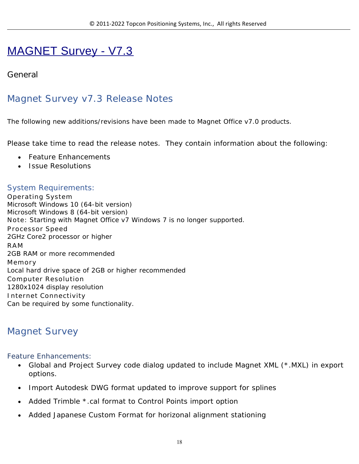# MAGNET Survey - V7.3

## **General**

## Magnet Survey v7.3 Release Notes

The following new additions/revisions have been made to Magnet Office v7.0 products.

Please take time to read the release notes. They contain information about the following:

- Feature Enhancements
- Issue Resolutions

#### System Requirements:

**Operating System** Microsoft Windows 10 (64-bit version) Microsoft Windows 8 (64-bit version) **Note:** Starting with Magnet Office v7 Windows 7 is no longer supported. **Processor Speed** 2GHz Core2 processor or higher **RAM** 2GB RAM or more recommended **Memory** Local hard drive space of 2GB or higher recommended **Computer Resolution** 1280x1024 display resolution **Internet Connectivity** Can be required by some functionality.

## Magnet Survey

Feature Enhancements:

- Global and Project Survey code dialog updated to include Magnet XML (\*.MXL) in export options.
- Import Autodesk DWG format updated to improve support for splines
- Added Trimble \*.cal format to Control Points import option
- Added Japanese Custom Format for horizonal alignment stationing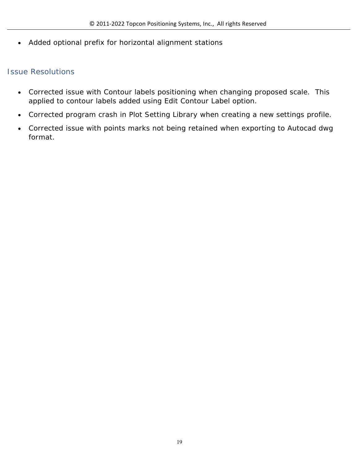Added optional prefix for horizontal alignment stations

#### Issue Resolutions

- Corrected issue with Contour labels positioning when changing proposed scale. This applied to contour labels added using Edit Contour Label option.
- Corrected program crash in Plot Setting Library when creating a new settings profile.
- Corrected issue with points marks not being retained when exporting to Autocad dwg format.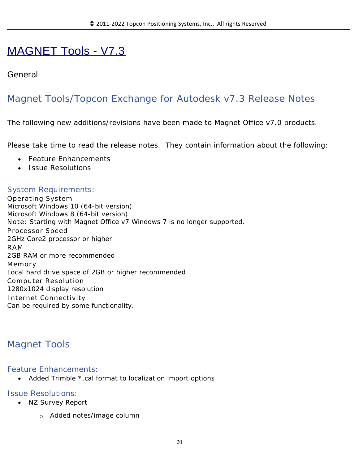# MAGNET Tools - V7.3

### **General**

# Magnet Tools/Topcon Exchange for Autodesk v7.3 Release Notes

The following new additions/revisions have been made to Magnet Office v7.0 products.

Please take time to read the release notes. They contain information about the following:

- Feature Enhancements
- Issue Resolutions

### System Requirements:

**Operating System** Microsoft Windows 10 (64-bit version) Microsoft Windows 8 (64-bit version) **Note:** Starting with Magnet Office v7 Windows 7 is no longer supported. **Processor Speed** 2GHz Core2 processor or higher **RAM** 2GB RAM or more recommended **Memory** Local hard drive space of 2GB or higher recommended **Computer Resolution** 1280x1024 display resolution **Internet Connectivity** Can be required by some functionality.

## Magnet Tools

#### Feature Enhancements:

• Added Trimble \*.cal format to localization import options

#### Issue Resolutions:

- NZ Survey Report
	- o Added notes/image column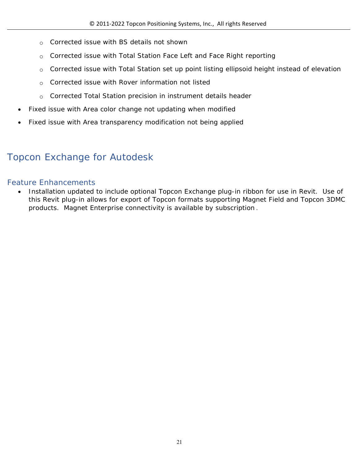- o Corrected issue with BS details not shown
- o Corrected issue with Total Station Face Left and Face Right reporting
- o Corrected issue with Total Station set up point listing ellipsoid height instead of elevation
- o Corrected issue with Rover information not listed
- o Corrected Total Station precision in instrument details header
- Fixed issue with Area color change not updating when modified
- Fixed issue with Area transparency modification not being applied

# Topcon Exchange for Autodesk

#### Feature Enhancements

• Installation updated to include optional Topcon Exchange plug-in ribbon for use in Revit. Use of this Revit plug-in allows for export of Topcon formats supporting Magnet Field and Topcon 3DMC products. Magnet Enterprise connectivity is available by subscription .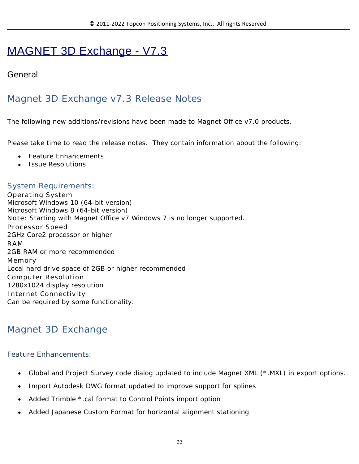# MAGNET 3D Exchange - V7.3

## **General**

# Magnet 3D Exchange v7.3 Release Notes

The following new additions/revisions have been made to Magnet Office v7.0 products.

Please take time to read the release notes. They contain information about the following:

- Feature Enhancements
- **Issue Resolutions**

#### System Requirements:

**Operating System** Microsoft Windows 10 (64-bit version) Microsoft Windows 8 (64-bit version) **Note:** Starting with Magnet Office v7 Windows 7 is no longer supported. **Processor Speed** 2GHz Core2 processor or higher **RAM** 2GB RAM or more recommended **Memory** Local hard drive space of 2GB or higher recommended **Computer Resolution** 1280x1024 display resolution **Internet Connectivity** Can be required by some functionality.

## Magnet 3D Exchange

#### Feature Enhancements:

- Global and Project Survey code dialog updated to include Magnet XML (\*.MXL) in export options.
- Import Autodesk DWG format updated to improve support for splines
- Added Trimble \*.cal format to Control Points import option
- Added Japanese Custom Format for horizontal alignment stationing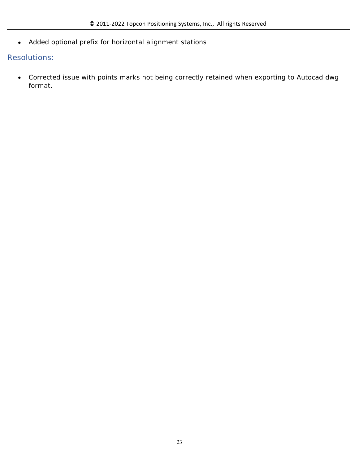Added optional prefix for horizontal alignment stations

#### Resolutions:

 Corrected issue with points marks not being correctly retained when exporting to Autocad dwg format.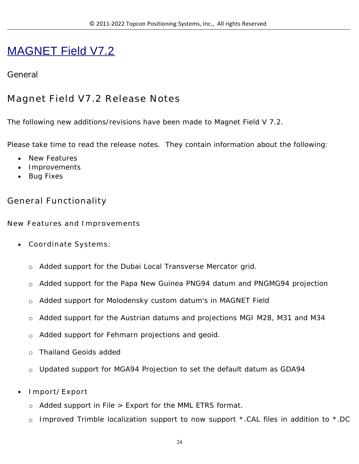# MAGNET Field V7.2

### **General**

## **Magnet Field V7.2 Release Notes**

The following new additions/revisions have been made to Magnet Field V 7.2.

Please take time to read the release notes. They contain information about the following:

- New Features
- Improvements
- Bug Fixes

## **General Functionality**

**New Features and Improvements**

- **Coordinate Systems:** 
	- o Added support for the Dubai Local Transverse Mercator grid.
	- o Added support for the Papa New Guinea PNG94 datum and PNGMG94 projection
	- o Added support for Molodensky custom datum's in MAGNET Field
	- o Added support for the Austrian datums and projections MGI M28, M31 and M34
	- o Added support for Fehmarn projections and geoid.
	- o Thailand Geoids added
	- o Updated support for MGA94 Projection to set the default datum as GDA94
- **Import/Export**
	- o Added support in File > Export for the MML ETRS format.
	- o Improved Trimble localization support to now support \*.CAL files in addition to \*.DC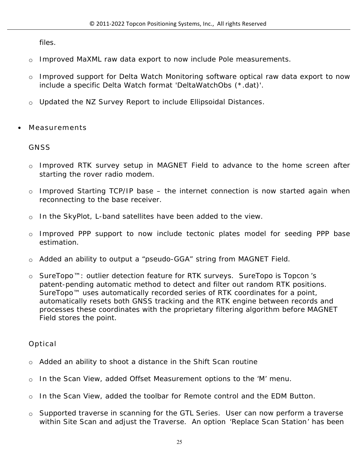files.

- o Improved MaXML raw data export to now include Pole measurements.
- o Improved support for Delta Watch Monitoring software optical raw data export to now include a specific Delta Watch format 'DeltaWatchObs (\*.dat)'.
- o Updated the NZ Survey Report to include Ellipsoidal Distances.
- **Measurements**

#### **GNSS**

- o Improved RTK survey setup in MAGNET Field to advance to the home screen after starting the rover radio modem.
- o Improved Starting TCP/IP base the internet connection is now started again when reconnecting to the base receiver.
- o In the SkyPlot, L-band satellites have been added to the view.
- o Improved PPP support to now include tectonic plates model for seeding PPP base estimation.
- o Added an ability to output a "pseudo-GGA" string from MAGNET Field.
- o SureTopo™: outlier detection feature for RTK surveys. SureTopo is Topcon 's patent-pending automatic method to detect and filter out random RTK positions. SureTopo<sup>™</sup> uses automatically recorded series of RTK coordinates for a point, automatically resets both GNSS tracking and the RTK engine between records and processes these coordinates with the proprietary filtering algorithm before MAGNET Field stores the point.

#### **Optical**

- o Added an ability to shoot a distance in the Shift Scan routine
- o In the Scan View, added Offset Measurement options to the 'M' menu.
- o In the Scan View, added the toolbar for Remote control and the EDM Button.
- o Supported traverse in scanning for the GTL Series. User can now perform a traverse within Site Scan and adjust the Traverse. An option 'Replace Scan Station' has been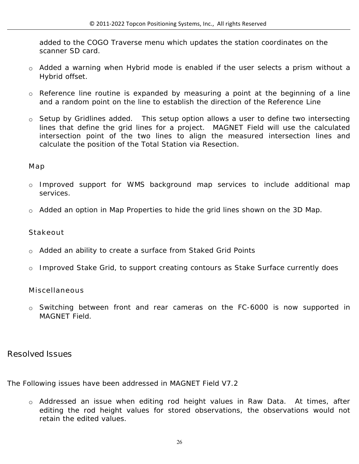added to the COGO Traverse menu which updates the station coordinates on the scanner SD card.

- o Added a warning when Hybrid mode is enabled if the user selects a prism without a Hybrid offset.
- o Reference line routine is expanded by measuring a point at the beginning of a line and a random point on the line to establish the direction of the Reference Line
- o Setup by Gridlines added. This setup option allows a user to define two intersecting lines that define the grid lines for a project. MAGNET Field will use the calculated intersection point of the two lines to align the measured intersection lines and calculate the position of the Total Station via Resection.

#### **Map**

- o Improved support for WMS background map services to include additional map services.
- o Added an option in Map Properties to hide the grid lines shown on the 3D Map.

#### **Stakeout**

- o Added an ability to create a surface from Staked Grid Points
- o Improved Stake Grid, to support creating contours as Stake Surface currently does

#### **Miscellaneous**

o Switching between front and rear cameras on the FC-6000 is now supported in MAGNET Field.

#### **Resolved Issues**

The Following issues have been addressed in MAGNET Field V7.2

o Addressed an issue when editing rod height values in Raw Data. At times, after editing the rod height values for stored observations, the observations would not retain the edited values.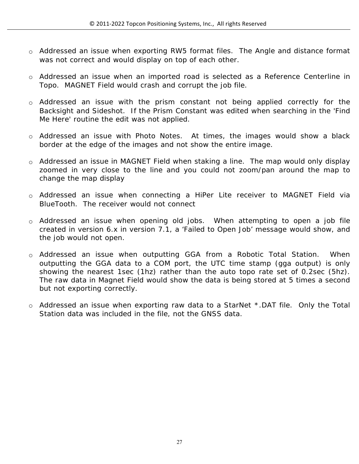- o Addressed an issue when exporting RW5 format files. The Angle and distance format was not correct and would display on top of each other.
- o Addressed an issue when an imported road is selected as a Reference Centerline in Topo. MAGNET Field would crash and corrupt the job file.
- o Addressed an issue with the prism constant not being applied correctly for the Backsight and Sideshot. If the Prism Constant was edited when searching in the 'Find Me Here' routine the edit was not applied.
- o Addressed an issue with Photo Notes. At times, the images would show a black border at the edge of the images and not show the entire image.
- o Addressed an issue in MAGNET Field when staking a line. The map would only display zoomed in very close to the line and you could not zoom/pan around the map to change the map display
- o Addressed an issue when connecting a HiPer Lite receiver to MAGNET Field via BlueTooth. The receiver would not connect
- o Addressed an issue when opening old jobs. When attempting to open a job file created in version 6.x in version 7.1, a 'Failed to Open Job' message would show, and the job would not open.
- o Addressed an issue when outputting GGA from a Robotic Total Station. When outputting the GGA data to a COM port, the UTC time stamp (gga output) is only showing the nearest 1sec (1hz) rather than the auto topo rate set of 0.2sec (5hz). The raw data in Magnet Field would show the data is being stored at 5 times a second but not exporting correctly.
- o Addressed an issue when exporting raw data to a StarNet \*.DAT file. Only the Total Station data was included in the file, not the GNSS data.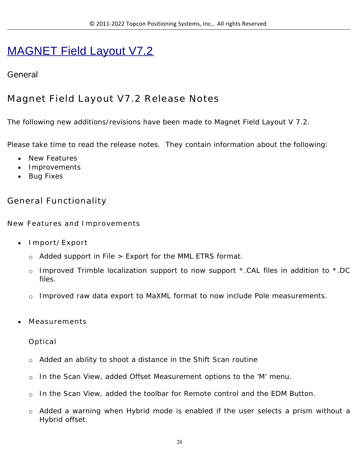# MAGNET Field Layout V7.2

## **General**

# **Magnet Field Layout V7.2 Release Notes**

The following new additions/revisions have been made to Magnet Field Layout V 7.2.

Please take time to read the release notes. They contain information about the following:

- New Features
- Improvements
- Bug Fixes

## **General Functionality**

**New Features and Improvements**

- **Import/Export**
	- $\circ$  Added support in File  $>$  Export for the MML ETRS format.
	- o Improved Trimble localization support to now support \*.CAL files in addition to \*.DC files.
	- o Improved raw data export to MaXML format to now include Pole measurements.
- **Measurements**

**Optical**

- o Added an ability to shoot a distance in the Shift Scan routine
- o In the Scan View, added Offset Measurement options to the 'M' menu.
- o In the Scan View, added the toolbar for Remote control and the EDM Button.
- o Added a warning when Hybrid mode is enabled if the user selects a prism without a Hybrid offset.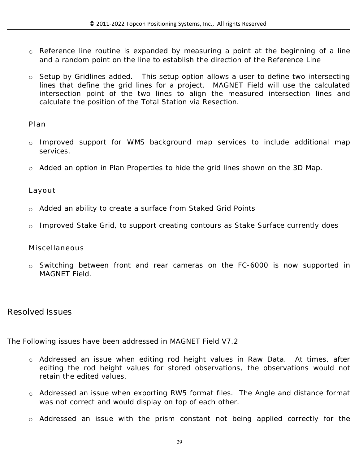- o Reference line routine is expanded by measuring a point at the beginning of a line and a random point on the line to establish the direction of the Reference Line
- o Setup by Gridlines added. This setup option allows a user to define two intersecting lines that define the grid lines for a project. MAGNET Field will use the calculated intersection point of the two lines to align the measured intersection lines and calculate the position of the Total Station via Resection.

#### **Plan**

- o Improved support for WMS background map services to include additional map services.
- o Added an option in Plan Properties to hide the grid lines shown on the 3D Map.

#### **Layout**

- o Added an ability to create a surface from Staked Grid Points
- o Improved Stake Grid, to support creating contours as Stake Surface currently does

#### **Miscellaneous**

o Switching between front and rear cameras on the FC-6000 is now supported in MAGNET Field.

### **Resolved Issues**

The Following issues have been addressed in MAGNET Field V7.2

- o Addressed an issue when editing rod height values in Raw Data. At times, after editing the rod height values for stored observations, the observations would not retain the edited values.
- o Addressed an issue when exporting RW5 format files. The Angle and distance format was not correct and would display on top of each other.
- o Addressed an issue with the prism constant not being applied correctly for the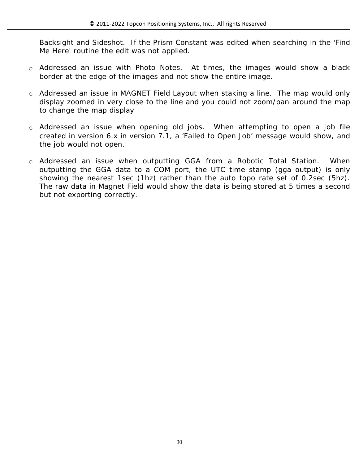Backsight and Sideshot. If the Prism Constant was edited when searching in the 'Find Me Here' routine the edit was not applied.

- o Addressed an issue with Photo Notes. At times, the images would show a black border at the edge of the images and not show the entire image.
- o Addressed an issue in MAGNET Field Layout when staking a line. The map would only display zoomed in very close to the line and you could not zoom/pan around the map to change the map display
- o Addressed an issue when opening old jobs. When attempting to open a job file created in version 6.x in version 7.1, a 'Failed to Open Job' message would show, and the job would not open.
- o Addressed an issue when outputting GGA from a Robotic Total Station. When outputting the GGA data to a COM port, the UTC time stamp (gga output) is only showing the nearest 1sec (1hz) rather than the auto topo rate set of 0.2sec (5hz). The raw data in Magnet Field would show the data is being stored at 5 times a second but not exporting correctly.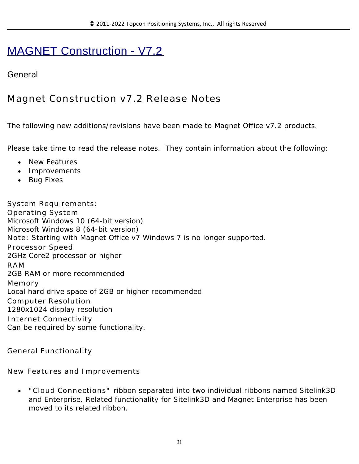# MAGNET Construction - V7.2

## **General**

# **Magnet Construction v7.2 Release Notes**

The following new additions/revisions have been made to Magnet Office v7.2 products.

Please take time to read the release notes. They contain information about the following:

- New Features
- Improvements
- Bug Fixes

**System Requirements: Operating System** Microsoft Windows 10 (64-bit version) Microsoft Windows 8 (64-bit version) **Note:** Starting with Magnet Office v7 Windows 7 is no longer supported. **Processor Speed** 2GHz Core2 processor or higher **RAM** 2GB RAM or more recommended **Memory** Local hard drive space of 2GB or higher recommended **Computer Resolution** 1280x1024 display resolution **Internet Connectivity** Can be required by some functionality.

**General Functionality**

**New Features and Improvements**

 **"Cloud Connections"** ribbon separated into two individual ribbons named Sitelink3D and Enterprise. Related functionality for Sitelink3D and Magnet Enterprise has been moved to its related ribbon.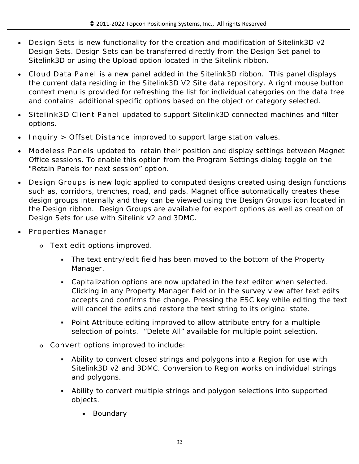- **Design Sets** is new functionality for the creation and modification of Sitelink3D v2 Design Sets. Design Sets can be transferred directly from the Design Set panel to Sitelink3D or using the Upload option located in the Sitelink ribbon.
- **Cloud Data Panel** is a new panel added in the Sitelink3D ribbon. This panel displays the current data residing in the Sitelink3D V2 Site data repository. A right mouse button context menu is provided for refreshing the list for individual categories on the data tree and contains additional specific options based on the object or category selected.
- **Sitelink3D Client Panel** updated to support Sitelink3D connected machines and filter options.
- **Inquiry > Offset Distance** improved to support large station values.
- **Modeless Panels** updated to retain their position and display settings between Magnet Office sessions. To enable this option from the Program Settings dialog toggle on the "Retain Panels for next session" option.
- **Design Groups** is new logic applied to computed designs created using design functions such as, corridors, trenches, road, and pads. Magnet office automatically creates these design groups internally and they can be viewed using the Design Groups icon located in the Design ribbon. Design Groups are available for export options as well as creation of Design Sets for use with Sitelink v2 and 3DMC.
- **Properties Manager** 
	- **o Text edit** options improved.
		- The text entry/edit field has been moved to the bottom of the Property Manager.
		- Capitalization options are now updated in the text editor when selected. Clicking in any Property Manager field or in the survey view after text edits accepts and confirms the change. Pressing the ESC key while editing the text will cancel the edits and restore the text string to its original state.
		- Point Attribute editing improved to allow attribute entry for a multiple selection of points. "Delete All" available for multiple point selection.
	- **o Convert** options improved to include:
		- Ability to convert closed strings and polygons into a Region for use with Sitelink3D v2 and 3DMC. Conversion to Region works on individual strings and polygons.
		- Ability to convert multiple strings and polygon selections into supported objects.
			- Boundary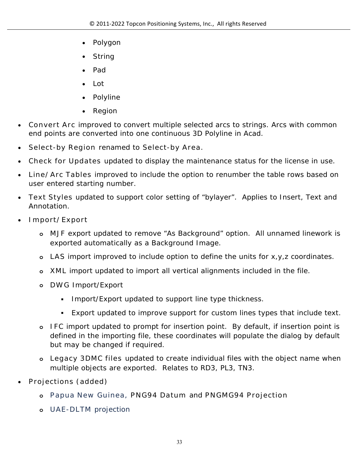- Polygon
- String
- Pad
- Lot
- Polyline
- Region
- **Convert Arc** improved to convert multiple selected arcs to strings. Arcs with common end points are converted into one continuous 3D Polyline in Acad.
- **Select-by Region** renamed to **Select-by Area.**
- **Check for Updates** updated to display the maintenance status for the license in use.
- **Line/Arc Tables** improved to include the option to renumber the table rows based on user entered starting number.
- **Text Styles** updated to support color setting of "bylayer". Applies to Insert, Text and Annotation.
- **Import/Export** 
	- **o MJF** export updated to remove "As Background" option. All unnamed linework is exported automatically as a Background Image.
	- **o LAS** import improved to include option to define the units for x,y,z coordinates.
	- **o XML** import updated to import all vertical alignments included in the file.
	- **o DWG** Import/Export
		- **Import/Export updated to support line type thickness.**
		- Export updated to improve support for custom lines types that include text.
	- **o IFC** import updated to prompt for insertion point. By default, if insertion point is defined in the importing file, these coordinates will populate the dialog by default but may be changed if required.
	- **o Legacy 3DMC files** updated to create individual files with the object name when multiple objects are exported. Relates to RD3, PL3, TN3.
- **Projections (added)** 
	- **o Papua New Guinea, PNG94 Datum** and **PNGMG94 Projection**
	- **o UAE-DLTM** projection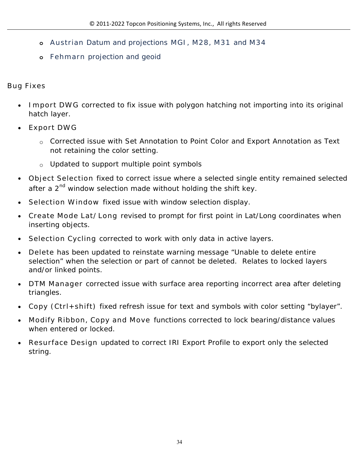- **o Austrian** Datum and projections **MGI, M28, M31** and **M34**
- **o Fehmarn** projection and geoid

**Bug Fixes**

- **Import DWG** corrected to fix issue with polygon hatching not importing into its original hatch layer.
- **Export DWG** 
	- o Corrected issue with Set Annotation to Point Color and Export Annotation as Text not retaining the color setting.
	- o Updated to support multiple point symbols
- **Object Selection** fixed to correct issue where a selected single entity remained selected after a 2<sup>nd</sup> window selection made without holding the shift key.
- **Selection Window** fixed issue with window selection display.
- **Create Mode Lat/Long** revised to prompt for first point in Lat/Long coordinates when inserting objects.
- **Selection Cycling** corrected to work with only data in active layers.
- **Delete** has been updated to reinstate warning message "Unable to delete entire selection" when the selection or part of cannot be deleted. Relates to locked layers and/or linked points.
- **DTM Manager** corrected issue with surface area reporting incorrect area after deleting triangles.
- **Copy (Ctrl+shift)** fixed refresh issue for text and symbols with color setting "bylayer".
- **Modify Ribbon, Copy and Move** functions corrected to lock bearing/distance values when entered or locked.
- **Resurface Design** updated to correct IRI Export Profile to export only the selected string.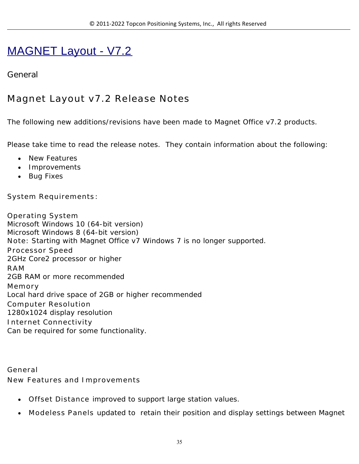# MAGNET Layout - V7.2

## **General**

# **Magnet Layout v7.2 Release Notes**

The following new additions/revisions have been made to Magnet Office v7.2 products.

Please take time to read the release notes. They contain information about the following:

- New Features
- Improvements
- Bug Fixes

**System Requirements**:

**Operating System** Microsoft Windows 10 (64-bit version) Microsoft Windows 8 (64-bit version) **Note:** Starting with Magnet Office v7 Windows 7 is no longer supported. **Processor Speed** 2GHz Core2 processor or higher **RAM** 2GB RAM or more recommended **Memory** Local hard drive space of 2GB or higher recommended **Computer Resolution** 1280x1024 display resolution **Internet Connectivity** Can be required for some functionality.

**General New Features and Improvements**

- **Offset Distance** improved to support large station values.
- **Modeless Panels** updated to retain their position and display settings between Magnet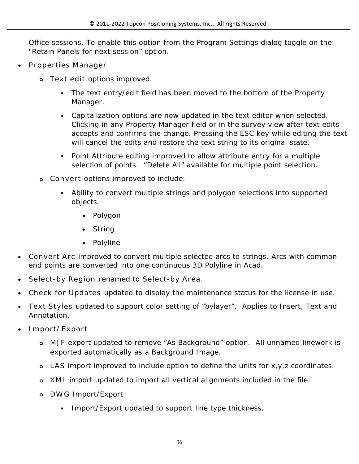Office sessions. To enable this option from the Program Settings dialog toggle on the "Retain Panels for next session" option.

- **Properties Manager** 
	- **o Text edit** options improved.
		- The text entry/edit field has been moved to the bottom of the Property Manager.
		- Capitalization options are now updated in the text editor when selected. Clicking in any Property Manager field or in the survey view after text edits accepts and confirms the change. Pressing the ESC key while editing the text will cancel the edits and restore the text string to its original state.
		- Point Attribute editing improved to allow attribute entry for a multiple selection of points. "Delete All" available for multiple point selection.
	- **o Convert** options improved to include:
		- Ability to convert multiple strings and polygon selections into supported objects.
			- Polygon
			- String
			- Polyline
- **Convert Arc** improved to convert multiple selected arcs to strings. Arcs with common end points are converted into one continuous 3D Polyline in Acad.
- **Select-by Region** renamed to **Select-by Area.**
- **Check for Updates** updated to display the maintenance status for the license in use.
- **Text Styles** updated to support color setting of "bylayer". Applies to Insert, Text and Annotation.
- **Import/Export**
	- **o MJF** export updated to remove "As Background" option. All unnamed linework is exported automatically as a Background Image.
	- **o LAS** import improved to include option to define the units for x,y,z coordinates.
	- **o XML** import updated to import all vertical alignments included in the file.
	- **o DWG** Import/Export
		- Import/Export updated to support line type thickness.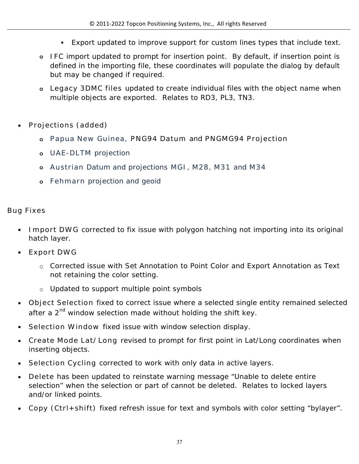- Export updated to improve support for custom lines types that include text.
- **o IFC** import updated to prompt for insertion point. By default, if insertion point is defined in the importing file, these coordinates will populate the dialog by default but may be changed if required.
- **o Legacy 3DMC files** updated to create individual files with the object name when multiple objects are exported. Relates to RD3, PL3, TN3.
- **Projections (added)**
	- **o Papua New Guinea, PNG94 Datum** and **PNGMG94 Projection**
	- **o UAE-DLTM** projection
	- **o Austrian** Datum and projections **MGI, M28, M31** and **M34**
	- **o Fehmarn** projection and geoid

#### **Bug Fixes**

- **Import DWG** corrected to fix issue with polygon hatching not importing into its original hatch layer.
- **Export DWG** 
	- o Corrected issue with Set Annotation to Point Color and Export Annotation as Text not retaining the color setting.
	- o Updated to support multiple point symbols
- **Object Selection** fixed to correct issue where a selected single entity remained selected after a 2<sup>nd</sup> window selection made without holding the shift key.
- **Selection Window** fixed issue with window selection display.
- **Create Mode Lat/Long** revised to prompt for first point in Lat/Long coordinates when inserting objects.
- **Selection Cycling** corrected to work with only data in active layers.
- **Delete** has been updated to reinstate warning message "Unable to delete entire selection" when the selection or part of cannot be deleted. Relates to locked layers and/or linked points.
- **Copy (Ctrl+shift)** fixed refresh issue for text and symbols with color setting "bylayer".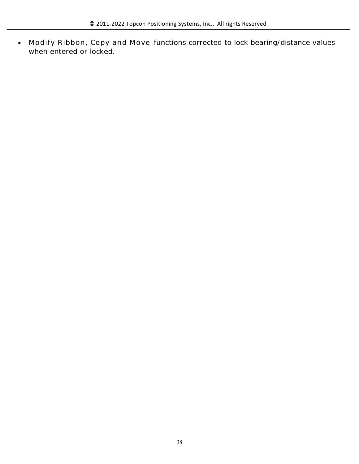**Modify Ribbon, Copy and Move** functions corrected to lock bearing/distance values when entered or locked.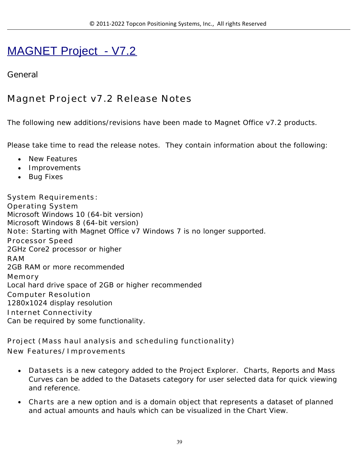# MAGNET Project - V7.2

## **General**

# **Magnet Project v7.2 Release Notes**

The following new additions/revisions have been made to Magnet Office v7.2 products.

Please take time to read the release notes. They contain information about the following:

- New Features
- Improvements
- Bug Fixes

**System Requirements**: **Operating System** Microsoft Windows 10 (64-bit version) Microsoft Windows 8 (64-bit version) **Note:** Starting with Magnet Office v7 Windows 7 is no longer supported. **Processor Speed** 2GHz Core2 processor or higher **RAM** 2GB RAM or more recommended **Memory** Local hard drive space of 2GB or higher recommended **Computer Resolution** 1280x1024 display resolution **Internet Connectivity** Can be required by some functionality.

**Project (Mass haul analysis and scheduling functionality) New Features/Improvements**

- **Datasets** is a new category added to the Project Explorer. Charts, Reports and Mass Curves can be added to the Datasets category for user selected data for quick viewing and reference.
- **Charts** are a new option and is a domain object that represents a dataset of planned and actual amounts and hauls which can be visualized in the Chart View.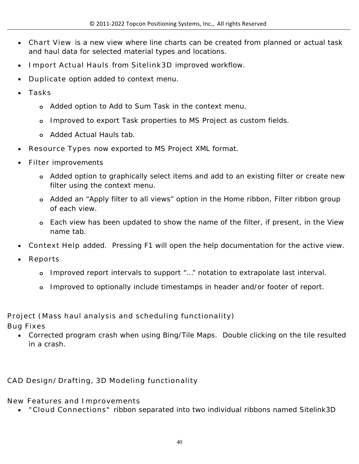- **Chart View** is a new view where line charts can be created from planned or actual task and haul data for selected material types and locations.
- **Import Actual Hauls** from **Sitelink3D** improved workflow.
- **Duplicate** option added to context menu.
- **Tasks**
	- **o** Added option to Add to Sum Task in the context menu.
	- **o** Improved to export Task properties to MS Project as custom fields.
	- **o** Added Actual Hauls tab.
- **Resource Types** now exported to MS Project XML format.
- **Filter** improvements
	- **o** Added option to graphically select items and add to an existing filter or create new filter using the context menu.
	- **o** Added an "Apply filter to all views" option in the Home ribbon, Filter ribbon group of each view.
	- **o** Each view has been updated to show the name of the filter, if present, in the View name tab.
- **Context Help** added. Pressing F1 will open the help documentation for the active view.
- **Reports**
	- **o** Improved report intervals to support "…" notation to extrapolate last interval.
	- **o** Improved to optionally include timestamps in header and/or footer of report.

**Project (Mass haul analysis and scheduling functionality)** 

**Bug Fixes**

 Corrected program crash when using Bing/Tile Maps. Double clicking on the tile resulted in a crash.

**CAD Design/Drafting, 3D Modeling functionality**

**New Features and Improvements**

**"Cloud Connections"** ribbon separated into two individual ribbons named Sitelink3D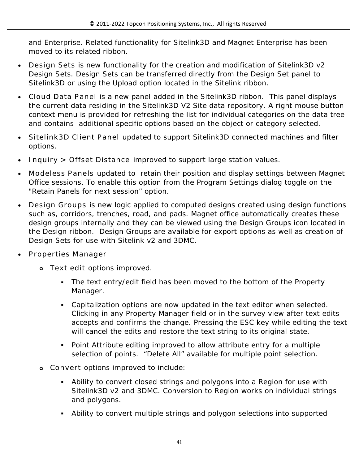and Enterprise. Related functionality for Sitelink3D and Magnet Enterprise has been moved to its related ribbon.

- **Design Sets** is new functionality for the creation and modification of Sitelink3D v2 Design Sets. Design Sets can be transferred directly from the Design Set panel to Sitelink3D or using the Upload option located in the Sitelink ribbon.
- **Cloud Data Panel** is a new panel added in the Sitelink3D ribbon. This panel displays the current data residing in the Sitelink3D V2 Site data repository. A right mouse button context menu is provided for refreshing the list for individual categories on the data tree and contains additional specific options based on the object or category selected.
- **Sitelink3D Client Panel** updated to support Sitelink3D connected machines and filter options.
- **Inquiry > Offset Distance** improved to support large station values.
- **Modeless Panels** updated to retain their position and display settings between Magnet Office sessions. To enable this option from the Program Settings dialog toggle on the "Retain Panels for next session" option.
- **Design Groups** is new logic applied to computed designs created using design functions such as, corridors, trenches, road, and pads. Magnet office automatically creates these design groups internally and they can be viewed using the Design Groups icon located in the Design ribbon. Design Groups are available for export options as well as creation of Design Sets for use with Sitelink v2 and 3DMC.
- **Properties Manager** 
	- **o Text edit** options improved.
		- The text entry/edit field has been moved to the bottom of the Property Manager.
		- Capitalization options are now updated in the text editor when selected. Clicking in any Property Manager field or in the survey view after text edits accepts and confirms the change. Pressing the ESC key while editing the text will cancel the edits and restore the text string to its original state.
		- Point Attribute editing improved to allow attribute entry for a multiple selection of points. "Delete All" available for multiple point selection.
	- **o Convert** options improved to include:
		- Ability to convert closed strings and polygons into a Region for use with Sitelink3D v2 and 3DMC. Conversion to Region works on individual strings and polygons.
		- Ability to convert multiple strings and polygon selections into supported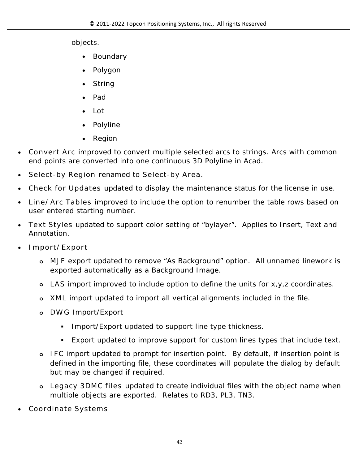objects.

- Boundary
- Polygon
- String
- Pad
- Lot
- Polyline
- Region
- **Convert Arc** improved to convert multiple selected arcs to strings. Arcs with common end points are converted into one continuous 3D Polyline in Acad.
- **Select-by Region** renamed to **Select-by Area.**
- **Check for Updates** updated to display the maintenance status for the license in use.
- **Line/Arc Tables** improved to include the option to renumber the table rows based on user entered starting number.
- **Text Styles** updated to support color setting of "bylayer". Applies to Insert, Text and Annotation.
- **Import/Export** 
	- **o MJF** export updated to remove "As Background" option. All unnamed linework is exported automatically as a Background Image.
	- **o LAS** import improved to include option to define the units for x,y,z coordinates.
	- **o XML** import updated to import all vertical alignments included in the file.
	- **o DWG** Import/Export
		- **Import/Export updated to support line type thickness.**
		- Export updated to improve support for custom lines types that include text.
	- **o IFC** import updated to prompt for insertion point. By default, if insertion point is defined in the importing file, these coordinates will populate the dialog by default but may be changed if required.
	- **o Legacy 3DMC files** updated to create individual files with the object name when multiple objects are exported. Relates to RD3, PL3, TN3.
- **Coordinate Systems**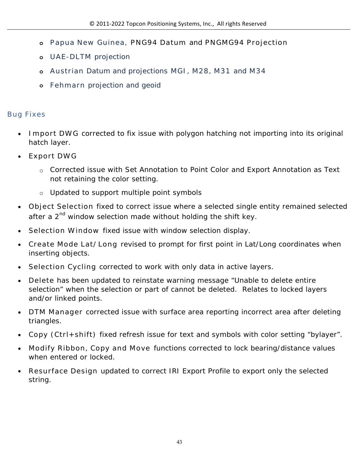- **o Papua New Guinea, PNG94 Datum** and **PNGMG94 Projection**
- **o UAE-DLTM** projection
- **o Austrian** Datum and projections **MGI, M28, M31** and **M34**
- **o Fehmarn** projection and geoid

### **Bug Fixes**

- **Import DWG** corrected to fix issue with polygon hatching not importing into its original hatch layer.
- **Export DWG** 
	- o Corrected issue with Set Annotation to Point Color and Export Annotation as Text not retaining the color setting.
	- o Updated to support multiple point symbols
- **Object Selection** fixed to correct issue where a selected single entity remained selected after a  $2<sup>nd</sup>$  window selection made without holding the shift key.
- **Selection Window** fixed issue with window selection display.
- **Create Mode Lat/Long** revised to prompt for first point in Lat/Long coordinates when inserting objects.
- **Selection Cycling** corrected to work with only data in active layers.
- **Delete** has been updated to reinstate warning message "Unable to delete entire selection" when the selection or part of cannot be deleted. Relates to locked layers and/or linked points.
- **DTM Manager** corrected issue with surface area reporting incorrect area after deleting triangles.
- **Copy (Ctrl+shift)** fixed refresh issue for text and symbols with color setting "bylayer".
- **Modify Ribbon, Copy and Move** functions corrected to lock bearing/distance values when entered or locked.
- **Resurface Design** updated to correct IRI Export Profile to export only the selected string.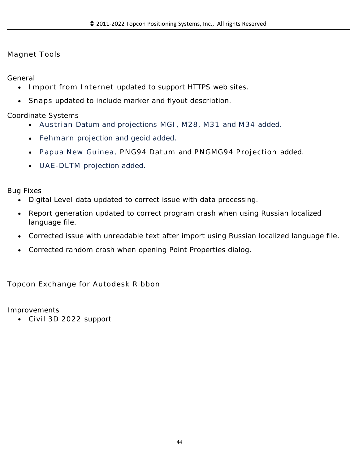#### **Magnet Tools**

General

- **Import from Internet** updated to support HTTPS web sites.
- **Snaps** updated to include marker and flyout description.

Coordinate Systems

- **Austrian** Datum and projections **MGI, M28, M31** and **M34** added.
- **Fehmarn** projection and geoid added.
- **Papua New Guinea, PNG94 Datum** and **PNGMG94 Projection** added.
- **UAE-DLTM** projection added.

Bug Fixes

- Digital Leve**l** data updated to correct issue with data processing.
- Report generation updated to correct program crash when using Russian localized language file.
- Corrected issue with unreadable text after import using Russian localized language file.
- Corrected random crash when opening Point Properties dialog.

**Topcon Exchange for Autodesk Ribbon**

Improvements

**Civil 3D 2022** support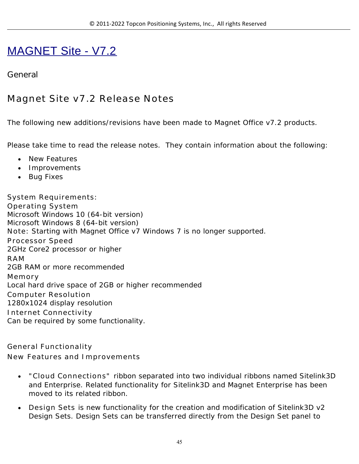# MAGNET Site - V7.2

### **General**

## **Magnet Site v7.2 Release Notes**

The following new additions/revisions have been made to Magnet Office v7.2 products.

Please take time to read the release notes. They contain information about the following:

- New Features
- Improvements
- Bug Fixes

**System Requirements: Operating System** Microsoft Windows 10 (64-bit version) Microsoft Windows 8 (64-bit version) **Note:** Starting with Magnet Office v7 Windows 7 is no longer supported. **Processor Speed** 2GHz Core2 processor or higher **RAM** 2GB RAM or more recommended **Memory** Local hard drive space of 2GB or higher recommended **Computer Resolution** 1280x1024 display resolution **Internet Connectivity** Can be required by some functionality.

**General Functionality New Features and Improvements**

- **"Cloud Connections"** ribbon separated into two individual ribbons named Sitelink3D and Enterprise. Related functionality for Sitelink3D and Magnet Enterprise has been moved to its related ribbon.
- **Design Sets** is new functionality for the creation and modification of Sitelink3D v2 Design Sets. Design Sets can be transferred directly from the Design Set panel to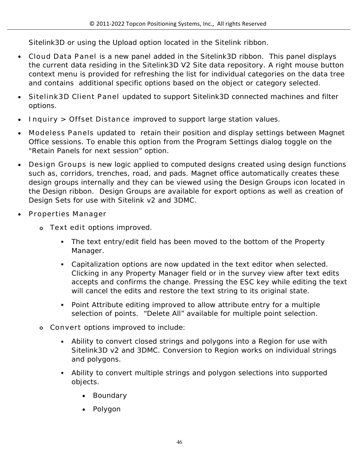Sitelink3D or using the Upload option located in the Sitelink ribbon.

- **Cloud Data Panel** is a new panel added in the Sitelink3D ribbon. This panel displays the current data residing in the Sitelink3D V2 Site data repository. A right mouse button context menu is provided for refreshing the list for individual categories on the data tree and contains additional specific options based on the object or category selected.
- **Sitelink3D Client Panel** updated to support Sitelink3D connected machines and filter options.
- **Inquiry > Offset Distance** improved to support large station values.
- **Modeless Panels** updated to retain their position and display settings between Magnet Office sessions. To enable this option from the Program Settings dialog toggle on the "Retain Panels for next session" option.
- **Design Groups** is new logic applied to computed designs created using design functions such as, corridors, trenches, road, and pads. Magnet office automatically creates these design groups internally and they can be viewed using the Design Groups icon located in the Design ribbon. Design Groups are available for export options as well as creation of Design Sets for use with Sitelink v2 and 3DMC.
- **Properties Manager** 
	- **o Text edit** options improved.
		- The text entry/edit field has been moved to the bottom of the Property Manager.
		- Capitalization options are now updated in the text editor when selected. Clicking in any Property Manager field or in the survey view after text edits accepts and confirms the change. Pressing the ESC key while editing the text will cancel the edits and restore the text string to its original state.
		- Point Attribute editing improved to allow attribute entry for a multiple selection of points. "Delete All" available for multiple point selection.
	- **o Convert** options improved to include:
		- Ability to convert closed strings and polygons into a Region for use with Sitelink3D v2 and 3DMC. Conversion to Region works on individual strings and polygons.
		- Ability to convert multiple strings and polygon selections into supported objects.
			- Boundary
			- Polygon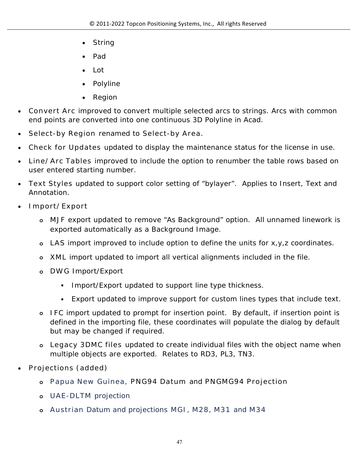- String
- Pad
- Lot
- Polyline
- Region
- **Convert Arc** improved to convert multiple selected arcs to strings. Arcs with common end points are converted into one continuous 3D Polyline in Acad.
- **Select-by Region** renamed to **Select-by Area.**
- **Check for Updates** updated to display the maintenance status for the license in use.
- **Line/Arc Tables** improved to include the option to renumber the table rows based on user entered starting number.
- **Text Styles** updated to support color setting of "bylayer". Applies to Insert, Text and Annotation.
- **Import/Export** 
	- **o MJF** export updated to remove "As Background" option. All unnamed linework is exported automatically as a Background Image.
	- **o LAS** import improved to include option to define the units for x,y,z coordinates.
	- **o XML** import updated to import all vertical alignments included in the file.
	- **o DWG** Import/Export
		- **Import/Export updated to support line type thickness.**
		- Export updated to improve support for custom lines types that include text.
	- **o IFC** import updated to prompt for insertion point. By default, if insertion point is defined in the importing file, these coordinates will populate the dialog by default but may be changed if required.
	- **o Legacy 3DMC files** updated to create individual files with the object name when multiple objects are exported. Relates to RD3, PL3, TN3.
- **Projections (added)** 
	- **o Papua New Guinea, PNG94 Datum** and **PNGMG94 Projection**
	- **o UAE-DLTM** projection
	- **o Austrian** Datum and projections **MGI, M28, M31** and **M34**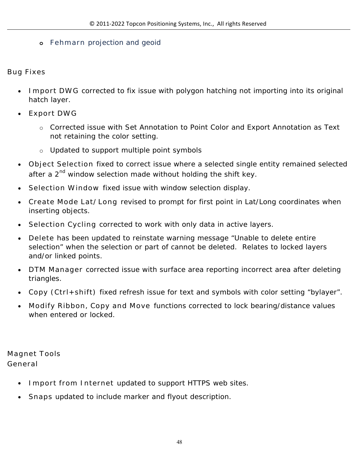#### **o Fehmarn** projection and geoid

**Bug Fixes** 

- **Import DWG** corrected to fix issue with polygon hatching not importing into its original hatch layer.
- **Export DWG** 
	- o Corrected issue with Set Annotation to Point Color and Export Annotation as Text not retaining the color setting.
	- o Updated to support multiple point symbols
- **Object Selection** fixed to correct issue where a selected single entity remained selected after a  $2<sup>nd</sup>$  window selection made without holding the shift key.
- **Selection Window** fixed issue with window selection display.
- **Create Mode Lat/Long** revised to prompt for first point in Lat/Long coordinates when inserting objects.
- **Selection Cycling** corrected to work with only data in active layers.
- **Delete** has been updated to reinstate warning message "Unable to delete entire selection" when the selection or part of cannot be deleted. Relates to locked layers and/or linked points.
- **DTM Manager** corrected issue with surface area reporting incorrect area after deleting triangles.
- **Copy (Ctrl+shift)** fixed refresh issue for text and symbols with color setting "bylayer".
- **Modify Ribbon, Copy and Move** functions corrected to lock bearing/distance values when entered or locked.

**Magnet Tools General**

- **Import from Internet** updated to support HTTPS web sites.
- **Snaps** updated to include marker and flyout description.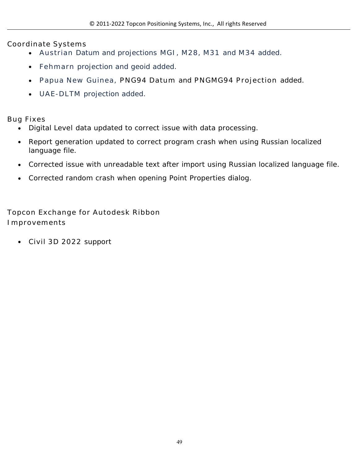**Coordinate Systems**

- **Austrian** Datum and projections **MGI, M28, M31** and **M34** added.
- **Fehmarn** projection and geoid added.
- **Papua New Guinea, PNG94 Datum** and **PNGMG94 Projection** added.
- **UAE-DLTM** projection added.

**Bug Fixes**

- Digital Leve**l** data updated to correct issue with data processing.
- Report generation updated to correct program crash when using Russian localized language file.
- Corrected issue with unreadable text after import using Russian localized language file.
- Corrected random crash when opening Point Properties dialog.

**Topcon Exchange for Autodesk Ribbon Improvements**

**Civil 3D 2022** support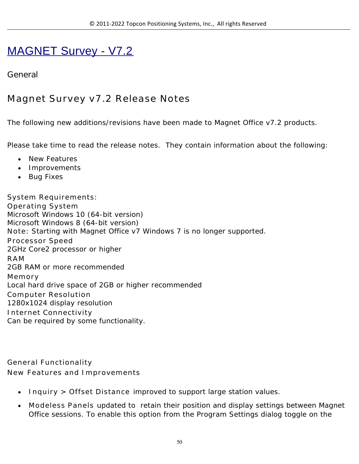# MAGNET Survey - V7.2

## **General**

# **Magnet Survey v7.2 Release Notes**

The following new additions/revisions have been made to Magnet Office v7.2 products.

Please take time to read the release notes. They contain information about the following:

- New Features
- Improvements
- Bug Fixes

**System Requirements: Operating System** Microsoft Windows 10 (64-bit version) Microsoft Windows 8 (64-bit version) **Note:** Starting with Magnet Office v7 Windows 7 is no longer supported. **Processor Speed** 2GHz Core2 processor or higher **RAM** 2GB RAM or more recommended **Memory** Local hard drive space of 2GB or higher recommended **Computer Resolution** 1280x1024 display resolution **Internet Connectivity** Can be required by some functionality.

**General Functionality New Features and Improvements**

- **Inquiry > Offset Distance** improved to support large station values.
- **Modeless Panels** updated to retain their position and display settings between Magnet Office sessions. To enable this option from the Program Settings dialog toggle on the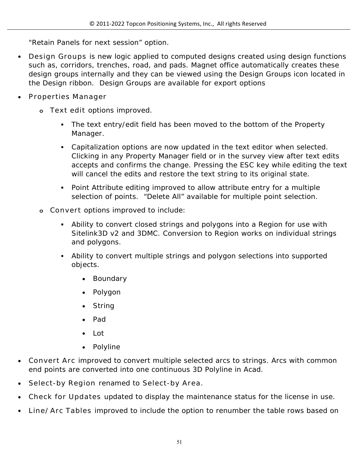"Retain Panels for next session" option.

- **Design Groups** is new logic applied to computed designs created using design functions such as, corridors, trenches, road, and pads. Magnet office automatically creates these design groups internally and they can be viewed using the Design Groups icon located in the Design ribbon. Design Groups are available for export options
- **Properties Manager** 
	- **o Text edit** options improved.
		- The text entry/edit field has been moved to the bottom of the Property Manager.
		- Capitalization options are now updated in the text editor when selected. Clicking in any Property Manager field or in the survey view after text edits accepts and confirms the change. Pressing the ESC key while editing the text will cancel the edits and restore the text string to its original state.
		- Point Attribute editing improved to allow attribute entry for a multiple selection of points. "Delete All" available for multiple point selection.
	- **o Convert** options improved to include:
		- Ability to convert closed strings and polygons into a Region for use with Sitelink3D v2 and 3DMC. Conversion to Region works on individual strings and polygons.
		- Ability to convert multiple strings and polygon selections into supported objects.
			- Boundary
			- Polygon
			- String
			- Pad
			- Lot
			- Polyline
- **Convert Arc** improved to convert multiple selected arcs to strings. Arcs with common end points are converted into one continuous 3D Polyline in Acad.
- **Select-by Region** renamed to **Select-by Area.**
- **Check for Updates** updated to display the maintenance status for the license in use.
- **Line/Arc Tables** improved to include the option to renumber the table rows based on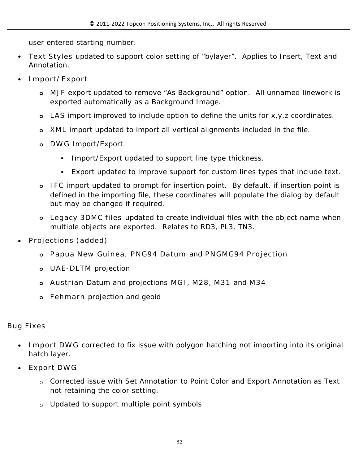user entered starting number.

- **Text Styles** updated to support color setting of "bylayer". Applies to Insert, Text and Annotation.
- **Import/Export** 
	- **o MJF** export updated to remove "As Background" option. All unnamed linework is exported automatically as a Background Image.
	- **o LAS** import improved to include option to define the units for x,y,z coordinates.
	- **o XML** import updated to import all vertical alignments included in the file.
	- **o DWG** Import/Export
		- **Import/Export updated to support line type thickness.**
		- Export updated to improve support for custom lines types that include text.
	- **o IFC** import updated to prompt for insertion point. By default, if insertion point is defined in the importing file, these coordinates will populate the dialog by default but may be changed if required.
	- **o Legacy 3DMC files** updated to create individual files with the object name when multiple objects are exported. Relates to RD3, PL3, TN3.
- **Projections (added)** 
	- **o Papua New Guinea, PNG94 Datum** and **PNGMG94 Projection**
	- **o UAE-DLTM** projection
	- **o Austrian** Datum and projections **MGI, M28, M31** and **M34**
	- **o Fehmarn** projection and geoid

#### **Bug Fixes**

- **Import DWG** corrected to fix issue with polygon hatching not importing into its original hatch layer.
- **Export DWG** 
	- o Corrected issue with Set Annotation to Point Color and Export Annotation as Text not retaining the color setting.
	- o Updated to support multiple point symbols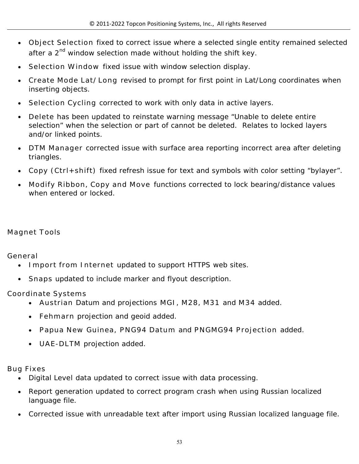- **Object Selection** fixed to correct issue where a selected single entity remained selected after a  $2<sup>nd</sup>$  window selection made without holding the shift key.
- **Selection Window** fixed issue with window selection display.
- **Create Mode Lat/Long** revised to prompt for first point in Lat/Long coordinates when inserting objects.
- **Selection Cycling** corrected to work with only data in active layers.
- **Delete** has been updated to reinstate warning message "Unable to delete entire selection" when the selection or part of cannot be deleted. Relates to locked layers and/or linked points.
- **DTM Manager** corrected issue with surface area reporting incorrect area after deleting triangles.
- **Copy (Ctrl+shift)** fixed refresh issue for text and symbols with color setting "bylayer".
- **Modify Ribbon, Copy and Move** functions corrected to lock bearing/distance values when entered or locked.

#### **Magnet Tools**

**General**

- **Import from Internet** updated to support HTTPS web sites.
- **Snaps** updated to include marker and flyout description.

**Coordinate Systems**

- **Austrian** Datum and projections **MGI, M28, M31** and **M34** added.
- **Fehmarn** projection and geoid added.
- **Papua New Guinea, PNG94 Datum** and **PNGMG94 Projection** added.
- **UAE-DLTM** projection added.

**Bug Fixes**

- Digital Leve**l** data updated to correct issue with data processing.
- Report generation updated to correct program crash when using Russian localized language file.
- Corrected issue with unreadable text after import using Russian localized language file.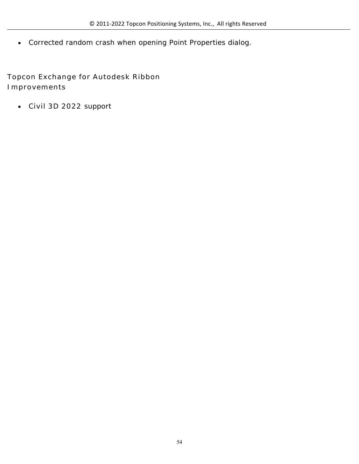Corrected random crash when opening Point Properties dialog.

**Topcon Exchange for Autodesk Ribbon Improvements**

**Civil 3D 2022** support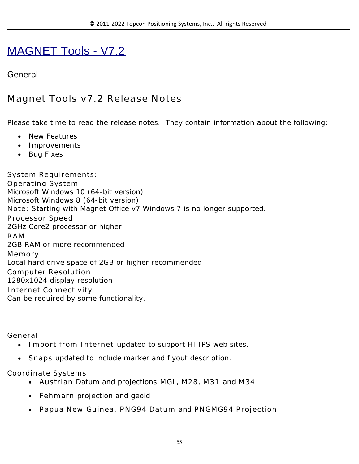# MAGNET Tools - V7.2

## **General**

# **Magnet Tools v7.2 Release Notes**

Please take time to read the release notes. They contain information about the following:

- New Features
- Improvements
- Bug Fixes

**System Requirements: Operating System** Microsoft Windows 10 (64-bit version) Microsoft Windows 8 (64-bit version) **Note:** Starting with Magnet Office v7 Windows 7 is no longer supported. **Processor Speed** 2GHz Core2 processor or higher **RAM** 2GB RAM or more recommended **Memory** Local hard drive space of 2GB or higher recommended **Computer Resolution** 1280x1024 display resolution **Internet Connectivity** Can be required by some functionality.

**General**

- **Import from Internet** updated to support HTTPS web sites.
- **Snaps** updated to include marker and flyout description.

#### **Coordinate Systems**

- **Austrian** Datum and projections **MGI, M28, M31** and **M34**
- **Fehmarn** projection and geoid
- **Papua New Guinea, PNG94 Datum** and **PNGMG94 Projection**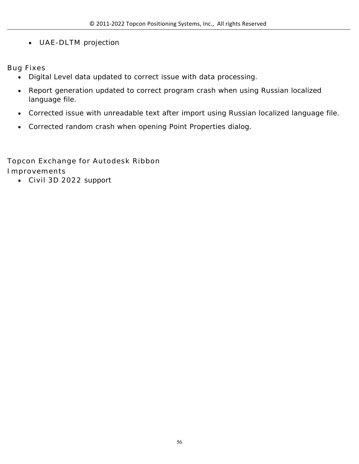**UAE-DLTM** projection

**Bug Fixes**

- Digital Level data updated to correct issue with data processing.
- Report generation updated to correct program crash when using Russian localized language file.
- Corrected issue with unreadable text after import using Russian localized language file.
- Corrected random crash when opening Point Properties dialog.

**Topcon Exchange for Autodesk Ribbon Improvements**

**Civil 3D 2022** support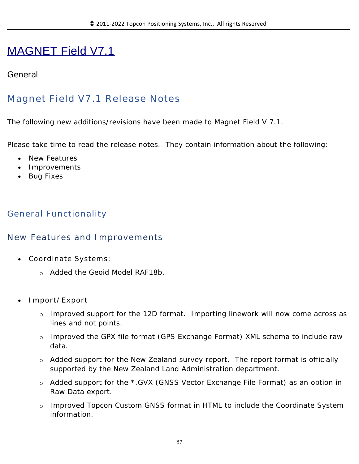# MAGNET Field V7.1

### **General**

# **Magnet Field V7.1 Release Notes**

The following new additions/revisions have been made to Magnet Field V 7.1.

Please take time to read the release notes. They contain information about the following:

- New Features
- Improvements
- Bug Fixes

## **General Functionality**

#### **New Features and Improvements**

- **Coordinate Systems:** 
	- o Added the Geoid Model RAF18b.
- **Import/Export**
	- o Improved support for the 12D format. Importing linework will now come across as lines and not points.
	- o Improved the GPX file format (GPS Exchange Format) XML schema to include raw data.
	- $\circ$  Added support for the New Zealand survey report. The report format is officially supported by the New Zealand Land Administration department.
	- o Added support for the \*.GVX (GNSS Vector Exchange File Format) as an option in Raw Data export.
	- o Improved Topcon Custom GNSS format in HTML to include the Coordinate System information.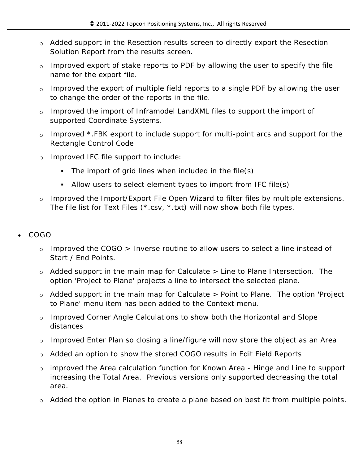- o Added support in the Resection results screen to directly export the Resection Solution Report from the results screen.
- $\circ$  Improved export of stake reports to PDF by allowing the user to specify the file name for the export file.
- $\circ$  Improved the export of multiple field reports to a single PDF by allowing the user to change the order of the reports in the file.
- o Improved the import of Inframodel LandXML files to support the import of supported Coordinate Systems.
- o Improved \*.FBK export to include support for multi-point arcs and support for the Rectangle Control Code
- o Improved IFC file support to include:
	- The import of grid lines when included in the file(s)
	- Allow users to select element types to import from IFC file(s)
- $\circ$  Improved the Import/Export File Open Wizard to filter files by multiple extensions. The file list for Text Files (\*.csv, \*.txt) will now show both file types.
- **COGO**
	- o Improved the COGO > Inverse routine to allow users to select a line instead of Start / End Points.
	- o Added support in the main map for Calculate > Line to Plane Intersection. The option 'Project to Plane' projects a line to intersect the selected plane.
	- o Added support in the main map for Calculate > Point to Plane. The option 'Project to Plane' menu item has been added to the Context menu.
	- o Improved Corner Angle Calculations to show both the Horizontal and Slope distances
	- o Improved Enter Plan so closing a line/figure will now store the object as an Area
	- o Added an option to show the stored COGO results in Edit Field Reports
	- o improved the Area calculation function for Known Area Hinge and Line to support increasing the Total Area. Previous versions only supported decreasing the total area.
	- o Added the option in Planes to create a plane based on best fit from multiple points.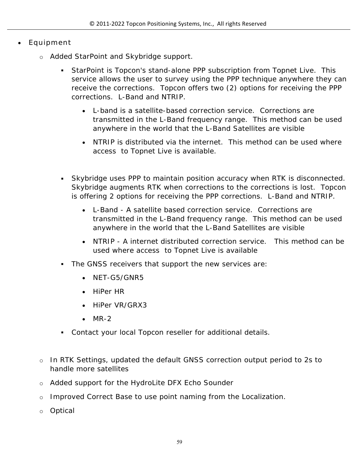#### **Equipment**

- o Added StarPoint and Skybridge support.
	- StarPoint is Topcon's stand-alone PPP subscription from Topnet Live. This service allows the user to survey using the PPP technique anywhere they can receive the corrections. Topcon offers two (2) options for receiving the PPP corrections. L-Band and NTRIP.
		- L-band is a satellite-based correction service. Corrections are transmitted in the L-Band frequency range. This method can be used anywhere in the world that the L-Band Satellites are visible
		- NTRIP is distributed via the internet. This method can be used where access to Topnet Live is available.
	- Skybridge uses PPP to maintain position accuracy when RTK is disconnected. Skybridge augments RTK when corrections to the corrections is lost. Topcon is offering 2 options for receiving the PPP corrections. L-Band and NTRIP.
		- L-Band A satellite based correction service. Corrections are transmitted in the L-Band frequency range. This method can be used anywhere in the world that the L-Band Satellites are visible
		- NTRIP A internet distributed correction service. This method can be used where access to Topnet Live is available
	- The GNSS receivers that support the new services are:
		- NFT-G5/GNR5
		- HiPer HR
		- HiPer VR/GRX3
		- $-MR-2$
	- Contact your local Topcon reseller for additional details.
- o In RTK Settings, updated the default GNSS correction output period to 2s to handle more satellites
- o Added support for the HydroLite DFX Echo Sounder
- o Improved Correct Base to use point naming from the Localization.
- o Optical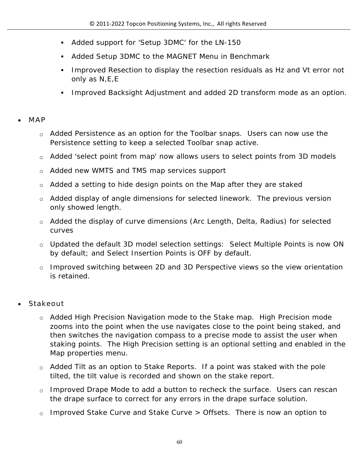- Added support for 'Setup 3DMC' for the LN-150
- Added Setup 3DMC to the MAGNET Menu in Benchmark
- Improved Resection to display the resection residuals as Hz and Vt error not only as N,E,E
- Improved Backsight Adjustment and added 2D transform mode as an option.

#### **MAP**

- $\circ$  Added Persistence as an option for the Toolbar snaps. Users can now use the Persistence setting to keep a selected Toolbar snap active.
- o Added 'select point from map' now allows users to select points from 3D models
- o Added new WMTS and TMS map services support
- o Added a setting to hide design points on the Map after they are staked
- $\circ$  Added display of angle dimensions for selected linework. The previous version only showed length.
- o Added the display of curve dimensions (Arc Length, Delta, Radius) for selected curves
- o Updated the default 3D model selection settings: Select Multiple Points is now ON by default; and Select Insertion Points is OFF by default.
- o Improved switching between 2D and 3D Perspective views so the view orientation is retained.

#### **Stakeout**

- o Added High Precision Navigation mode to the Stake map. High Precision mode zooms into the point when the use navigates close to the point being staked, and then switches the navigation compass to a precise mode to assist the user when staking points. The High Precision setting is an optional setting and enabled in the Map properties menu.
- $\circ$  Added Tilt as an option to Stake Reports. If a point was staked with the pole tilted, the tilt value is recorded and shown on the stake report.
- $\circ$  Improved Drape Mode to add a button to recheck the surface. Users can rescan the drape surface to correct for any errors in the drape surface solution.
- o Improved Stake Curve and Stake Curve > Offsets. There is now an option to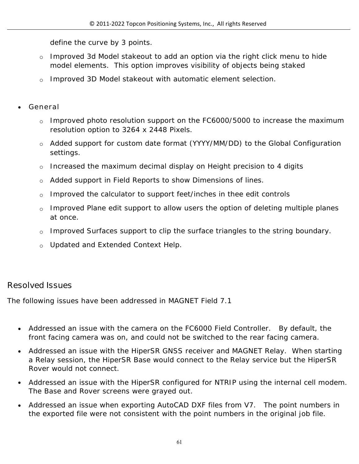define the curve by 3 points.

- o Improved 3d Model stakeout to add an option via the right click menu to hide model elements. This option improves visibility of objects being staked
- o Improved 3D Model stakeout with automatic element selection.
- **General**
	- o Improved photo resolution support on the FC6000/5000 to increase the maximum resolution option to 3264 x 2448 Pixels.
	- o Added support for custom date format (YYYY/MM/DD) to the Global Configuration settings.
	- o Increased the maximum decimal display on Height precision to 4 digits
	- $\circ$  Added support in Field Reports to show Dimensions of lines.
	- o Improved the calculator to support feet/inches in thee edit controls
	- o Improved Plane edit support to allow users the option of deleting multiple planes at once.
	- o Improved Surfaces support to clip the surface triangles to the string boundary.
	- o Updated and Extended Context Help.

## **Resolved Issues**

The following issues have been addressed in MAGNET Field 7.1

- Addressed an issue with the camera on the FC6000 Field Controller. By default, the front facing camera was on, and could not be switched to the rear facing camera.
- Addressed an issue with the HiperSR GNSS receiver and MAGNET Relay. When starting a Relay session, the HiperSR Base would connect to the Relay service but the HiperSR Rover would not connect.
- Addressed an issue with the HiperSR configured for NTRIP using the internal cell modem. The Base and Rover screens were grayed out.
- Addressed an issue when exporting AutoCAD DXF files from V7. The point numbers in the exported file were not consistent with the point numbers in the original job file.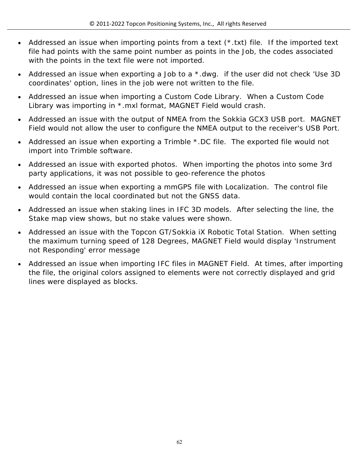- Addressed an issue when importing points from a text (\*.txt) file. If the imported text file had points with the same point number as points in the Job, the codes associated with the points in the text file were not imported.
- Addressed an issue when exporting a Job to a \*.dwg. if the user did not check 'Use 3D coordinates' option, lines in the job were not written to the file.
- Addressed an issue when importing a Custom Code Library. When a Custom Code Library was importing in \*.mxl format, MAGNET Field would crash.
- Addressed an issue with the output of NMEA from the Sokkia GCX3 USB port. MAGNET Field would not allow the user to configure the NMEA output to the receiver's USB Port.
- Addressed an issue when exporting a Trimble \*.DC file. The exported file would not import into Trimble software.
- Addressed an issue with exported photos. When importing the photos into some 3rd party applications, it was not possible to geo-reference the photos
- Addressed an issue when exporting a mmGPS file with Localization. The control file would contain the local coordinated but not the GNSS data.
- Addressed an issue when staking lines in IFC 3D models. After selecting the line, the Stake map view shows, but no stake values were shown.
- Addressed an issue with the Topcon GT/Sokkia iX Robotic Total Station. When setting the maximum turning speed of 128 Degrees, MAGNET Field would display 'Instrument not Responding' error message
- Addressed an issue when importing IFC files in MAGNET Field. At times, after importing the file, the original colors assigned to elements were not correctly displayed and grid lines were displayed as blocks.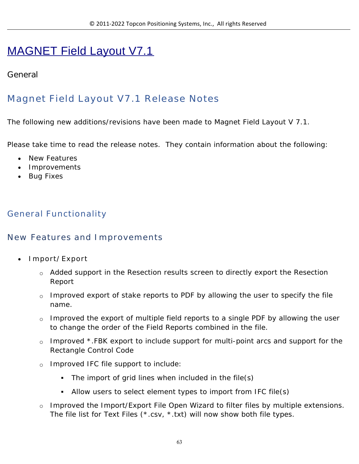# MAGNET Field Layout V7.1

## **General**

# **Magnet Field Layout V7.1 Release Notes**

The following new additions/revisions have been made to Magnet Field Layout V 7.1.

Please take time to read the release notes. They contain information about the following:

- New Features
- Improvements
- Bug Fixes

## **General Functionality**

### **New Features and Improvements**

- **Import/Export**
	- o Added support in the Resection results screen to directly export the Resection Report
	- o Improved export of stake reports to PDF by allowing the user to specify the file name.
	- o Improved the export of multiple field reports to a single PDF by allowing the user to change the order of the Field Reports combined in the file.
	- $\circ$  Improved \*.FBK export to include support for multi-point arcs and support for the Rectangle Control Code
	- o Improved IFC file support to include:
		- The import of grid lines when included in the file(s)
		- Allow users to select element types to import from IFC file(s)
	- $\circ$  Improved the Import/Export File Open Wizard to filter files by multiple extensions. The file list for Text Files (\*.csv, \*.txt) will now show both file types.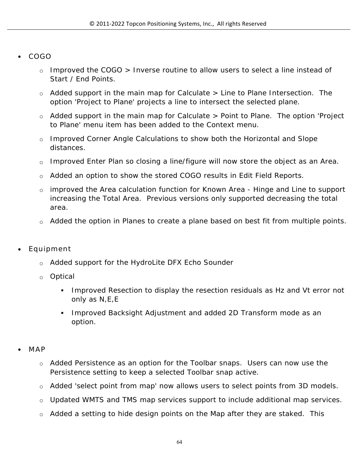#### **COGO**

- o Improved the COGO > Inverse routine to allow users to select a line instead of Start / End Points.
- $\circ$  Added support in the main map for Calculate  $>$  Line to Plane Intersection. The option 'Project to Plane' projects a line to intersect the selected plane.
- $\circ$  Added support in the main map for Calculate  $>$  Point to Plane. The option 'Project to Plane' menu item has been added to the Context menu.
- o Improved Corner Angle Calculations to show both the Horizontal and Slope distances.
- o Improved Enter Plan so closing a line/figure will now store the object as an Area.
- o Added an option to show the stored COGO results in Edit Field Reports.
- o improved the Area calculation function for Known Area Hinge and Line to support increasing the Total Area. Previous versions only supported decreasing the total area.
- $\circ$  Added the option in Planes to create a plane based on best fit from multiple points.
- **Equipment**
	- o Added support for the HydroLite DFX Echo Sounder
	- o Optical
		- Improved Resection to display the resection residuals as Hz and Vt error not only as N,E,E
		- **Improved Backsight Adjustment and added 2D Transform mode as an** option.
- **MAP**
	- o Added Persistence as an option for the Toolbar snaps. Users can now use the Persistence setting to keep a selected Toolbar snap active.
	- o Added 'select point from map' now allows users to select points from 3D models.
	- o Updated WMTS and TMS map services support to include additional map services.
	- $\circ$  Added a setting to hide design points on the Map after they are staked. This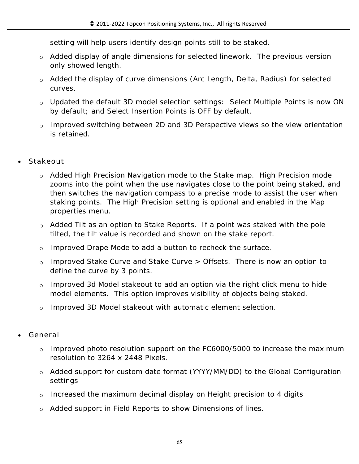setting will help users identify design points still to be staked.

- o Added display of angle dimensions for selected linework. The previous version only showed length.
- o Added the display of curve dimensions (Arc Length, Delta, Radius) for selected curves.
- o Updated the default 3D model selection settings: Select Multiple Points is now ON by default; and Select Insertion Points is OFF by default.
- o Improved switching between 2D and 3D Perspective views so the view orientation is retained.
- **Stakeout**
	- o Added High Precision Navigation mode to the Stake map. High Precision mode zooms into the point when the use navigates close to the point being staked, and then switches the navigation compass to a precise mode to assist the user when staking points. The High Precision setting is optional and enabled in the Map properties menu.
	- $\circ$  Added Tilt as an option to Stake Reports. If a point was staked with the pole tilted, the tilt value is recorded and shown on the stake report.
	- o Improved Drape Mode to add a button to recheck the surface.
	- o Improved Stake Curve and Stake Curve > Offsets. There is now an option to define the curve by 3 points.
	- o Improved 3d Model stakeout to add an option via the right click menu to hide model elements. This option improves visibility of objects being staked.
	- o Improved 3D Model stakeout with automatic element selection.
- **General**
	- $\circ$  Improved photo resolution support on the FC6000/5000 to increase the maximum resolution to 3264 x 2448 Pixels.
	- o Added support for custom date format (YYYY/MM/DD) to the Global Configuration settings
	- o Increased the maximum decimal display on Height precision to 4 digits
	- o Added support in Field Reports to show Dimensions of lines.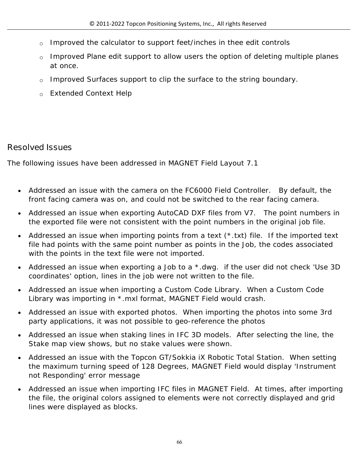- $\circ$  Improved the calculator to support feet/inches in thee edit controls
- o Improved Plane edit support to allow users the option of deleting multiple planes at once.
- o Improved Surfaces support to clip the surface to the string boundary.
- o Extended Context Help

## **Resolved Issues**

The following issues have been addressed in MAGNET Field Layout 7.1

- Addressed an issue with the camera on the FC6000 Field Controller. By default, the front facing camera was on, and could not be switched to the rear facing camera.
- Addressed an issue when exporting AutoCAD DXF files from V7. The point numbers in the exported file were not consistent with the point numbers in the original job file.
- Addressed an issue when importing points from a text (\*.txt) file. If the imported text file had points with the same point number as points in the Job, the codes associated with the points in the text file were not imported.
- Addressed an issue when exporting a Job to a \*.dwg. if the user did not check 'Use 3D coordinates' option, lines in the job were not written to the file.
- Addressed an issue when importing a Custom Code Library. When a Custom Code Library was importing in \*.mxl format, MAGNET Field would crash.
- Addressed an issue with exported photos. When importing the photos into some 3rd party applications, it was not possible to geo-reference the photos
- Addressed an issue when staking lines in IFC 3D models. After selecting the line, the Stake map view shows, but no stake values were shown.
- Addressed an issue with the Topcon GT/Sokkia iX Robotic Total Station. When setting the maximum turning speed of 128 Degrees, MAGNET Field would display 'Instrument not Responding' error message
- Addressed an issue when importing IFC files in MAGNET Field. At times, after importing the file, the original colors assigned to elements were not correctly displayed and grid lines were displayed as blocks.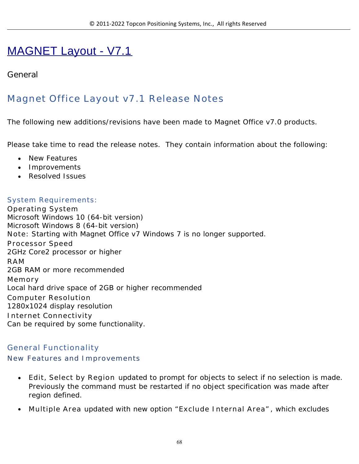# MAGNET Layout - V7.1

## **General**

# **Magnet Office Layout v7.1 Release Notes**

The following new additions/revisions have been made to Magnet Office v7.0 products.

Please take time to read the release notes. They contain information about the following:

- New Features
- Improvements
- Resolved Issues

#### **System Requirements:**

**Operating System** Microsoft Windows 10 (64-bit version) Microsoft Windows 8 (64-bit version) **Note:** Starting with Magnet Office v7 Windows 7 is no longer supported. **Processor Speed** 2GHz Core2 processor or higher **RAM** 2GB RAM or more recommended **Memory** Local hard drive space of 2GB or higher recommended **Computer Resolution** 1280x1024 display resolution **Internet Connectivity** Can be required by some functionality.

#### **General Functionality**

#### **New Features and Improvements**

- **Edit, Select by Region** updated to prompt for objects to select if no selection is made. Previously the command must be restarted if no object specification was made after region defined.
- **Multiple Area** updated with new option "**Exclude Internal Area"**, which excludes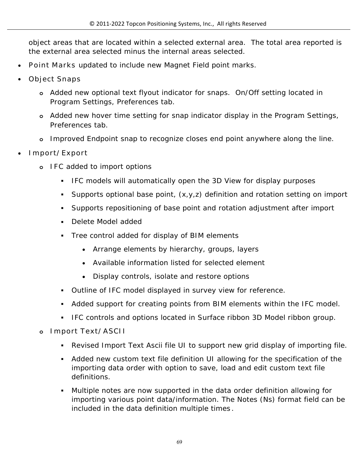object areas that are located within a selected external area. The total area reported is the external area selected minus the internal areas selected.

- **Point Marks** updated to include new Magnet Field point marks.
- **Object Snaps**
	- **o** Added new optional text flyout indicator for snaps. On/Off setting located in Program Settings, Preferences tab.
	- **o** Added new hover time setting for snap indicator display in the Program Settings, Preferences tab.
	- **o** Improved Endpoint snap to recognize closes end point anywhere along the line.
- **Import/Export**
	- **o IFC** added to import options
		- IFC models will automatically open the 3D View for display purposes
		- Supports optional base point, (x,y,z) definition and rotation setting on import
		- Supports repositioning of base point and rotation adjustment after import
		- Delete Model added
		- Tree control added for display of BIM elements
			- Arrange elements by hierarchy, groups, layers
			- Available information listed for selected element
			- Display controls, isolate and restore options
		- Outline of IFC model displayed in survey view for reference.
		- Added support for creating points from BIM elements within the IFC model.
		- IFC controls and options located in Surface ribbon 3D Model ribbon group.
	- **o Import Text/ASCII** 
		- Revised Import Text Ascii file UI to support new grid display of importing file.
		- Added new custom text file definition UI allowing for the specification of the importing data order with option to save, load and edit custom text file definitions.
		- Multiple notes are now supported in the data order definition allowing for importing various point data/information. The Notes (Ns) format field can be included in the data definition multiple times **.**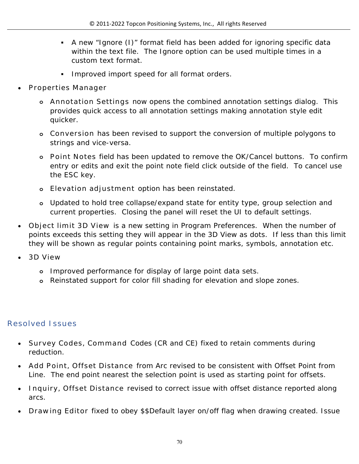- A new "Ignore (I)" format field has been added for ignoring specific data within the text file. The Ignore option can be used multiple times in a custom text format.
- Improved import speed for all format orders.
- **Properties Manager**
	- **o Annotation Settings** now opens the combined annotation settings dialog. This provides quick access to all annotation settings making annotation style edit quicker.
	- **o Conversion** has been revised to support the conversion of multiple polygons to strings and vice-versa.
	- **o Point Notes** field has been updated to remove the OK/Cancel buttons. To confirm entry or edits and exit the point note field click outside of the field. To cancel use the ESC key.
	- **o Elevation adjustment** option has been reinstated.
	- **o** Updated to hold tree collapse/expand state for entity type, group selection and current properties. Closing the panel will reset the UI to default settings.
- **Object limit 3D View** is a new setting in Program Preferences. When the number of points exceeds this setting they will appear in the 3D View as dots. If less than this limit they will be shown as regular points containing point marks, symbols, annotation etc.
- **3D View**
	- **o** Improved performance for display of large point data sets.
	- **o** Reinstated support for color fill shading for elevation and slope zones.

### **Resolved Issues**

- **Survey Codes, Command** Codes (CR and CE) fixed to retain comments during reduction.
- **Add Point, Offset Distance** from Arc revised to be consistent with Offset Point from Line. The end point nearest the selection point is used as starting point for offsets.
- **Inquiry, Offset Distance** revised to correct issue with offset distance reported along arcs.
- **Drawing Editor** fixed to obey \$\$Default layer on/off flag when drawing created. Issue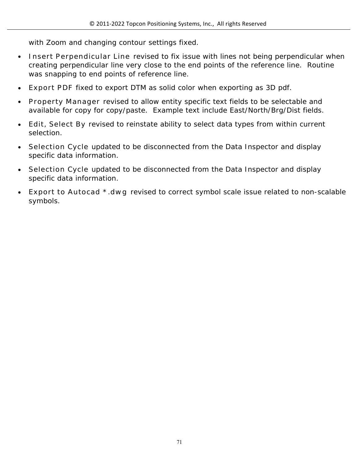with Zoom and changing contour settings fixed.

- **Insert Perpendicular Line** revised to fix issue with lines not being perpendicular when creating perpendicular line very close to the end points of the reference line. Routine was snapping to end points of reference line.
- **Export PDF** fixed to export DTM as solid color when exporting as 3D pdf.
- **Property Manager** revised to allow entity specific text fields to be selectable and available for copy for copy/paste. Example text include East/North/Brg/Dist fields.
- **Edit, Select By** revised to reinstate ability to select data types from within current selection.
- **Selection Cycle** updated to be disconnected from the Data Inspector and display specific data information.
- **Selection Cycle** updated to be disconnected from the Data Inspector and display specific data information.
- **Export to Autocad \*.dwg** revised to correct symbol scale issue related to non-scalable symbols.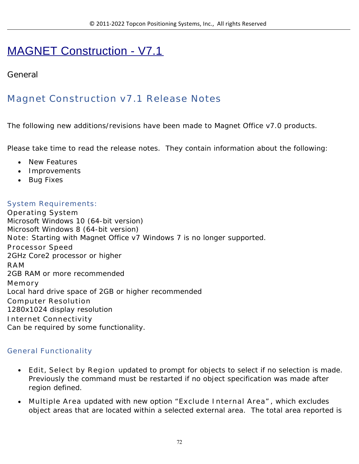# MAGNET Construction - V7.1

## **General**

# **Magnet Construction v7.1 Release Notes**

The following new additions/revisions have been made to Magnet Office v7.0 products.

Please take time to read the release notes. They contain information about the following:

- New Features
- Improvements
- Bug Fixes

#### **System Requirements:**

**Operating System** Microsoft Windows 10 (64-bit version) Microsoft Windows 8 (64-bit version) **Note:** Starting with Magnet Office v7 Windows 7 is no longer supported. **Processor Speed** 2GHz Core2 processor or higher **RAM** 2GB RAM or more recommended **Memory** Local hard drive space of 2GB or higher recommended **Computer Resolution** 1280x1024 display resolution **Internet Connectivity** Can be required by some functionality.

#### **General Functionality**

- **Edit, Select by Region** updated to prompt for objects to select if no selection is made. Previously the command must be restarted if no object specification was made after region defined.
- **Multiple Area** updated with new option "**Exclude Internal Area"**, which excludes object areas that are located within a selected external area. The total area reported is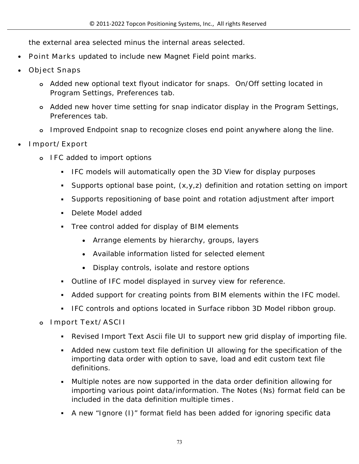the external area selected minus the internal areas selected.

- **Point Marks** updated to include new Magnet Field point marks.
- **Object Snaps**
	- **o** Added new optional text flyout indicator for snaps. On/Off setting located in Program Settings, Preferences tab.
	- **o** Added new hover time setting for snap indicator display in the Program Settings, Preferences tab.
	- **o** Improved Endpoint snap to recognize closes end point anywhere along the line.
- **Import/Export**
	- **o IFC** added to import options
		- IFC models will automatically open the 3D View for display purposes
		- Supports optional base point, (x,y,z) definition and rotation setting on import
		- Supports repositioning of base point and rotation adjustment after import
		- Delete Model added
		- Tree control added for display of BIM elements
			- Arrange elements by hierarchy, groups, layers
			- Available information listed for selected element
			- Display controls, isolate and restore options
		- Outline of IFC model displayed in survey view for reference.
		- Added support for creating points from BIM elements within the IFC model.
		- **IFC controls and options located in Surface ribbon 3D Model ribbon group.**
	- **o Import Text/ASCII** 
		- Revised Import Text Ascii file UI to support new grid display of importing file.
		- Added new custom text file definition UI allowing for the specification of the importing data order with option to save, load and edit custom text file definitions.
		- Multiple notes are now supported in the data order definition allowing for importing various point data/information. The Notes (Ns) format field can be included in the data definition multiple times **.**
		- A new "Ignore (I)" format field has been added for ignoring specific data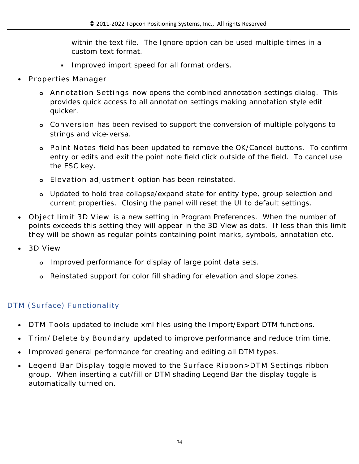within the text file. The Ignore option can be used multiple times in a custom text format.

- **Improved import speed for all format orders.**
- **Properties Manager**
	- **o Annotation Settings** now opens the combined annotation settings dialog. This provides quick access to all annotation settings making annotation style edit quicker.
	- **o Conversion** has been revised to support the conversion of multiple polygons to strings and vice-versa.
	- **o Point Notes** field has been updated to remove the OK/Cancel buttons. To confirm entry or edits and exit the point note field click outside of the field. To cancel use the ESC key.
	- **o Elevation adjustment** option has been reinstated.
	- **o** Updated to hold tree collapse/expand state for entity type, group selection and current properties. Closing the panel will reset the UI to default settings.
- **Object limit 3D View** is a new setting in Program Preferences. When the number of points exceeds this setting they will appear in the 3D View as dots. If less than this limit they will be shown as regular points containing point marks, symbols, annotation etc.
- **3D View**
	- **o** Improved performance for display of large point data sets.
	- **o** Reinstated support for color fill shading for elevation and slope zones.

# **DTM (Surface) Functionality**

- **DTM Tools** updated to include xml files using the Import/Export DTM functions.
- **Trim/Delete by Boundary** updated to improve performance and reduce trim time.
- Improved general performance for creating and editing all DTM types.
- **Legend Bar Display** toggle moved to the **Surface Ribbon>DTM Settings** ribbon group. When inserting a cut/fill or DTM shading Legend Bar the display toggle is automatically turned on.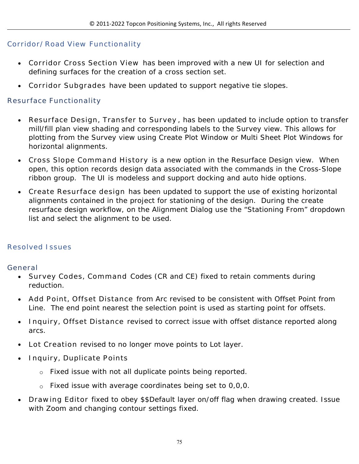### **Corridor/Road View Functionality**

- **Corridor Cross Section View** has been improved with a new UI for selection and defining surfaces for the creation of a cross section set.
- **Corridor Subgrades** have been updated to support negative tie slopes.

### **Resurface Functionality**

- **Resurface Design, Transfer to Survey** , has been updated to include option to transfer mill/fill plan view shading and corresponding labels to the Survey view. This allows for plotting from the Survey view using Create Plot Window or Multi Sheet Plot Windows for horizontal alignments.
- **Cross Slope Command History** is a new option in the Resurface Design view. When open, this option records design data associated with the commands in the Cross-Slope ribbon group. The UI is modeless and support docking and auto hide options.
- **Create Resurface design** has been updated to support the use of existing horizontal alignments contained in the project for stationing of the design. During the create resurface design workflow, on the Alignment Dialog use the "Stationing From" dropdown list and select the alignment to be used.

### **Resolved Issues**

### **General**

- **Survey Codes, Command** Codes (CR and CE) fixed to retain comments during reduction.
- **Add Point, Offset Distance** from Arc revised to be consistent with Offset Point from Line. The end point nearest the selection point is used as starting point for offsets.
- **Inquiry, Offset Distance** revised to correct issue with offset distance reported along arcs.
- **Lot Creation** revised to no longer move points to Lot layer.
- **Inquiry, Duplicate Points** 
	- o Fixed issue with not all duplicate points being reported.
	- $\circ$  Fixed issue with average coordinates being set to 0,0,0.
- **Drawing Editor** fixed to obey \$\$Default layer on/off flag when drawing created. Issue with Zoom and changing contour settings fixed.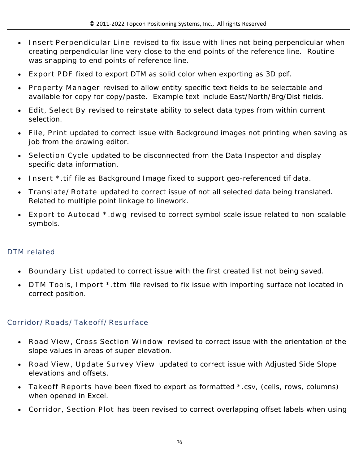- **Insert Perpendicular Line** revised to fix issue with lines not being perpendicular when creating perpendicular line very close to the end points of the reference line. Routine was snapping to end points of reference line.
- **Export PDF** fixed to export DTM as solid color when exporting as 3D pdf.
- **Property Manager** revised to allow entity specific text fields to be selectable and available for copy for copy/paste. Example text include East/North/Brg/Dist fields.
- **Edit, Select By** revised to reinstate ability to select data types from within current selection.
- **File, Print** updated to correct issue with Background images not printing when saving as job from the drawing editor.
- **Selection Cycle** updated to be disconnected from the Data Inspector and display specific data information.
- **Insert \*.tif** file as Background Image fixed to support geo-referenced tif data.
- **Translate/Rotate** updated to correct issue of not all selected data being translated. Related to multiple point linkage to linework.
- **Export to Autocad \*.dwg** revised to correct symbol scale issue related to non-scalable symbols.

# **DTM related**

- **Boundary List** updated to correct issue with the first created list not being saved.
- **DTM Tools, Import \*.ttm** file revised to fix issue with importing surface not located in correct position.

# **Corridor/Roads/Takeoff/Resurface**

- **Road View, Cross Section Window** revised to correct issue with the orientation of the slope values in areas of super elevation.
- **Road View, Update Survey View** updated to correct issue with Adjusted Side Slope elevations and offsets.
- **Takeoff Reports** have been fixed to export as formatted \*.csv, (cells, rows, columns) when opened in Excel.
- **Corridor, Section Plot** has been revised to correct overlapping offset labels when using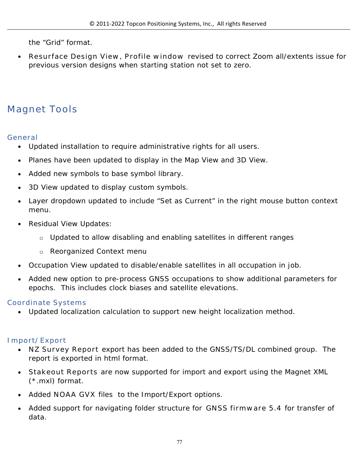the "Grid" format.

 **Resurface Design View, Profile window** revised to correct Zoom all/extents issue for previous version designs when starting station not set to zero.

# **Magnet Tools**

### **General**

- Updated installation to require administrative rights for all users.
- Planes have been updated to display in the Map View and 3D View.
- Added new symbols to base symbol library.
- 3D View updated to display custom symbols.
- Layer dropdown updated to include "Set as Current" in the right mouse button context menu.
- Residual View Updates:
	- o Updated to allow disabling and enabling satellites in different ranges
	- o Reorganized Context menu
- Occupation View updated to disable/enable satellites in all occupation in job.
- Added new option to pre-process GNSS occupations to show additional parameters for epochs. This includes clock biases and satellite elevations.

# **Coordinate Systems**

Updated localization calculation to support new height localization method.

# **Import/Export**

- **NZ Survey Report** export has been added to the GNSS/TS/DL combined group. The report is exported in html format.
- **Stakeout Reports** are now supported for import and export using the Magnet XML (\*.mxl) format.
- Added **NOAA GVX** files to the Import/Export options.
- Added support for navigating folder structure for **GNSS firmware 5.4** for transfer of data.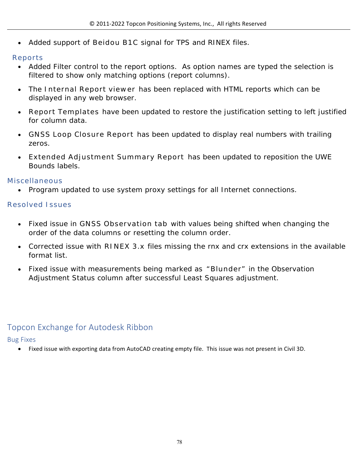Added support of **Beidou B1C** signal for TPS and RINEX files.

### **Reports**

- Added Filter control to the report options. As option names are typed the selection is filtered to show only matching options (report columns).
- The **Internal Report viewer** has been replaced with HTML reports which can be displayed in any web browser.
- **Report Templates** have been updated to restore the justification setting to left justified for column data.
- **GNSS Loop Closure Report** has been updated to display real numbers with trailing zeros.
- **Extended Adjustment Summary Report** has been updated to reposition the UWE Bounds labels.

### **Miscellaneous**

Program updated to use system proxy settings for all Internet connections.

### **Resolved Issues**

- Fixed issue in **GNSS Observation tab** with values being shifted when changing the order of the data columns or resetting the column order.
- Corrected issue with **RINEX 3.x** files missing the rnx and crx extensions in the available format list.
- Fixed issue with measurements being marked as **"Blunder"** in the Observation Adjustment Status column after successful Least Squares adjustment.

# Topcon Exchange for Autodesk Ribbon

### Bug Fixes

Fixed issue with exporting data from AutoCAD creating empty file. This issue was not present in Civil 3D.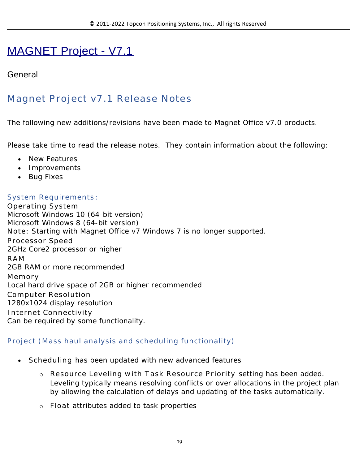# MAGNET Project - V7.1

# **General**

# **Magnet Project v7.1 Release Notes**

The following new additions/revisions have been made to Magnet Office v7.0 products.

Please take time to read the release notes. They contain information about the following:

- New Features
- Improvements
- Bug Fixes

### **System Requirements**:

**Operating System** Microsoft Windows 10 (64-bit version) Microsoft Windows 8 (64-bit version) **Note:** Starting with Magnet Office v7 Windows 7 is no longer supported. **Processor Speed** 2GHz Core2 processor or higher **RAM** 2GB RAM or more recommended **Memory** Local hard drive space of 2GB or higher recommended **Computer Resolution** 1280x1024 display resolution **Internet Connectivity** Can be required by some functionality.

### **Project (Mass haul analysis and scheduling functionality)**

- **Scheduling** has been updated with new advanced features
	- o **Resource Leveling with Task Resource Priority** setting has been added. Leveling typically means resolving conflicts or over allocations in the project plan by allowing the calculation of delays and updating of the tasks automatically.
	- o **Float** attributes added to task properties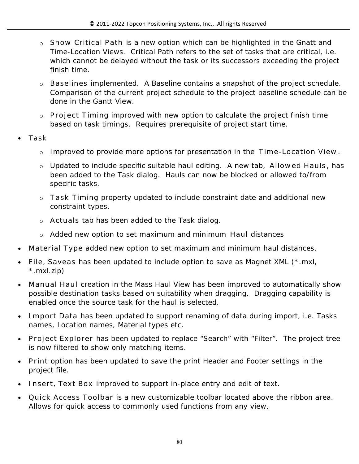- o **Show Critical Path** is a new option which can be highlighted in the Gnatt and Time-Location Views. Critical Path refers to the set of tasks that are critical, i.e. which cannot be delayed without the task or its successors exceeding the project finish time.
- o **Baselines** implemented. A Baseline contains a snapshot of the project schedule. Comparison of the current project schedule to the project baseline schedule can be done in the Gantt View.
- o **Project Timing** improved with new option to calculate the project finish time based on task timings. Requires prerequisite of project start time.
- **Task**
	- o Improved to provide more options for presentation in the **Time-Location View**.
	- o Updated to include specific suitable haul editing. A new tab, **Allowed Hauls**, has been added to the Task dialog. Hauls can now be blocked or allowed to/from specific tasks.
	- o **Task Timing** property updated to include constraint date and additional new constraint types.
	- o **Actuals** tab has been added to the Task dialog.
	- o Added new option to set maximum and minimum **Haul** distances
- **Material Type** added new option to set maximum and minimum haul distances.
- **File, Saveas** has been updated to include option to save as Magnet XML (\*.mxl, \*.mxl.zip)
- **Manual Haul** creation in the Mass Haul View has been improved to automatically show possible destination tasks based on suitability when dragging. Dragging capability is enabled once the source task for the haul is selected.
- **Import Data** has been updated to support renaming of data during import, i.e. Tasks names, Location names, Material types etc.
- **Project Explorer** has been updated to replace "Search" with "Filter". The project tree is now filtered to show only matching items.
- **Print** option has been updated to save the print Header and Footer settings in the project file.
- **Insert, Text Box** improved to support in-place entry and edit of text.
- **Quick Access Toolbar** is a new customizable toolbar located above the ribbon area. Allows for quick access to commonly used functions from any view.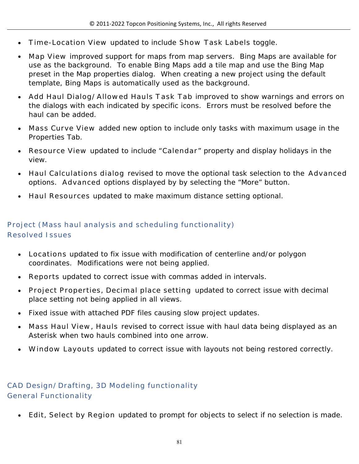- **Time-Location View** updated to include **Show Task Labels** toggle**.**
- **Map View** improved support for maps from map servers. Bing Maps are available for use as the background. To enable Bing Maps add a tile map and use the Bing Map preset in the Map properties dialog. When creating a new project using the default template, Bing Maps is automatically used as the background.
- **Add Haul Dialog/Allowed Hauls Task Tab** improved to show warnings and errors on the dialogs with each indicated by specific icons. Errors must be resolved before the haul can be added.
- **Mass Curve View** added new option to include only tasks with maximum usage in the Properties Tab.
- **Resource View** updated to include "**Calendar**" property and display holidays in the view.
- **Haul Calculations dialog** revised to move the optional task selection to the **Advanced** options. **Advanced** options displayed by by selecting the "More" button.
- **Haul Resources** updated to make maximum distance setting optional.

# **Project (Mass haul analysis and scheduling functionality) Resolved Issues**

- **Locations** updated to fix issue with modification of centerline and/or polygon coordinates. Modifications were not being applied.
- **Reports** updated to correct issue with commas added in intervals.
- **Project Properties, Decimal place setting** updated to correct issue with decimal place setting not being applied in all views.
- Fixed issue with attached PDF files causing slow project updates.
- **Mass Haul View, Hauls** revised to correct issue with haul data being displayed as an Asterisk when two hauls combined into one arrow.
- **Window Layouts** updated to correct issue with layouts not being restored correctly.

### **CAD Design/Drafting, 3D Modeling functionality General Functionality**

**Edit, Select by Region** updated to prompt for objects to select if no selection is made.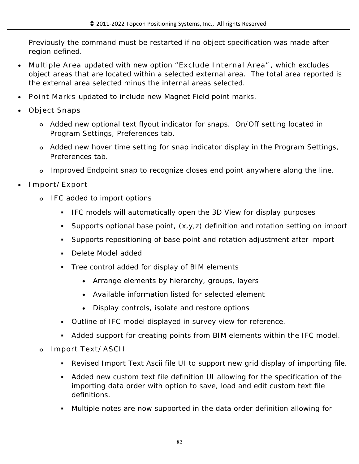Previously the command must be restarted if no object specification was made after region defined.

- **Multiple Area** updated with new option "**Exclude Internal Area"**, which excludes object areas that are located within a selected external area. The total area reported is the external area selected minus the internal areas selected.
- **Point Marks** updated to include new Magnet Field point marks.
- **Object Snaps**
	- **o** Added new optional text flyout indicator for snaps. On/Off setting located in Program Settings, Preferences tab.
	- **o** Added new hover time setting for snap indicator display in the Program Settings, Preferences tab.
	- **o** Improved Endpoint snap to recognize closes end point anywhere along the line.
- **Import/Export**
	- **o IFC** added to import options
		- **IFC models will automatically open the 3D View for display purposes**
		- Supports optional base point, (x,y,z) definition and rotation setting on import
		- Supports repositioning of base point and rotation adjustment after import
		- **Delete Model added**
		- Tree control added for display of BIM elements
			- Arrange elements by hierarchy, groups, layers
			- Available information listed for selected element
			- Display controls, isolate and restore options
		- Outline of IFC model displayed in survey view for reference.
		- Added support for creating points from BIM elements within the IFC model.

### **o Import Text/ASCII**

- Revised Import Text Ascii file UI to support new grid display of importing file.
- Added new custom text file definition UI allowing for the specification of the importing data order with option to save, load and edit custom text file definitions.
- Multiple notes are now supported in the data order definition allowing for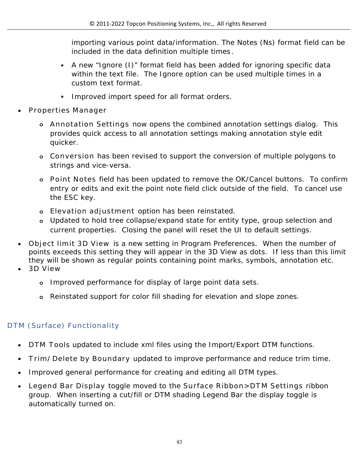importing various point data/information. The Notes (Ns) format field can be included in the data definition multiple times **.**

- A new "Ignore (I)" format field has been added for ignoring specific data within the text file. The Ignore option can be used multiple times in a custom text format.
- **Improved import speed for all format orders.**
- **Properties Manager**
	- **o Annotation Settings** now opens the combined annotation settings dialog. This provides quick access to all annotation settings making annotation style edit quicker.
	- **o Conversion** has been revised to support the conversion of multiple polygons to strings and vice-versa.
	- **o Point Notes** field has been updated to remove the OK/Cancel buttons. To confirm entry or edits and exit the point note field click outside of the field. To cancel use the ESC key.
	- **o Elevation adjustment** option has been reinstated.
	- **o** Updated to hold tree collapse/expand state for entity type, group selection and current properties. Closing the panel will reset the UI to default settings.
- **Object limit 3D View** is a new setting in Program Preferences. When the number of points exceeds this setting they will appear in the 3D View as dots. If less than this limit they will be shown as regular points containing point marks, symbols, annotation etc.
- **3D View**
	- **o** Improved performance for display of large point data sets.
	- **o** Reinstated support for color fill shading for elevation and slope zones.

# **DTM (Surface) Functionality**

- **DTM Tools updated to include xml files using the Import/Export DTM functions.**
- **Trim/Delete by Boundary** updated to improve performance and reduce trim time.
- Improved general performance for creating and editing all DTM types.
- **Legend Bar Display** toggle moved to the **Surface Ribbon>DTM Settings** ribbon group. When inserting a cut/fill or DTM shading Legend Bar the display toggle is automatically turned on.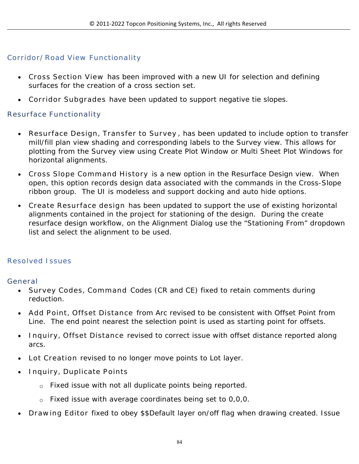### **Corridor/Road View Functionality**

- **Cross Section View** has been improved with a new UI for selection and defining surfaces for the creation of a cross section set.
- **Corridor Subgrades** have been updated to support negative tie slopes.

### **Resurface Functionality**

- **Resurface Design, Transfer to Survey** , has been updated to include option to transfer mill/fill plan view shading and corresponding labels to the Survey view. This allows for plotting from the Survey view using Create Plot Window or Multi Sheet Plot Windows for horizontal alignments.
- **Cross Slope Command History** is a new option in the Resurface Design view. When open, this option records design data associated with the commands in the Cross-Slope ribbon group. The UI is modeless and support docking and auto hide options.
- **Create Resurface design** has been updated to support the use of existing horizontal alignments contained in the project for stationing of the design. During the create resurface design workflow, on the Alignment Dialog use the "Stationing From" dropdown list and select the alignment to be used.

### **Resolved Issues**

#### **General**

- **Survey Codes, Command** Codes (CR and CE) fixed to retain comments during reduction.
- **Add Point, Offset Distance** from Arc revised to be consistent with Offset Point from Line. The end point nearest the selection point is used as starting point for offsets.
- **Inquiry, Offset Distance** revised to correct issue with offset distance reported along arcs.
- **Lot Creation** revised to no longer move points to Lot layer.
- **Inquiry, Duplicate Points** 
	- o Fixed issue with not all duplicate points being reported.
	- o Fixed issue with average coordinates being set to 0,0,0.
- **Drawing Editor** fixed to obey \$\$Default layer on/off flag when drawing created. Issue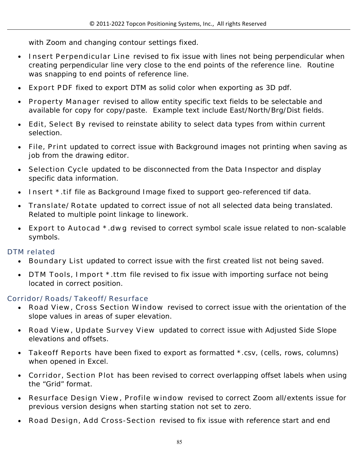with Zoom and changing contour settings fixed.

- **Insert Perpendicular Line** revised to fix issue with lines not being perpendicular when creating perpendicular line very close to the end points of the reference line. Routine was snapping to end points of reference line.
- **Export PDF** fixed to export DTM as solid color when exporting as 3D pdf.
- **Property Manager** revised to allow entity specific text fields to be selectable and available for copy for copy/paste. Example text include East/North/Brg/Dist fields.
- **Edit, Select By** revised to reinstate ability to select data types from within current selection.
- **File, Print** updated to correct issue with Background images not printing when saving as job from the drawing editor.
- **Selection Cycle** updated to be disconnected from the Data Inspector and display specific data information.
- **Insert \*.tif** file as Background Image fixed to support geo-referenced tif data.
- **Translate/Rotate** updated to correct issue of not all selected data being translated. Related to multiple point linkage to linework.
- **Export to Autocad \*.dwg** revised to correct symbol scale issue related to non-scalable symbols.

**DTM related**

- **Boundary List** updated to correct issue with the first created list not being saved.
- **DTM Tools, Import \*.ttm** file revised to fix issue with importing surface not being located in correct position.

### **Corridor/Roads/Takeoff/Resurface**

- **Road View, Cross Section Window** revised to correct issue with the orientation of the slope values in areas of super elevation.
- **Road View, Update Survey View** updated to correct issue with Adjusted Side Slope elevations and offsets.
- **Takeoff Reports** have been fixed to export as formatted \*.csv, (cells, rows, columns) when opened in Excel.
- **Corridor, Section Plot** has been revised to correct overlapping offset labels when using the "Grid" format.
- **Resurface Design View, Profile window** revised to correct Zoom all/extents issue for previous version designs when starting station not set to zero.
- **Road Design, Add Cross-Section** revised to fix issue with reference start and end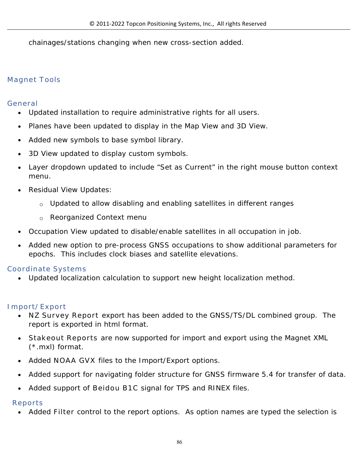chainages/stations changing when new cross-section added.

# **Magnet Tools**

### **General**

- Updated installation to require administrative rights for all users.
- Planes have been updated to display in the Map View and 3D View.
- Added new symbols to base symbol library.
- 3D View updated to display custom symbols.
- Layer dropdown updated to include "Set as Current" in the right mouse button context menu.
- Residual View Updates:
	- o Updated to allow disabling and enabling satellites in different ranges
	- o Reorganized Context menu
- Occupation View updated to disable/enable satellites in all occupation in job.
- Added new option to pre-process GNSS occupations to show additional parameters for epochs. This includes clock biases and satellite elevations.

# **Coordinate Systems**

Updated localization calculation to support new height localization method.

# **Import/Export**

- **NZ Survey Report** export has been added to the GNSS/TS/DL combined group. The report is exported in html format.
- **Stakeout Reports** are now supported for import and export using the Magnet XML (\*.mxl) format.
- Added **NOAA GVX** files to the Import/Export options.
- Added support for navigating folder structure for GNSS firmware 5.4 for transfer of data.
- Added support of **Beidou B1C** signal for TPS and RINEX files.

# **Reports**

Added **Filter** control to the report options. As option names are typed the selection is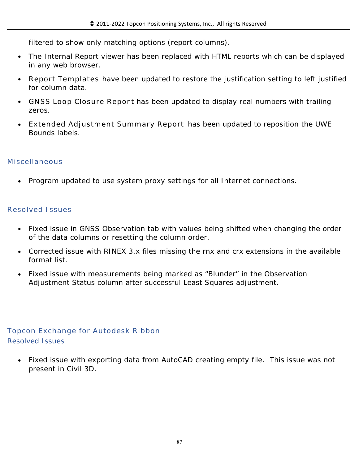filtered to show only matching options (report columns).

- The Internal Report viewer has been replaced with HTML reports which can be displayed in any web browser.
- **Report Templates** have been updated to restore the justification setting to left justified for column data.
- **GIOUR FILOOP CONCOTE:** Report has been updated to display real numbers with trailing zeros.
- **Extended Adjustment Summary Report** has been updated to reposition the UWE Bounds labels.

### **Miscellaneous**

Program updated to use system proxy settings for all Internet connections.

### **Resolved Issues**

- Fixed issue in GNSS Observation tab with values being shifted when changing the order of the data columns or resetting the column order.
- Corrected issue with RINEX 3.x files missing the rnx and crx extensions in the available format list.
- Fixed issue with measurements being marked as "Blunder" in the Observation Adjustment Status column after successful Least Squares adjustment.

### **Topcon Exchange for Autodesk Ribbon** Resolved Issues

 Fixed issue with exporting data from AutoCAD creating empty file. This issue was not present in Civil 3D.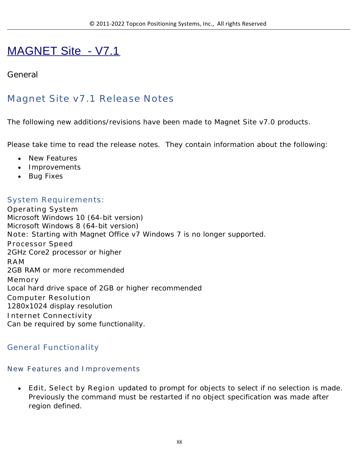# MAGNET Site - V7.1

# **General**

# **Magnet Site v7.1 Release Notes**

The following new additions/revisions have been made to Magnet Site v7.0 products.

Please take time to read the release notes. They contain information about the following:

- New Features
- Improvements
- Bug Fixes

### **System Requirements:**

**Operating System** Microsoft Windows 10 (64-bit version) Microsoft Windows 8 (64-bit version) **Note:** Starting with Magnet Office v7 Windows 7 is no longer supported. **Processor Speed** 2GHz Core2 processor or higher **RAM** 2GB RAM or more recommended **Memory** Local hard drive space of 2GB or higher recommended **Computer Resolution** 1280x1024 display resolution **Internet Connectivity** Can be required by some functionality.

### **General Functionality**

### **New Features and Improvements**

 **Edit, Select by Region** updated to prompt for objects to select if no selection is made. Previously the command must be restarted if no object specification was made after region defined.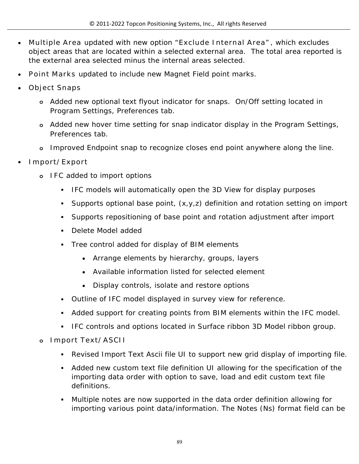- **Multiple Area** updated with new option "**Exclude Internal Area"**, which excludes object areas that are located within a selected external area. The total area reported is the external area selected minus the internal areas selected.
- **Point Marks** updated to include new Magnet Field point marks.
- **Object Snaps**
	- **o** Added new optional text flyout indicator for snaps. On/Off setting located in Program Settings, Preferences tab.
	- **o** Added new hover time setting for snap indicator display in the Program Settings, Preferences tab.
	- **o** Improved Endpoint snap to recognize closes end point anywhere along the line.
- **Import/Export**
	- **o IFC** added to import options
		- IFC models will automatically open the 3D View for display purposes
		- Supports optional base point,  $(x,y,z)$  definition and rotation setting on import
		- Supports repositioning of base point and rotation adjustment after import
		- Delete Model added
		- Tree control added for display of BIM elements
			- Arrange elements by hierarchy, groups, layers
			- Available information listed for selected element
			- Display controls, isolate and restore options
		- Outline of IFC model displayed in survey view for reference.
		- Added support for creating points from BIM elements within the IFC model.
		- **IFC controls and options located in Surface ribbon 3D Model ribbon group.**
	- **o Import Text/ASCII** 
		- Revised Import Text Ascii file UI to support new grid display of importing file.
		- Added new custom text file definition UI allowing for the specification of the importing data order with option to save, load and edit custom text file definitions.
		- Multiple notes are now supported in the data order definition allowing for importing various point data/information. The Notes (Ns) format field can be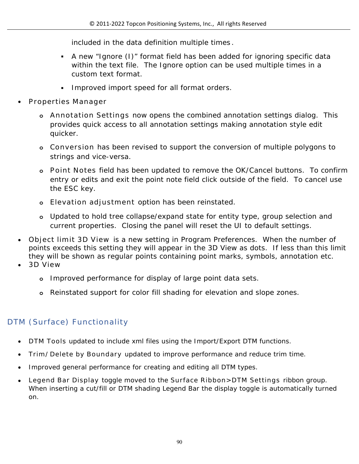included in the data definition multiple times **.**

- A new "Ignore (I)" format field has been added for ignoring specific data within the text file. The Ignore option can be used multiple times in a custom text format.
- Improved import speed for all format orders.
- **Properties Manager**
	- **o Annotation Settings** now opens the combined annotation settings dialog. This provides quick access to all annotation settings making annotation style edit quicker.
	- **o Conversion** has been revised to support the conversion of multiple polygons to strings and vice-versa.
	- **o Point Notes** field has been updated to remove the OK/Cancel buttons. To confirm entry or edits and exit the point note field click outside of the field. To cancel use the ESC key.
	- **o Elevation adjustment** option has been reinstated.
	- **o** Updated to hold tree collapse/expand state for entity type, group selection and current properties. Closing the panel will reset the UI to default settings.
- **Object limit 3D View** is a new setting in Program Preferences. When the number of points exceeds this setting they will appear in the 3D View as dots. If less than this limit they will be shown as regular points containing point marks, symbols, annotation etc.
- **3D View**
	- **o** Improved performance for display of large point data sets.
	- **o** Reinstated support for color fill shading for elevation and slope zones.

# **DTM (Surface) Functionality**

- **DTM Tools** updated to include xml files using the Import/Export DTM functions.
- **Trim/Delete by Boundary** updated to improve performance and reduce trim time.
- Improved general performance for creating and editing all DTM types.
- **Legend Bar Display** toggle moved to the **Surface Ribbon>DTM Settings** ribbon group. When inserting a cut/fill or DTM shading Legend Bar the display toggle is automatically turned on.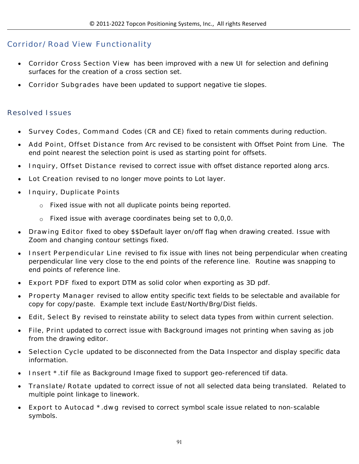### **Corridor/Road View Functionality**

- **Corridor Cross Section View** has been improved with a new UI for selection and defining surfaces for the creation of a cross section set.
- **Corridor Subgrades** have been updated to support negative tie slopes.

#### **Resolved Issues**

- **Survey Codes, Command** Codes (CR and CE) fixed to retain comments during reduction.
- **Add Point, Offset Distance** from Arc revised to be consistent with Offset Point from Line. The end point nearest the selection point is used as starting point for offsets.
- **Inquiry, Offset Distance** revised to correct issue with offset distance reported along arcs.
- **Lot Creation** revised to no longer move points to Lot layer.
- **Inquiry, Duplicate Points** 
	- o Fixed issue with not all duplicate points being reported.
	- o Fixed issue with average coordinates being set to 0,0,0.
- **Drawing Editor** fixed to obey \$\$Default layer on/off flag when drawing created. Issue with Zoom and changing contour settings fixed.
- **Insert Perpendicular Line** revised to fix issue with lines not being perpendicular when creating perpendicular line very close to the end points of the reference line. Routine was snapping to end points of reference line.
- **Export PDF** fixed to export DTM as solid color when exporting as 3D pdf.
- **Property Manager** revised to allow entity specific text fields to be selectable and available for copy for copy/paste. Example text include East/North/Brg/Dist fields.
- **Edit, Select By** revised to reinstate ability to select data types from within current selection.
- **File, Print** updated to correct issue with Background images not printing when saving as job from the drawing editor.
- **Selection Cycle** updated to be disconnected from the Data Inspector and display specific data information.
- **Insert \*.tif** file as Background Image fixed to support geo-referenced tif data.
- **Translate/Rotate** updated to correct issue of not all selected data being translated. Related to multiple point linkage to linework.
- **Export to Autocad \*.dwg** revised to correct symbol scale issue related to non-scalable symbols.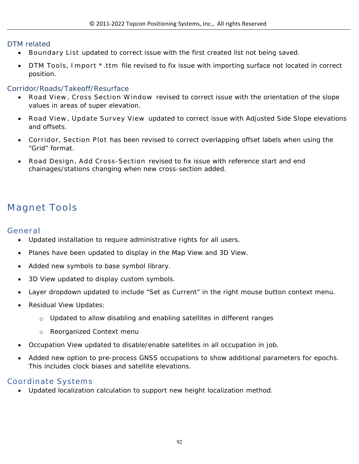#### DTM related

- **Boundary List** updated to correct issue with the first created list not being saved.
- **DTM Tools, Import \*.ttm** file revised to fix issue with importing surface not located in correct position.

#### Corridor/Roads/Takeoff/Resurface

- **Road View, Cross Section Window** revised to correct issue with the orientation of the slope values in areas of super elevation.
- **Road View, Update Survey View** updated to correct issue with Adjusted Side Slope elevations and offsets.
- **Corridor, Section Plot** has been revised to correct overlapping offset labels when using the "Grid" format.
- **Road Design, Add Cross-Section** revised to fix issue with reference start and end chainages/stations changing when new cross-section added.

# **Magnet Tools**

#### **General**

- Updated installation to require administrative rights for all users.
- Planes have been updated to display in the Map View and 3D View.
- Added new symbols to base symbol library.
- 3D View updated to display custom symbols.
- Layer dropdown updated to include "Set as Current" in the right mouse button context menu.
- Residual View Updates:
	- $\circ$  Updated to allow disabling and enabling satellites in different ranges
	- o Reorganized Context menu
- Occupation View updated to disable/enable satellites in all occupation in job.
- Added new option to pre-process GNSS occupations to show additional parameters for epochs. This includes clock biases and satellite elevations.

### **Coordinate Systems**

Updated localization calculation to support new height localization method.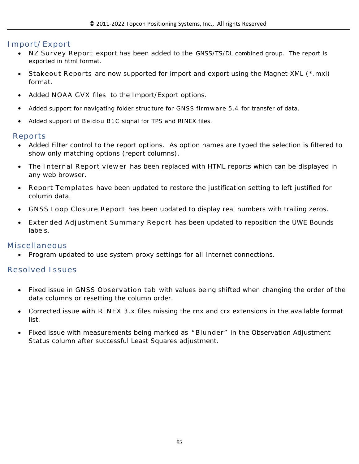### **Import/Export**

- **NZ Survey Report** export has been added to the GNSS/TS/DL combined group. The report is exported in html format.
- **Stakeout Reports** are now supported for import and export using the Magnet XML (\*.mxl) format.
- Added **NOAA GVX** files to the Import/Export options.
- Added support for navigating folder struc ture for **GNSS firmware 5.4** for transfer of data.
- Added support of **Beidou B1C** signal for TPS and RINEX files.

#### **Reports**

- Added Filter control to the report options. As option names are typed the selection is filtered to show only matching options (report columns).
- The **Internal Report viewer** has been replaced with HTML reports which can be displayed in any web browser.
- **Report Templates** have been updated to restore the justification setting to left justified for column data.
- **GNSS Loop Closure Report** has been updated to display real numbers with trailing zeros.
- **Extended Adjustment Summary Report** has been updated to reposition the UWE Bounds labels.

#### **Miscellaneous**

Program updated to use system proxy settings for all Internet connections.

#### **Resolved Issues**

- Fixed issue in **GNSS Observation tab** with values being shifted when changing the order of the data columns or resetting the column order.
- Corrected issue with **RINEX 3.x** files missing the rnx and crx extensions in the available format list.
- Fixed issue with measurements being marked as **"Blunder"** in the Observation Adjustment Status column after successful Least Squares adjustment.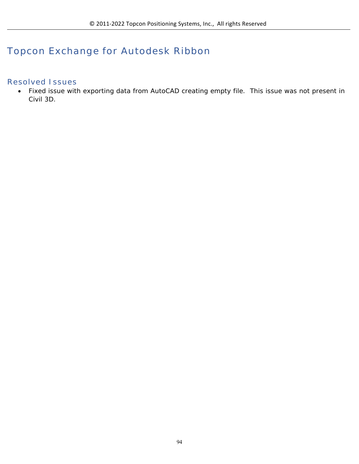# **Topcon Exchange for Autodesk Ribbon**

### **Resolved Issues**

 Fixed issue with exporting data from AutoCAD creating empty file. This issue was not present in Civil 3D.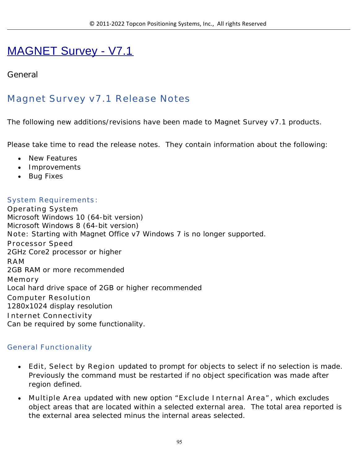# MAGNET Survey - V7.1

# **General**

# **Magnet Survey v7.1 Release Notes**

The following new additions/revisions have been made to Magnet Survey v7.1 products.

Please take time to read the release notes. They contain information about the following:

- New Features
- Improvements
- Bug Fixes

### **System Requirements**:

**Operating System** Microsoft Windows 10 (64-bit version) Microsoft Windows 8 (64-bit version) **Note:** Starting with Magnet Office v7 Windows 7 is no longer supported. **Processor Speed** 2GHz Core2 processor or higher **RAM** 2GB RAM or more recommended **Memory** Local hard drive space of 2GB or higher recommended **Computer Resolution** 1280x1024 display resolution **Internet Connectivity** Can be required by some functionality.

### **General Functionality**

- **Edit, Select by Region** updated to prompt for objects to select if no selection is made. Previously the command must be restarted if no object specification was made after region defined.
- **Multiple Area** updated with new option "**Exclude Internal Area"**, which excludes object areas that are located within a selected external area. The total area reported is the external area selected minus the internal areas selected.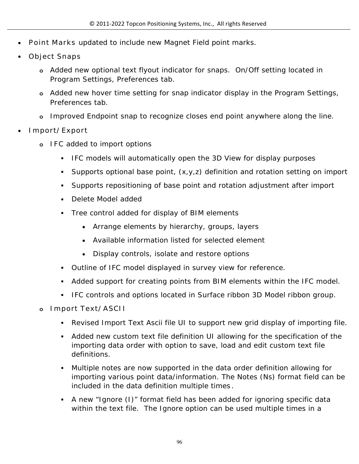- **Point Marks** updated to include new Magnet Field point marks.
- **Object Snaps**
	- **o** Added new optional text flyout indicator for snaps. On/Off setting located in Program Settings, Preferences tab.
	- **o** Added new hover time setting for snap indicator display in the Program Settings, Preferences tab.
	- **o** Improved Endpoint snap to recognize closes end point anywhere along the line.
- **Import/Export**
	- **o IFC** added to import options
		- **IFC models will automatically open the 3D View for display purposes**
		- Supports optional base point, (x,y,z) definition and rotation setting on import
		- Supports repositioning of base point and rotation adjustment after import
		- Delete Model added
		- Tree control added for display of BIM elements
			- Arrange elements by hierarchy, groups, layers
			- Available information listed for selected element
			- Display controls, isolate and restore options
		- Outline of IFC model displayed in survey view for reference.
		- Added support for creating points from BIM elements within the IFC model.
		- **IFC controls and options located in Surface ribbon 3D Model ribbon group.**
	- **o Import Text/ASCII** 
		- Revised Import Text Ascii file UI to support new grid display of importing file.
		- Added new custom text file definition UI allowing for the specification of the importing data order with option to save, load and edit custom text file definitions.
		- Multiple notes are now supported in the data order definition allowing for importing various point data/information. The Notes (Ns) format field can be included in the data definition multiple times **.**
		- A new "Ignore (I)" format field has been added for ignoring specific data within the text file. The Ignore option can be used multiple times in a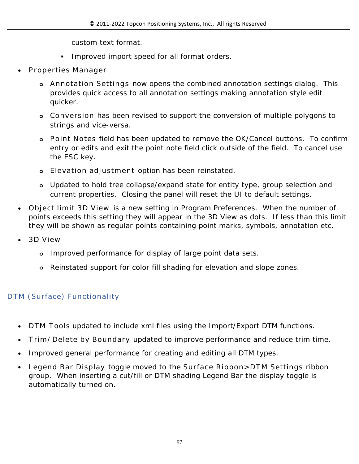custom text format.

- **Improved import speed for all format orders.**
- **Properties Manager**
	- **o Annotation Settings** now opens the combined annotation settings dialog. This provides quick access to all annotation settings making annotation style edit quicker.
	- **o Conversion** has been revised to support the conversion of multiple polygons to strings and vice-versa.
	- **o Point Notes** field has been updated to remove the OK/Cancel buttons. To confirm entry or edits and exit the point note field click outside of the field. To cancel use the ESC key.
	- **o Elevation adjustment** option has been reinstated.
	- **o** Updated to hold tree collapse/expand state for entity type, group selection and current properties. Closing the panel will reset the UI to default settings.
- **Object limit 3D View** is a new setting in Program Preferences. When the number of points exceeds this setting they will appear in the 3D View as dots. If less than this limit they will be shown as regular points containing point marks, symbols, annotation etc.
- **3D View**
	- **o** Improved performance for display of large point data sets.
	- **o** Reinstated support for color fill shading for elevation and slope zones.

# **DTM (Surface) Functionality**

- **DTM Tools updated to include xml files using the Import/Export DTM functions.**
- **Trim/Delete by Boundary** updated to improve performance and reduce trim time.
- Improved general performance for creating and editing all DTM types.
- **Legend Bar Display** toggle moved to the **Surface Ribbon>DTM Settings** ribbon group. When inserting a cut/fill or DTM shading Legend Bar the display toggle is automatically turned on.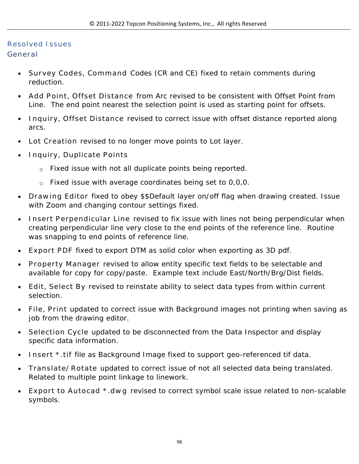# **Resolved Issues**

# **General**

- **Survey Codes, Command** Codes (CR and CE) fixed to retain comments during reduction.
- **Add Point, Offset Distance** from Arc revised to be consistent with Offset Point from Line. The end point nearest the selection point is used as starting point for offsets.
- **Inquiry, Offset Distance** revised to correct issue with offset distance reported along arcs.
- **Lot Creation** revised to no longer move points to Lot layer.
- **Inquiry, Duplicate Points** 
	- o Fixed issue with not all duplicate points being reported.
	- o Fixed issue with average coordinates being set to 0,0,0.
- **Drawing Editor** fixed to obey \$\$Default layer on/off flag when drawing created. Issue with Zoom and changing contour settings fixed.
- **Insert Perpendicular Line** revised to fix issue with lines not being perpendicular when creating perpendicular line very close to the end points of the reference line. Routine was snapping to end points of reference line.
- **Export PDF** fixed to export DTM as solid color when exporting as 3D pdf.
- **Property Manager** revised to allow entity specific text fields to be selectable and available for copy for copy/paste. Example text include East/North/Brg/Dist fields.
- **Edit, Select By** revised to reinstate ability to select data types from within current selection.
- **File, Print** updated to correct issue with Background images not printing when saving as job from the drawing editor.
- **Selection Cycle** updated to be disconnected from the Data Inspector and display specific data information.
- **Insert \*.tif** file as Background Image fixed to support geo-referenced tif data.
- **Translate/Rotate** updated to correct issue of not all selected data being translated. Related to multiple point linkage to linework.
- **Export to Autocad \*.dwg** revised to correct symbol scale issue related to non-scalable symbols.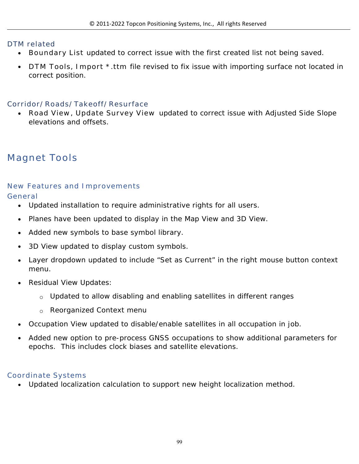### **DTM related**

- **Boundary List** updated to correct issue with the first created list not being saved.
- **DTM Tools, Import \*.ttm** file revised to fix issue with importing surface not located in correct position.

### **Corridor/Roads/Takeoff/Resurface**

 **Road View, Update Survey View** updated to correct issue with Adjusted Side Slope elevations and offsets.

# **Magnet Tools**

### **New Features and Improvements**

**General**

- Updated installation to require administrative rights for all users.
- Planes have been updated to display in the Map View and 3D View.
- Added new symbols to base symbol library.
- 3D View updated to display custom symbols.
- Layer dropdown updated to include "Set as Current" in the right mouse button context menu.
- Residual View Updates:
	- o Updated to allow disabling and enabling satellites in different ranges
	- o Reorganized Context menu
- Occupation View updated to disable/enable satellites in all occupation in job.
- Added new option to pre-process GNSS occupations to show additional parameters for epochs. This includes clock biases and satellite elevations.

# **Coordinate Systems**

Updated localization calculation to support new height localization method.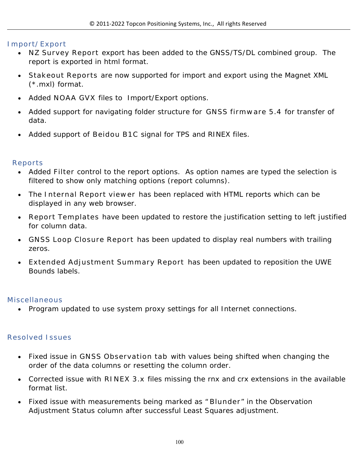### **Import/Export**

- **NZ Survey Report** export has been added to the GNSS/TS/DL combined group. The report is exported in html format.
- **Stakeout Reports** are now supported for import and export using the Magnet XML (\*.mxl) format.
- Added **NOAA GVX** files to Import/Export options.
- Added support for navigating folder structure for **GNSS firmware 5.4** for transfer of data.
- Added support of **Beidou B1C** signal for TPS and RINEX files.

### **Reports**

- Added **Filter** control to the report options. As option names are typed the selection is filtered to show only matching options (report columns).
- The **Internal Report viewer** has been replaced with HTML reports which can be displayed in any web browser.
- **Report Templates** have been updated to restore the justification setting to left justified for column data.
- **GNSS Loop Closure Report** has been updated to display real numbers with trailing zeros.
- **Extended Adjustment Summary Report** has been updated to reposition the UWE Bounds labels.

### **Miscellaneous**

Program updated to use system proxy settings for all Internet connections.

### **Resolved Issues**

- Fixed issue in **GNSS Observation tab** with values being shifted when changing the order of the data columns or resetting the column order.
- Corrected issue with **RINEX 3.x** files missing the rnx and crx extensions in the available format list.
- Fixed issue with measurements being marked as " **Blunder**" in the Observation Adjustment Status column after successful Least Squares adjustment.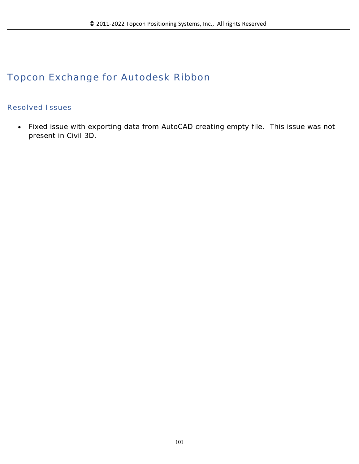# **Topcon Exchange for Autodesk Ribbon**

### **Resolved Issues**

 Fixed issue with exporting data from AutoCAD creating empty file. This issue was not present in Civil 3D.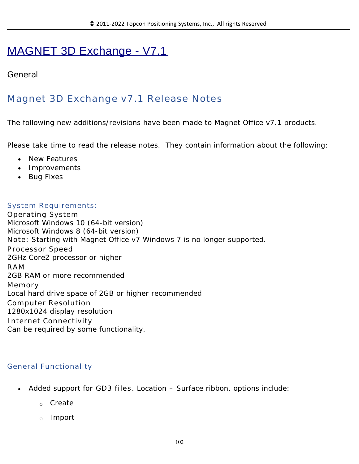# MAGNET 3D Exchange - V7.1

# **General**

# **Magnet 3D Exchange v7.1 Release Notes**

The following new additions/revisions have been made to Magnet Office v7.1 products.

Please take time to read the release notes. They contain information about the following:

- New Features
- Improvements
- Bug Fixes

#### **System Requirements:**

**Operating System** Microsoft Windows 10 (64-bit version) Microsoft Windows 8 (64-bit version) **Note:** Starting with Magnet Office v7 Windows 7 is no longer supported. **Processor Speed** 2GHz Core2 processor or higher **RAM** 2GB RAM or more recommended **Memory** Local hard drive space of 2GB or higher recommended **Computer Resolution** 1280x1024 display resolution **Internet Connectivity** Can be required by some functionality.

### **General Functionality**

- Added support for **GD3 files**. Location Surface ribbon, options include:
	- o Create
	- o Import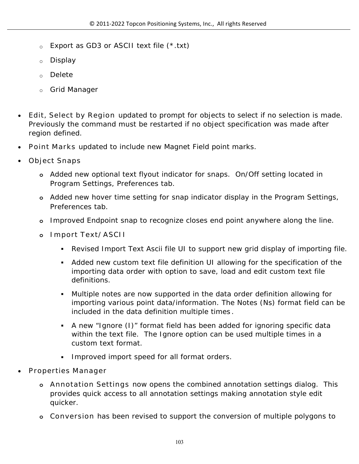- o Export as GD3 or ASCII text file (\*.txt)
- o Display
- o Delete
- o Grid Manager
- **Edit, Select by Region** updated to prompt for objects to select if no selection is made. Previously the command must be restarted if no object specification was made after region defined.
- **Point Marks** updated to include new Magnet Field point marks.
- **Object Snaps**
	- **o** Added new optional text flyout indicator for snaps. On/Off setting located in Program Settings, Preferences tab.
	- **o** Added new hover time setting for snap indicator display in the Program Settings, Preferences tab.
	- **o** Improved Endpoint snap to recognize closes end point anywhere along the line.
	- **o Import Text/ASCII** 
		- Revised Import Text Ascii file UI to support new grid display of importing file.
		- Added new custom text file definition UI allowing for the specification of the importing data order with option to save, load and edit custom text file definitions.
		- Multiple notes are now supported in the data order definition allowing for importing various point data/information. The Notes (Ns) format field can be included in the data definition multiple times **.**
		- A new "Ignore (I)" format field has been added for ignoring specific data within the text file. The Ignore option can be used multiple times in a custom text format.
		- Improved import speed for all format orders.
- **Properties Manager**
	- **o Annotation Settings** now opens the combined annotation settings dialog. This provides quick access to all annotation settings making annotation style edit quicker.
	- **o Conversion** has been revised to support the conversion of multiple polygons to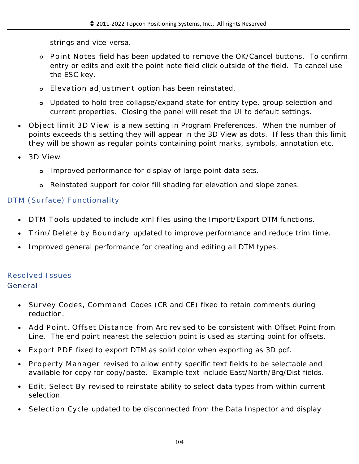strings and vice-versa.

- **o Point Notes** field has been updated to remove the OK/Cancel buttons. To confirm entry or edits and exit the point note field click outside of the field. To cancel use the ESC key.
- **o Elevation adjustment** option has been reinstated.
- **o** Updated to hold tree collapse/expand state for entity type, group selection and current properties. Closing the panel will reset the UI to default settings.
- **Object limit 3D View** is a new setting in Program Preferences. When the number of points exceeds this setting they will appear in the 3D View as dots. If less than this limit they will be shown as regular points containing point marks, symbols, annotation etc.
- **3D View**
	- **o** Improved performance for display of large point data sets.
	- **o** Reinstated support for color fill shading for elevation and slope zones.

### **DTM (Surface) Functionality**

- **DTM Tools** updated to include xml files using the Import/Export DTM functions.
- **Trim/Delete by Boundary** updated to improve performance and reduce trim time.
- Improved general performance for creating and editing all DTM types.

### **Resolved Issues**

### **General**

- **Survey Codes, Command** Codes (CR and CE) fixed to retain comments during reduction.
- **Add Point, Offset Distance** from Arc revised to be consistent with Offset Point from Line. The end point nearest the selection point is used as starting point for offsets.
- **Export PDF** fixed to export DTM as solid color when exporting as 3D pdf.
- **Property Manager** revised to allow entity specific text fields to be selectable and available for copy for copy/paste. Example text include East/North/Brg/Dist fields.
- **Edit, Select By** revised to reinstate ability to select data types from within current selection.
- **Selection Cycle** updated to be disconnected from the Data Inspector and display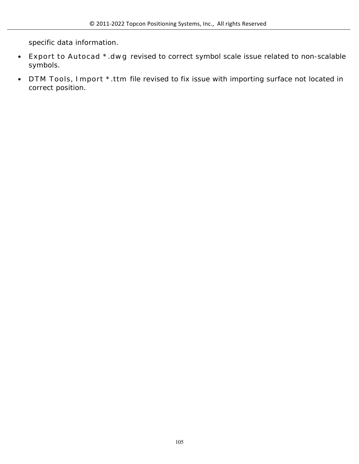specific data information.

- **Export to Autocad \*.dwg** revised to correct symbol scale issue related to non-scalable symbols.
- **DTM Tools, Import \*.ttm** file revised to fix issue with importing surface not located in correct position.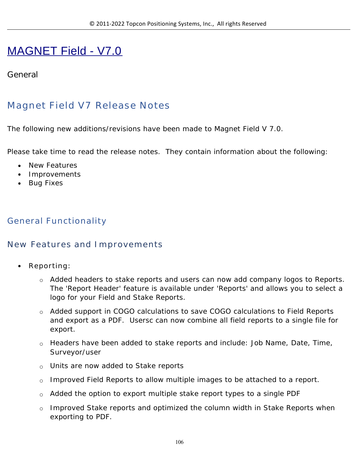# MAGNET Field - V7.0

# **General**

# **Magnet Field V7 Release Notes**

The following new additions/revisions have been made to Magnet Field V 7.0.

Please take time to read the release notes. They contain information about the following:

- New Features
- Improvements
- Bug Fixes

# **General Functionality**

### **New Features and Improvements**

- **Reporting:** 
	- o Added headers to stake reports and users can now add company logos to Reports. The 'Report Header' feature is available under 'Reports' and allows you to select a logo for your Field and Stake Reports.
	- o Added support in COGO calculations to save COGO calculations to Field Reports and export as a PDF. Usersc can now combine all field reports to a single file for export.
	- o Headers have been added to stake reports and include: Job Name, Date, Time, Surveyor/user
	- o Units are now added to Stake reports
	- o Improved Field Reports to allow multiple images to be attached to a report.
	- o Added the option to export multiple stake report types to a single PDF
	- $\circ$  Improved Stake reports and optimized the column width in Stake Reports when exporting to PDF.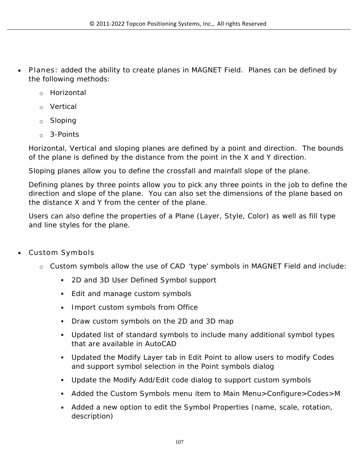- **Planes**: added the ability to create planes in MAGNET Field. Planes can be defined by the following methods:
	- o Horizontal
	- o Vertical
	- o Sloping
	- o 3-Points

Horizontal, Vertical and sloping planes are defined by a point and direction. The bounds of the plane is defined by the distance from the point in the X and Y direction.

Sloping planes allow you to define the crossfall and mainfall slope of the plane.

Defining planes by three points allow you to pick any three points in the job to define the direction and slope of the plane. You can also set the dimensions of the plane based on the distance X and Y from the center of the plane.

Users can also define the properties of a Plane (Layer, Style, Color) as well as fill type and line styles for the plane.

- **Custom Symbols**
	- o Custom symbols allow the use of CAD 'type' symbols in MAGNET Field and include:
		- 2D and 3D User Defined Symbol support
		- Edit and manage custom symbols
		- **Import custom symbols from Office**
		- Draw custom symbols on the 2D and 3D map
		- Updated list of standard symbols to include many additional symbol types that are available in AutoCAD
		- Updated the Modify Layer tab in Edit Point to allow users to modify Codes and support symbol selection in the Point symbols dialog
		- Update the Modify Add/Edit code dialog to support custom symbols
		- Added the Custom Symbols menu item to Main Menu>Configure>Codes>M
		- Added a new option to edit the Symbol Properties (name, scale, rotation, description)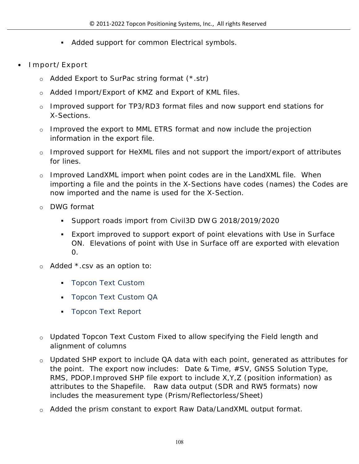- **Added support for common Electrical symbols.**
- **Import/Export**
	- o Added Export to SurPac string format (\*.str)
	- o Added Import/Export of KMZ and Export of KML files.
	- $\circ$  Improved support for TP3/RD3 format files and now support end stations for X-Sections.
	- $\circ$  Improved the export to MML ETRS format and now include the projection information in the export file.
	- $\circ$  Improved support for HeXML files and not support the import/export of attributes for lines.
	- $\circ$  Improved LandXML import when point codes are in the LandXML file. When importing a file and the points in the X-Sections have codes (names) the Codes are now imported and the name is used for the X-Section.
	- o DWG format
		- Support roads import from Civil3D DW G 2018/2019/2020
		- Export improved to support export of point elevations with Use in Surface ON. Elevations of point with Use in Surface off are exported with elevation  $\overline{0}$ .
	- o Added \*.csv as an option to:
		- **Topcon Text Custom**
		- **Topcon Text Custom QA**
		- **Topcon Text Report**
	- $\circ$  Updated Topcon Text Custom Fixed to allow specifying the Field length and alignment of columns
	- o Updated SHP export to include QA data with each point, generated as attributes for the point. The export now includes: Date & Time, #SV, GNSS Solution Type, RMS, PDOP.Improved SHP file export to include X,Y,Z (position information) as attributes to the Shapefile. Raw data output (SDR and RW5 formats) now includes the measurement type (Prism/Reflectorless/Sheet)
	- o Added the prism constant to export Raw Data/LandXML output format.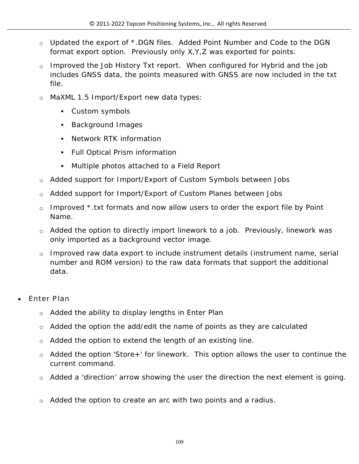- o Updated the export of \*.DGN files. Added Point Number and Code to the DGN format export option. Previously only X,Y,Z was exported for points.
- $\circ$  Improved the Job History Txt report. When configured for Hybrid and the job includes GNSS data, the points measured with GNSS are now included in the txt file.
- o MaXML 1.5 Import/Export new data types:
	- Custom symbols
	- **Background Images**
	- Network RTK information
	- **Full Optical Prism information**
	- Multiple photos attached to a Field Report
- o Added support for Import/Export of Custom Symbols between Jobs
- o Added support for Import/Export of Custom Planes between Jobs
- $\circ$  Improved \*.txt formats and now allow users to order the export file by Point Name.
- $\circ$  Added the option to directly import linework to a job. Previously, linework was only imported as a background vector image.
- o Improved raw data export to include instrument details (instrument name, serial number and ROM version) to the raw data formats that support the additional data.
- **Enter Plan**
	- $\circ$  Added the ability to display lengths in Enter Plan
	- $\circ$  Added the option the add/edit the name of points as they are calculated
	- $\circ$  Added the option to extend the length of an existing line.
	- $\circ$  Added the option 'Store+' for linework. This option allows the user to continue the current command.
	- $\circ$  Added a 'direction' arrow showing the user the direction the next element is going.
	- $\circ$  Added the option to create an arc with two points and a radius.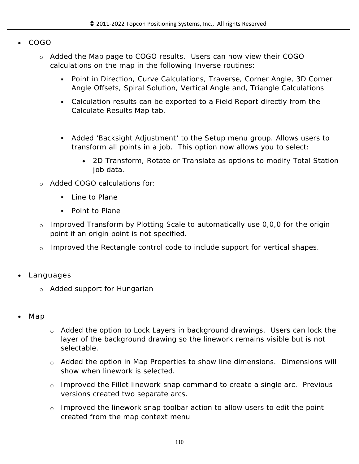- **COGO**
	- o Added the Map page to COGO results. Users can now view their COGO calculations on the map in the following Inverse routines:
		- Point in Direction, Curve Calculations, Traverse, Corner Angle, 3D Corner Angle Offsets, Spiral Solution, Vertical Angle and, Triangle Calculations
		- Calculation results can be exported to a Field Report directly from the Calculate Results Map tab.
		- Added 'Backsight Adjustment' to the Setup menu group. Allows users to transform all points in a job. This option now allows you to select:
			- 2D Transform, Rotate or Translate as options to modify Total Station job data.
	- Added COGO calculations for:
		- **Line to Plane**
		- Point to Plane
	- $\circ$  Improved Transform by Plotting Scale to automatically use 0,0,0 for the origin point if an origin point is not specified.
	- o Improved the Rectangle control code to include support for vertical shapes.
- **Languages**
	- o Added support for Hungarian
- **Map**
- o Added the option to Lock Layers in background drawings. Users can lock the layer of the background drawing so the linework remains visible but is not selectable.
- o Added the option in Map Properties to show line dimensions. Dimensions will show when linework is selected.
- o Improved the Fillet linework snap command to create a single arc. Previous versions created two separate arcs.
- $\circ$  Improved the linework snap toolbar action to allow users to edit the point created from the map context menu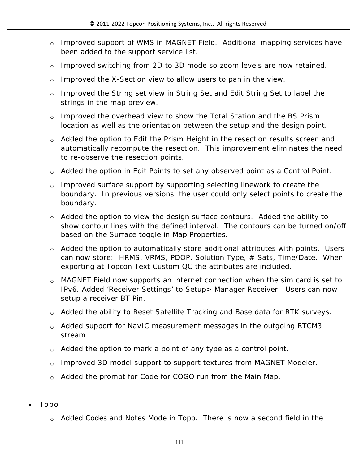- o Improved support of WMS in MAGNET Field. Additional mapping services have been added to the support service list.
- o Improved switching from 2D to 3D mode so zoom levels are now retained.
- $\circ$  Improved the X-Section view to allow users to pan in the view.
- o Improved the String set view in String Set and Edit String Set to label the strings in the map preview.
- o Improved the overhead view to show the Total Station and the BS Prism location as well as the orientation between the setup and the design point.
- o Added the option to Edit the Prism Height in the resection results screen and automatically recompute the resection. This improvement eliminates the need to re-observe the resection points.
- o Added the option in Edit Points to set any observed point as a Control Point.
- o Improved surface support by supporting selecting linework to create the boundary. In previous versions, the user could only select points to create the boundary.
- o Added the option to view the design surface contours. Added the ability to show contour lines with the defined interval. The contours can be turned on/off based on the Surface toggle in Map Properties.
- o Added the option to automatically store additional attributes with points. Users can now store: HRMS, VRMS, PDOP, Solution Type, # Sats, Time/Date. When exporting at Topcon Text Custom QC the attributes are included.
- o MAGNET Field now supports an internet connection when the sim card is set to IPv6. Added 'Receiver Settings' to Setup> Manager Receiver. Users can now setup a receiver BT Pin.
- o Added the ability to Reset Satellite Tracking and Base data for RTK surveys.
- o Added support for NavIC measurement messages in the outgoing RTCM3 stream
- $\circ$  Added the option to mark a point of any type as a control point.
- o Improved 3D model support to support textures from MAGNET Modeler.
- o Added the prompt for Code for COGO run from the Main Map.
- **Topo**
	- o Added Codes and Notes Mode in Topo. There is now a second field in the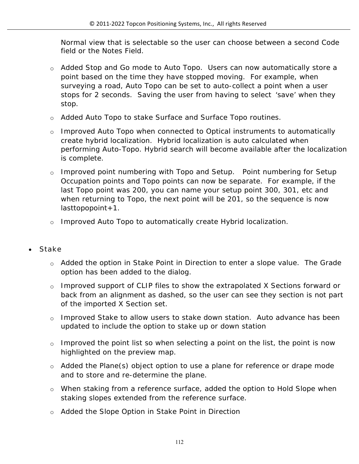Normal view that is selectable so the user can choose between a second Code field or the Notes Field.

- o Added Stop and Go mode to Auto Topo. Users can now automatically store a point based on the time they have stopped moving. For example, when surveying a road, Auto Topo can be set to auto-collect a point when a user stops for 2 seconds. Saving the user from having to select 'save' when they stop.
- o Added Auto Topo to stake Surface and Surface Topo routines.
- o Improved Auto Topo when connected to Optical instruments to automatically create hybrid localization. Hybrid localization is auto calculated when performing Auto-Topo. Hybrid search will become available after the localization is complete.
- o Improved point numbering with Topo and Setup. Point numbering for Setup Occupation points and Topo points can now be separate. For example, if the last Topo point was 200, you can name your setup point 300, 301, etc and when returning to Topo, the next point will be 201, so the sequence is now  $lasttopopoint + 1.$
- o Improved Auto Topo to automatically create Hybrid localization.
- **Stake**
	- $\circ$  Added the option in Stake Point in Direction to enter a slope value. The Grade option has been added to the dialog.
	- o Improved support of CLIP files to show the extrapolated X Sections forward or back from an alignment as dashed, so the user can see they section is not part of the imported X Section set.
	- o Improved Stake to allow users to stake down station. Auto advance has been updated to include the option to stake up or down station
	- $\circ$  Improved the point list so when selecting a point on the list, the point is now highlighted on the preview map.
	- o Added the Plane(s) object option to use a plane for reference or drape mode and to store and re-determine the plane.
	- o When staking from a reference surface, added the option to Hold Slope when staking slopes extended from the reference surface.
	- o Added the Slope Option in Stake Point in Direction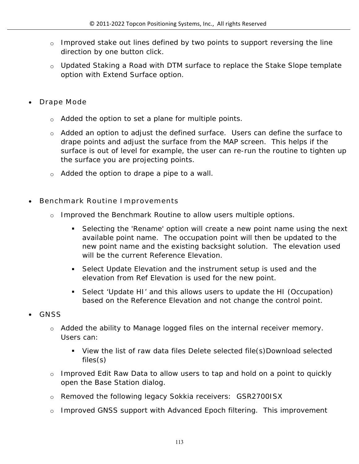- $\circ$  Improved stake out lines defined by two points to support reversing the line direction by one button click.
- o Updated Staking a Road with DTM surface to replace the Stake Slope template option with Extend Surface option.
- **Drape Mode**
	- o Added the option to set a plane for multiple points.
	- o Added an option to adjust the defined surface. Users can define the surface to drape points and adjust the surface from the MAP screen. This helps if the surface is out of level for example, the user can re-run the routine to tighten up the surface you are projecting points.
	- o Added the option to drape a pipe to a wall.
- **Benchmark Routine Improvements**
	- o Improved the Benchmark Routine to allow users multiple options.
		- Selecting the 'Rename' option will create a new point name using the next available point name. The occupation point will then be updated to the new point name and the existing backsight solution. The elevation used will be the current Reference Elevation.
		- Select Update Elevation and the instrument setup is used and the elevation from Ref Elevation is used for the new point.
		- Select 'Update HI' and this allows users to update the HI (Occupation) based on the Reference Elevation and not change the control point.
- **GNSS**
	- o Added the ability to Manage logged files on the internal receiver memory. Users can:
		- View the list of raw data files Delete selected file(s)Download selected files(s)
	- o Improved Edit Raw Data to allow users to tap and hold on a point to quickly open the Base Station dialog.
	- o Removed the following legacy Sokkia receivers: GSR2700ISX
	- o Improved GNSS support with Advanced Epoch filtering. This improvement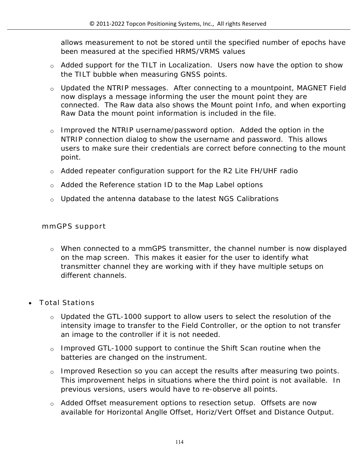allows measurement to not be stored until the specified number of epochs have been measured at the specified HRMS/VRMS values

- o Added support for the TILT in Localization. Users now have the option to show the TILT bubble when measuring GNSS points.
- o Updated the NTRIP messages. After connecting to a mountpoint, MAGNET Field now displays a message informing the user the mount point they are connected. The Raw data also shows the Mount point Info, and when exporting Raw Data the mount point information is included in the file.
- o Improved the NTRIP username/password option. Added the option in the NTRIP connection dialog to show the username and password. This allows users to make sure their credentials are correct before connecting to the mount point.
- o Added repeater configuration support for the R2 Lite FH/UHF radio
- o Added the Reference station ID to the Map Label options
- $\circ$  Updated the antenna database to the latest NGS Calibrations

#### **mmGPS support**

- o When connected to a mmGPS transmitter, the channel number is now displayed on the map screen. This makes it easier for the user to identify what transmitter channel they are working with if they have multiple setups on different channels.
- **Total Stations**
	- $\circ$  Updated the GTL-1000 support to allow users to select the resolution of the intensity image to transfer to the Field Controller, or the option to not transfer an image to the controller if it is not needed.
	- o Improved GTL-1000 support to continue the Shift Scan routine when the batteries are changed on the instrument.
	- o Improved Resection so you can accept the results after measuring two points. This improvement helps in situations where the third point is not available. In previous versions, users would have to re-observe all points.
	- o Added Offset measurement options to resection setup. Offsets are now available for Horizontal Anglle Offset, Horiz/Vert Offset and Distance Output.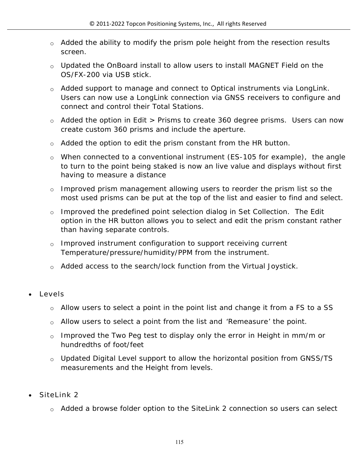- $\circ$  Added the ability to modify the prism pole height from the resection results screen.
- o Updated the OnBoard install to allow users to install MAGNET Field on the OS/FX-200 via USB stick.
- o Added support to manage and connect to Optical instruments via LongLink. Users can now use a LongLink connection via GNSS receivers to configure and connect and control their Total Stations.
- $\circ$  Added the option in Edit > Prisms to create 360 degree prisms. Users can now create custom 360 prisms and include the aperture.
- o Added the option to edit the prism constant from the HR button.
- o When connected to a conventional instrument (ES-105 for example), the angle to turn to the point being staked is now an live value and displays without first having to measure a distance
- o Improved prism management allowing users to reorder the prism list so the most used prisms can be put at the top of the list and easier to find and select.
- o Improved the predefined point selection dialog in Set Collection. The Edit option in the HR button allows you to select and edit the prism constant rather than having separate controls.
- $\circ$  Improved instrument configuration to support receiving current Temperature/pressure/humidity/PPM from the instrument.
- o Added access to the search/lock function from the Virtual Joystick.
- **Levels**
	- o Allow users to select a point in the point list and change it from a FS to a SS
	- $\circ$  Allow users to select a point from the list and 'Remeasure' the point.
	- o Improved the Two Peg test to display only the error in Height in mm/m or hundredths of foot/feet
	- o Updated Digital Level support to allow the horizontal position from GNSS/TS measurements and the Height from levels.
- **SiteLink 2**
	- o Added a browse folder option to the SiteLink 2 connection so users can select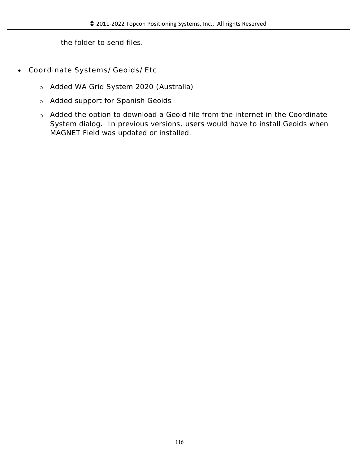the folder to send files.

- **Coordinate Systems/Geoids/Etc**
	- o Added WA Grid System 2020 (Australia)
	- o Added support for Spanish Geoids
	- o Added the option to download a Geoid file from the internet in the Coordinate System dialog. In previous versions, users would have to install Geoids when MAGNET Field was updated or installed.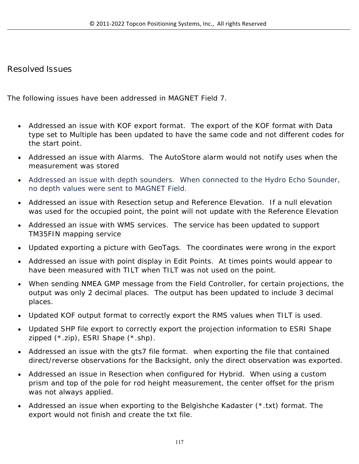### **Resolved Issues**

The following issues have been addressed in MAGNET Field 7.

- Addressed an issue with KOF export format. The export of the KOF format with Data type set to Multiple has been updated to have the same code and not different codes for the start point.
- Addressed an issue with Alarms. The AutoStore alarm would not notify uses when the measurement was stored
- Addressed an issue with depth sounders. When connected to the Hydro Echo Sounder, no depth values were sent to MAGNET Field.
- Addressed an issue with Resection setup and Reference Elevation. If a null elevation was used for the occupied point, the point will not update with the Reference Elevation
- Addressed an issue with WMS services. The service has been updated to support TM35FIN mapping service
- Updated exporting a picture with GeoTags. The coordinates were wrong in the export
- Addressed an issue with point display in Edit Points. At times points would appear to have been measured with TILT when TILT was not used on the point.
- When sending NMEA GMP message from the Field Controller, for certain projections, the output was only 2 decimal places. The output has been updated to include 3 decimal places.
- Updated KOF output format to correctly export the RMS values when TILT is used.
- Updated SHP file export to correctly export the projection information to ESRI Shape zipped (\*.zip), ESRI Shape (\*.shp).
- Addressed an issue with the gts7 file format. when exporting the file that contained direct/reverse observations for the Backsight, only the direct observation was exported.
- Addressed an issue in Resection when configured for Hybrid. When using a custom prism and top of the pole for rod height measurement, the center offset for the prism was not always applied.
- Addressed an issue when exporting to the Belgishche Kadaster (\*.txt) format. The export would not finish and create the txt file.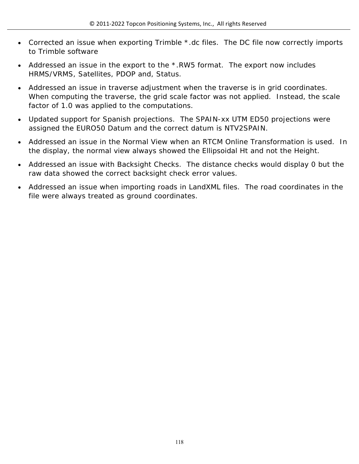- Corrected an issue when exporting Trimble \*.dc files. The DC file now correctly imports to Trimble software
- Addressed an issue in the export to the \*.RW5 format. The export now includes HRMS/VRMS, Satellites, PDOP and, Status.
- Addressed an issue in traverse adjustment when the traverse is in grid coordinates. When computing the traverse, the grid scale factor was not applied. Instead, the scale factor of 1.0 was applied to the computations.
- Updated support for Spanish projections. The SPAIN-xx UTM ED50 projections were assigned the EURO50 Datum and the correct datum is NTV2SPAIN.
- Addressed an issue in the Normal View when an RTCM Online Transformation is used. In the display, the normal view always showed the Ellipsoidal Ht and not the Height.
- Addressed an issue with Backsight Checks. The distance checks would display 0 but the raw data showed the correct backsight check error values.
- Addressed an issue when importing roads in LandXML files. The road coordinates in the file were always treated as ground coordinates.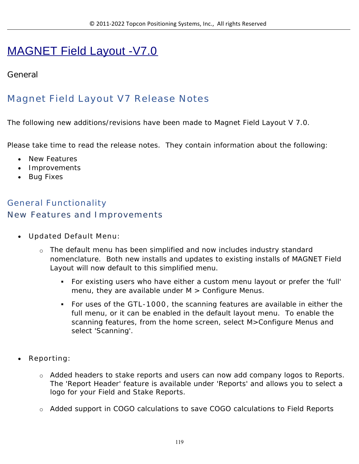# MAGNET Field Layout -V7.0

### **General**

# **Magnet Field Layout V7 Release Notes**

The following new additions/revisions have been made to Magnet Field Layout V 7.0.

Please take time to read the release notes. They contain information about the following:

- New Features
- Improvements
- Bug Fixes

### **General Functionality New Features and Improvements**

- **Updated Default Menu:**
	- o The default menu has been simplified and now includes industry standard nomenclature. Both new installs and updates to existing installs of MAGNET Field Layout will now default to this simplified menu.
		- For existing users who have either a custom menu layout or prefer the 'full' menu, they are available under  $M >$  Configure Menus.
		- For uses of the **GTL-1000**, the scanning features are available in either the full menu, or it can be enabled in the default layout menu. To enable the scanning features, from the home screen, select M>Configure Menus and select 'Scanning'.
- **Reporting:** 
	- o Added headers to stake reports and users can now add company logos to Reports. The 'Report Header' feature is available under 'Reports' and allows you to select a logo for your Field and Stake Reports.
	- o Added support in COGO calculations to save COGO calculations to Field Reports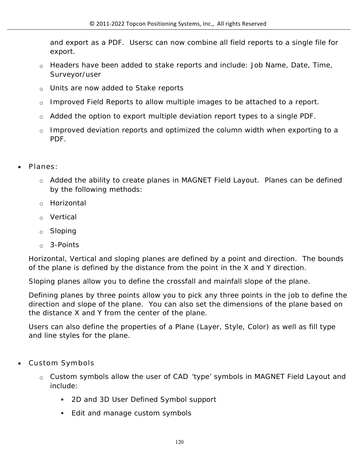and export as a PDF. Usersc can now combine all field reports to a single file for export.

- o Headers have been added to stake reports and include: Job Name, Date, Time, Surveyor/user
- o Units are now added to Stake reports
- o Improved Field Reports to allow multiple images to be attached to a report.
- o Added the option to export multiple deviation report types to a single PDF.
- o Improved deviation reports and optimized the column width when exporting to a PDF.
- **Planes**:
	- o Added the ability to create planes in MAGNET Field Layout. Planes can be defined by the following methods:
	- o Horizontal
	- o Vertical
	- o Sloping
	- o 3-Points

Horizontal, Vertical and sloping planes are defined by a point and direction. The bounds of the plane is defined by the distance from the point in the X and Y direction.

Sloping planes allow you to define the crossfall and mainfall slope of the plane.

Defining planes by three points allow you to pick any three points in the job to define the direction and slope of the plane. You can also set the dimensions of the plane based on the distance X and Y from the center of the plane.

Users can also define the properties of a Plane (Layer, Style, Color) as well as fill type and line styles for the plane.

- **Custom Symbols**
	- o Custom symbols allow the user of CAD 'type' symbols in MAGNET Field Layout and include:
		- 2D and 3D User Defined Symbol support
		- Edit and manage custom symbols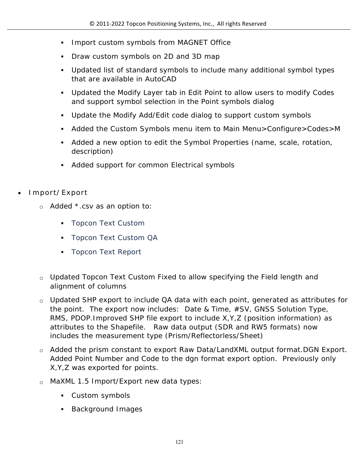- **Import custom symbols from MAGNET Office**
- Draw custom symbols on 2D and 3D map
- Updated list of standard symbols to include many additional symbol types that are available in AutoCAD
- Updated the Modify Layer tab in Edit Point to allow users to modify Codes and support symbol selection in the Point symbols dialog
- Update the Modify Add/Edit code dialog to support custom symbols
- Added the Custom Symbols menu item to Main Menu>Configure>Codes>M
- Added a new option to edit the Symbol Properties (name, scale, rotation, description)
- Added support for common Electrical symbols
- **Import/Export**
	- o Added \*.csv as an option to:
		- **Topcon Text Custom**
		- **Topcon Text Custom QA**
		- **Topcon Text Report**
	- o Updated Topcon Text Custom Fixed to allow specifying the Field length and alignment of columns
	- o Updated SHP export to include QA data with each point, generated as attributes for the point. The export now includes: Date & Time, #SV, GNSS Solution Type, RMS, PDOP.Improved SHP file export to include X,Y,Z (position information) as attributes to the Shapefile. Raw data output (SDR and RW5 formats) now includes the measurement type (Prism/Reflectorless/Sheet)
	- o Added the prism constant to export Raw Data/LandXML output format.DGN Export. Added Point Number and Code to the dgn format export option. Previously only X,Y,Z was exported for points.
	- o MaXML 1.5 Import/Export new data types:
		- Custom symbols
		- Background Images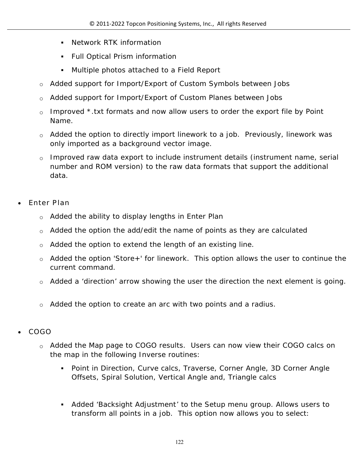- **Network RTK information**
- Full Optical Prism information
- Multiple photos attached to a Field Report
- o Added support for Import/Export of Custom Symbols between Jobs
- o Added support for Import/Export of Custom Planes between Jobs
- $\circ$  Improved \*.txt formats and now allow users to order the export file by Point Name.
- $\circ$  Added the option to directly import linework to a job. Previously, linework was only imported as a background vector image.
- o Improved raw data export to include instrument details (instrument name, serial number and ROM version) to the raw data formats that support the additional data.
- **Enter Plan**
	- o Added the ability to display lengths in Enter Plan
	- $\circ$  Added the option the add/edit the name of points as they are calculated
	- o Added the option to extend the length of an existing line.
	- o Added the option 'Store+' for linework. This option allows the user to continue the current command.
	- $\circ$  Added a 'direction' arrow showing the user the direction the next element is going.
	- $\circ$  Added the option to create an arc with two points and a radius.
- **COGO**
	- o Added the Map page to COGO results. Users can now view their COGO calcs on the map in the following Inverse routines:
		- Point in Direction, Curve calcs, Traverse, Corner Angle, 3D Corner Angle Offsets, Spiral Solution, Vertical Angle and, Triangle calcs
		- Added 'Backsight Adjustment' to the Setup menu group. Allows users to transform all points in a job. This option now allows you to select: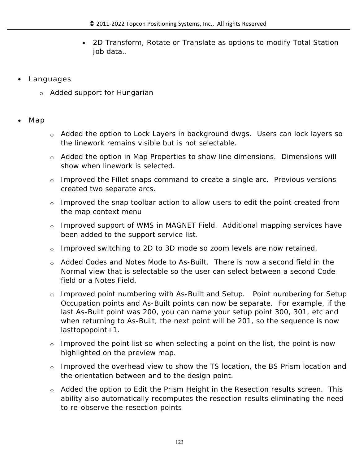- 2D Transform, Rotate or Translate as options to modify Total Station job data..
- **Languages**
	- o Added support for Hungarian
- **Map**
- o Added the option to Lock Layers in background dwgs. Users can lock layers so the linework remains visible but is not selectable.
- o Added the option in Map Properties to show line dimensions. Dimensions will show when linework is selected.
- $\circ$  Improved the Fillet snaps command to create a single arc. Previous versions created two separate arcs.
- $\circ$  Improved the snap toolbar action to allow users to edit the point created from the map context menu
- o Improved support of WMS in MAGNET Field. Additional mapping services have been added to the support service list.
- o Improved switching to 2D to 3D mode so zoom levels are now retained.
- o Added Codes and Notes Mode to As-Built. There is now a second field in the Normal view that is selectable so the user can select between a second Code field or a Notes Field.
- o Improved point numbering with As-Built and Setup. Point numbering for Setup Occupation points and As-Built points can now be separate. For example, if the last As-Built point was 200, you can name your setup point 300, 301, etc and when returning to As-Built, the next point will be 201, so the sequence is now lasttopopoint+1.
- $\circ$  Improved the point list so when selecting a point on the list, the point is now highlighted on the preview map.
- $\circ$  Improved the overhead view to show the TS location, the BS Prism location and the orientation between and to the design point.
- o Added the option to Edit the Prism Height in the Resection results screen. This ability also automatically recomputes the resection results eliminating the need to re-observe the resection points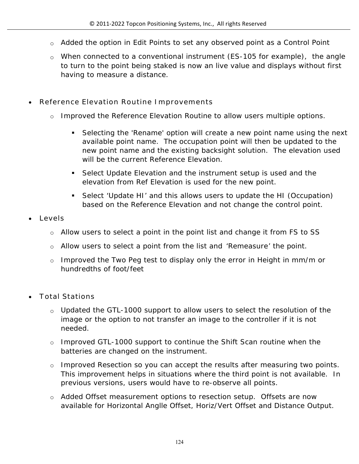- o Added the option in Edit Points to set any observed point as a Control Point
- o When connected to a conventional instrument (ES-105 for example), the angle to turn to the point being staked is now an live value and displays without first having to measure a distance.
- **Reference Elevation Routine Improvements**
	- o Improved the Reference Elevation Routine to allow users multiple options.
		- Selecting the 'Rename' option will create a new point name using the next available point name. The occupation point will then be updated to the new point name and the existing backsight solution. The elevation used will be the current Reference Elevation.
		- Select Update Elevation and the instrument setup is used and the elevation from Ref Elevation is used for the new point.
		- Select 'Update HI' and this allows users to update the HI (Occupation) based on the Reference Elevation and not change the control point.
- **Levels**
	- o Allow users to select a point in the point list and change it from FS to SS
	- o Allow users to select a point from the list and 'Remeasure' the point.
	- o Improved the Two Peg test to display only the error in Height in mm/m or hundredths of foot/feet
- **Total Stations**
	- $\circ$  Updated the GTL-1000 support to allow users to select the resolution of the image or the option to not transfer an image to the controller if it is not needed.
	- o Improved GTL-1000 support to continue the Shift Scan routine when the batteries are changed on the instrument.
	- o Improved Resection so you can accept the results after measuring two points. This improvement helps in situations where the third point is not available. In previous versions, users would have to re-observe all points.
	- o Added Offset measurement options to resection setup. Offsets are now available for Horizontal Anglle Offset, Horiz/Vert Offset and Distance Output.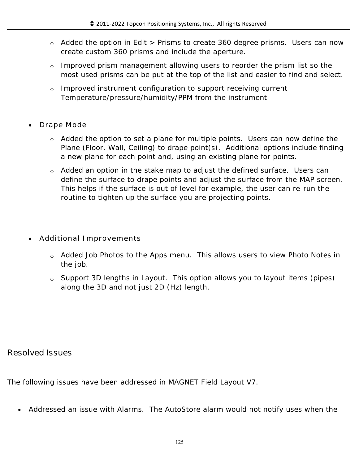- o Added the option in Edit > Prisms to create 360 degree prisms. Users can now create custom 360 prisms and include the aperture.
- o Improved prism management allowing users to reorder the prism list so the most used prisms can be put at the top of the list and easier to find and select.
- o Improved instrument configuration to support receiving current Temperature/pressure/humidity/PPM from the instrument
- **Drape Mode**
	- $\circ$  Added the option to set a plane for multiple points. Users can now define the Plane (Floor, Wall, Ceiling) to drape point(s). Additional options include finding a new plane for each point and, using an existing plane for points.
	- o Added an option in the stake map to adjust the defined surface. Users can define the surface to drape points and adjust the surface from the MAP screen. This helps if the surface is out of level for example, the user can re-run the routine to tighten up the surface you are projecting points.
- **Additional Improvements**
	- o Added Job Photos to the Apps menu. This allows users to view Photo Notes in the job.
	- o Support 3D lengths in Layout. This option allows you to layout items (pipes) along the 3D and not just 2D (Hz) length.

### **Resolved Issues**

The following issues have been addressed in MAGNET Field Layout V7.

Addressed an issue with Alarms. The AutoStore alarm would not notify uses when the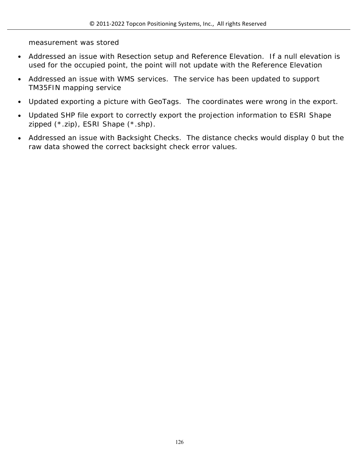measurement was stored

- Addressed an issue with Resection setup and Reference Elevation. If a null elevation is used for the occupied point, the point will not update with the Reference Elevation
- Addressed an issue with WMS services. The service has been updated to support TM35FIN mapping service
- Updated exporting a picture with GeoTags. The coordinates were wrong in the export.
- Updated SHP file export to correctly export the projection information to ESRI Shape zipped (\*.zip), ESRI Shape (\*.shp).
- Addressed an issue with Backsight Checks. The distance checks would display 0 but the raw data showed the correct backsight check error values.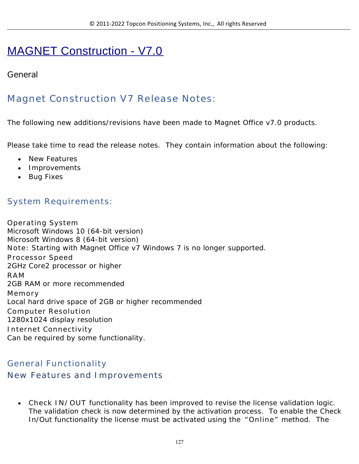# MAGNET Construction - V7.0

### **General**

# **Magnet Construction V7 Release Notes:**

The following new additions/revisions have been made to Magnet Office v7.0 products.

Please take time to read the release notes. They contain information about the following:

- New Features
- Improvements
- Bug Fixes

### **System Requirements:**

**Operating System** Microsoft Windows 10 (64-bit version) Microsoft Windows 8 (64-bit version) **Note:** Starting with Magnet Office v7 Windows 7 is no longer supported. **Processor Speed** 2GHz Core2 processor or higher **RAM** 2GB RAM or more recommended **Memory** Local hard drive space of 2GB or higher recommended **Computer Resolution** 1280x1024 display resolution **Internet Connectivity** Can be required by some functionality.

### **General Functionality New Features and Improvements**

 **Check IN/OUT** functionality has been improved to revise the license validation logic. The validation check is now determined by the activation process. To enable the Check In/Out functionality the license must be activated using the **"Online"** method. The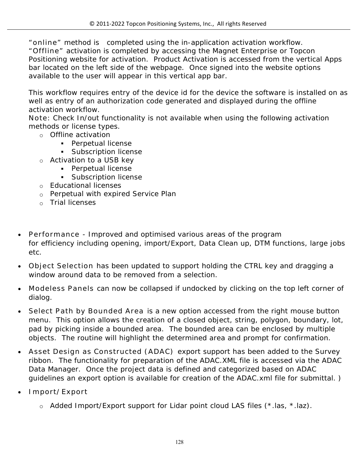**"online"** method is completed using the in-application activation workflow. **"Offline"** activation is completed by accessing the Magnet Enterprise or Topcon Positioning website for activation. Product Activation is accessed from the vertical Apps bar located on the left side of the webpage. Once signed into the website options available to the user will appear in this vertical app bar.

This workflow requires entry of the device id for the device the software is installed on as well as entry of an authorization code generated and displayed during the offline activation workflow.

**Note:** Check In/out functionality is not available when using the following activation methods or license types.

- o Offline activation
	- **Perpetual license**
	- **Subscription license**
- o Activation to a USB key
	- **Perpetual license**
	- **Subscription license**
- o Educational licenses
- o Perpetual with expired Service Plan
- o Trial licenses
- **Performance** Improved and optimised various areas of the program for efficiency including opening, import/Export, Data Clean up, DTM functions, large jobs etc.
- **Object Selection** has been updated to support holding the CTRL key and dragging a window around data to be removed from a selection.
- **Modeless Panels** can now be collapsed if undocked by clicking on the top left corner of dialog.
- **Select Path by Bounded Area** is a new option accessed from the right mouse button menu. This option allows the creation of a closed object, string, polygon, boundary, lot, pad by picking inside a bounded area. The bounded area can be enclosed by multiple objects. The routine will highlight the determined area and prompt for confirmation.
- **Asset Design as Constructed (ADAC)** export support has been added to the Survey ribbon. The functionality for preparation of the ADAC.XML file is accessed via the ADAC Data Manager. Once the project data is defined and categorized based on ADAC guidelines an export option is available for creation of the ADAC.xml file for submittal. **)**
- **Import/Export**
	- o Added Import/Export support for Lidar point cloud LAS files (\*.las, \*.laz).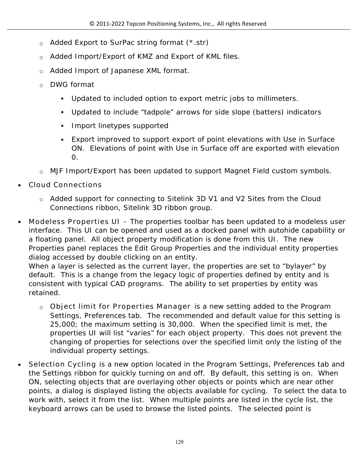- o Added Export to SurPac string format (\*.str)
- o Added Import/Export of KMZ and Export of KML files.
- o Added Import of Japanese XML format.
- o DWG format
	- Updated to included option to export metric jobs to millimeters.
	- Updated to include "tadpole" arrows for side slope (batters) indicators
	- **Import linetypes supported**
	- Export improved to support export of point elevations with Use in Surface ON. Elevations of point with Use in Surface off are exported with elevation 0.
- o MJF Import/Export has been updated to support Magnet Field custom symbols.
- **Cloud Connections**
	- o Added support for connecting to Sitelink 3D V1 and V2 Sites from the Cloud Connections ribbon, Sitelink 3D ribbon group.
- **Modeless Properties UI** The properties toolbar has been updated to a modeless user interface. This UI can be opened and used as a docked panel with autohide capability or a floating panel. All object property modification is done from this UI. The new Properties panel replaces the Edit Group Properties and the individual entity properties dialog accessed by double clicking on an entity.

When a layer is selected as the current layer, the properties are set to "bylayer" by default. This is a change from the legacy logic of properties defined by entity and is consistent with typical CAD programs. The ability to set properties by entity was retained.

- o **Object limit for Properties Manager** is a new setting added to the Program Settings, Preferences tab. The recommended and default value for this setting is 25,000; the maximum setting is 30,000. When the specified limit is met, the properties UI will list "varies" for each object property. This does not prevent the changing of properties for selections over the specified limit only the listing of the individual property settings.
- **Selection Cycling** is a new option located in the Program Settings, Preferences tab and the Settings ribbon for quickly turning on and off. By default, this setting is on. When ON, selecting objects that are overlaying other objects or points which are near other points, a dialog is displayed listing the objects available for cycling. To select the data to work with, select it from the list. When multiple points are listed in the cycle list, the keyboard arrows can be used to browse the listed points. The selected point is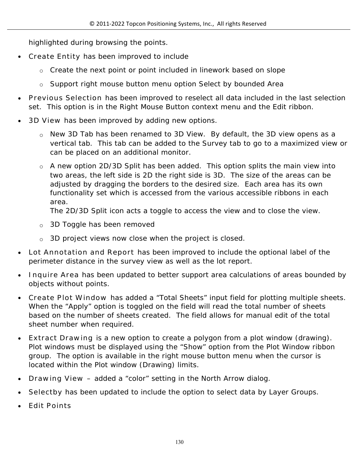highlighted during browsing the points.

- **Create Entity** has been improved to include
	- o Create the next point or point included in linework based on slope
	- $\circ$  Support right mouse button menu option Select by bounded Area
- **Previous Selection** has been improved to reselect all data included in the last selection set. This option is in the Right Mouse Button context menu and the Edit ribbon.
- **3D View** has been improved by adding new options.
	- o New 3D Tab has been renamed to 3D View. By default, the 3D view opens as a vertical tab. This tab can be added to the Survey tab to go to a maximized view or can be placed on an additional monitor.
	- o A new option 2D/3D Split has been added. This option splits the main view into two areas, the left side is 2D the right side is 3D. The size of the areas can be adjusted by dragging the borders to the desired size. Each area has its own functionality set which is accessed from the various accessible ribbons in each area.

The 2D/3D Split icon acts a toggle to access the view and to close the view.

- o 3D Toggle has been removed
- o 3D project views now close when the project is closed.
- **Lot Annotation and Report** has been improved to include the optional label of the perimeter distance in the survey view as well as the lot report.
- **Inquire Area** has been updated to better support area calculations of areas bounded by objects without points.
- **Create Plot Window** has added a "Total Sheets" input field for plotting multiple sheets. When the "Apply" option is toggled on the field will read the total number of sheets based on the number of sheets created. The field allows for manual edit of the total sheet number when required.
- **Extract Drawing** is a new option to create a polygon from a plot window (drawing). Plot windows must be displayed using the "Show" option from the Plot Window ribbon group. The option is available in the right mouse button menu when the cursor is located within the Plot window (Drawing) limits.
- **Drawing View –** added a "color" setting in the North Arrow dialog.
- **Selectby** has been updated to include the option to select data by Layer Groups.
- **Edit Points**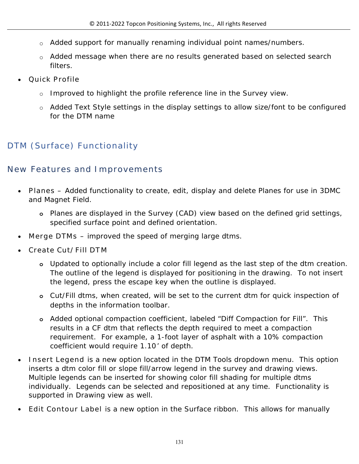- o Added support for manually renaming individual point names/numbers.
- o Added message when there are no results generated based on selected search filters.
- **Quick Profile** 
	- $\circ$  Improved to highlight the profile reference line in the Survey view.
	- o Added Text Style settings in the display settings to allow size/font to be configured for the DTM name

# **DTM (Surface) Functionality**

# **New Features and Improvements**

- **Planes –** Added functionality to create, edit, display and delete Planes for use in 3DMC and Magnet Field.
	- **o** Planes are displayed in the Survey (CAD) view based on the defined grid settings, specified surface point and defined orientation.
- **Merge DTMs** improved the speed of merging large dtms.
- **Create Cut/Fill DTM** 
	- **o** Updated to optionally include a color fill legend as the last step of the dtm creation. The outline of the legend is displayed for positioning in the drawing. To not insert the legend, press the escape key when the outline is displayed.
	- **o** Cut/Fill dtms, when created, will be set to the current dtm for quick inspection of depths in the information toolbar.
	- **o** Added optional compaction coefficient, labeled "Diff Compaction for Fill". This results in a CF dtm that reflects the depth required to meet a compaction requirement. For example, a 1-foot layer of asphalt with a 10% compaction coefficient would require 1.10' of depth.
- **Insert Legend** is a new option located in the DTM Tools dropdown menu. This option inserts a dtm color fill or slope fill/arrow legend in the survey and drawing views. Multiple legends can be inserted for showing color fill shading for multiple dtms individually. Legends can be selected and repositioned at any time. Functionality is supported in Drawing view as well.
- **Edit Contour Label** is a new option in the Surface ribbon. This allows for manually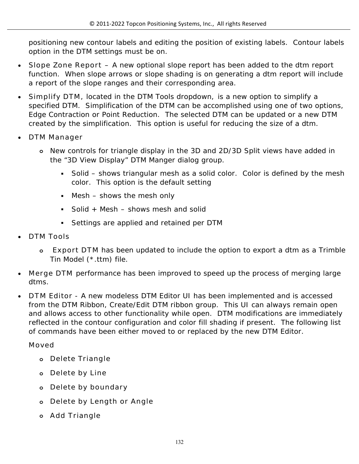positioning new contour labels and editing the position of existing labels. Contour labels option in the DTM settings must be on.

- **Slope Zone Report –** A new optional slope report has been added to the dtm report function. When slope arrows or slope shading is on generating a dtm report will include a report of the slope ranges and their corresponding area.
- **Simplify DTM,** located in the DTM Tools dropdown, is a new option to simplify a specified DTM. Simplification of the DTM can be accomplished using one of two options, Edge Contraction or Point Reduction. The selected DTM can be updated or a new DTM created by the simplification. This option is useful for reducing the size of a dtm.
- **DTM Manager**
	- **o** New controls for triangle display in the 3D and 2D/3D Split views have added in the "3D View Display" DTM Manger dialog group.
		- Solid shows triangular mesh as a solid color. Color is defined by the mesh color. This option is the default setting
		- Mesh shows the mesh only
		- Solid + Mesh  $-$  shows mesh and solid
		- Settings are applied and retained per DTM
- **DTM Tools**
	- **o Export DTM** has been updated to include the option to export a dtm as a Trimble Tin Model (\*.ttm) file.
- **Merge DTM** performance has been improved to speed up the process of merging large dtms.
- **DTM Editor** A new modeless DTM Editor UI has been implemented and is accessed from the DTM Ribbon, Create/Edit DTM ribbon group. This UI can always remain open and allows access to other functionality while open. DTM modifications are immediately reflected in the contour configuration and color fill shading if present. The following list of commands have been either moved to or replaced by the new DTM Editor.

#### **Moved**

- **o Delete Triangle**
- **o Delete by Line**
- **o Delete by boundary**
- **o Delete by Length or Angle**
- **o Add Triangle**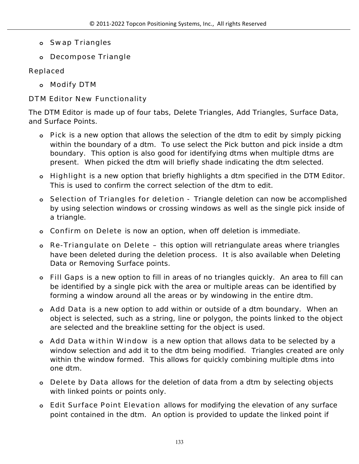- **o Swap Triangles**
- **o Decompose Triangle**

### **Replaced**

**o Modify DTM**

### **DTM Editor New Functionality**

The DTM Editor is made up of four tabs, Delete Triangles, Add Triangles, Surface Data, and Surface Points.

- **o Pick** is a new option that allows the selection of the dtm to edit by simply picking within the boundary of a dtm. To use select the Pick button and pick inside a dtm boundary. This option is also good for identifying dtms when multiple dtms are present. When picked the dtm will briefly shade indicating the dtm selected.
- **o Highlight** is a new option that briefly highlights a dtm specified in the DTM Editor. This is used to confirm the correct selection of the dtm to edit.
- **o Selection of Triangles for deletion** Triangle deletion can now be accomplished by using selection windows or crossing windows as well as the single pick inside of a triangle.
- **o Confirm on Delete** is now an option, when off deletion is immediate.
- **o Re-Triangulate on Delete –** this option will retriangulate areas where triangles have been deleted during the deletion process. It is also available when Deleting Data or Removing Surface points.
- **o Fill Gaps** is a new option to fill in areas of no triangles quickly. An area to fill can be identified by a single pick with the area or multiple areas can be identified by forming a window around all the areas or by windowing in the entire dtm.
- **o Add Data** is a new option to add within or outside of a dtm boundary. When an object is selected, such as a string, line or polygon, the points linked to the object are selected and the breakline setting for the object is used.
- **o Add Data within Window** is a new option that allows data to be selected by a window selection and add it to the dtm being modified. Triangles created are only within the window formed. This allows for quickly combining multiple dtms into one dtm.
- **o Delete by Data** allows for the deletion of data from a dtm by selecting objects with linked points or points only.
- **o Edit Surface Point Elevation** allows for modifying the elevation of any surface point contained in the dtm. An option is provided to update the linked point if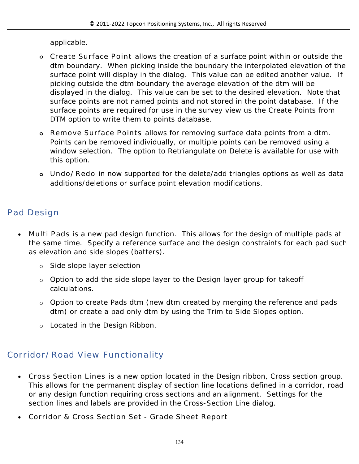applicable.

- **o Create Surface Point** allows the creation of a surface point within or outside the dtm boundary. When picking inside the boundary the interpolated elevation of the surface point will display in the dialog. This value can be edited another value. If picking outside the dtm boundary the average elevation of the dtm will be displayed in the dialog. This value can be set to the desired elevation. Note that surface points are not named points and not stored in the point database. If the surface points are required for use in the survey view us the Create Points from DTM option to write them to points database.
- **o Remove Surface Points** allows for removing surface data points from a dtm. Points can be removed individually, or multiple points can be removed using a window selection. The option to Retriangulate on Delete is available for use with this option.
- **o Undo/Redo** in now supported for the delete/add triangles options as well as data additions/deletions or surface point elevation modifications.

# **Pad Design**

- **Multi Pads** is a new pad design function. This allows for the design of multiple pads at the same time. Specify a reference surface and the design constraints for each pad such as elevation and side slopes (batters).
	- o Side slope layer selection
	- $\circ$  Option to add the side slope layer to the Design layer group for takeoff calculations.
	- o Option to create Pads dtm (new dtm created by merging the reference and pads dtm) or create a pad only dtm by using the Trim to Side Slopes option.
	- o Located in the Design Ribbon.

# **Corridor/Road View Functionality**

- **Cross Section Lines** is a new option located in the Design ribbon, Cross section group. This allows for the permanent display of section line locations defined in a corridor, road or any design function requiring cross sections and an alignment. Settings for the section lines and labels are provided in the Cross-Section Line dialog.
- **Corridor & Cross Section Set Grade Sheet Report**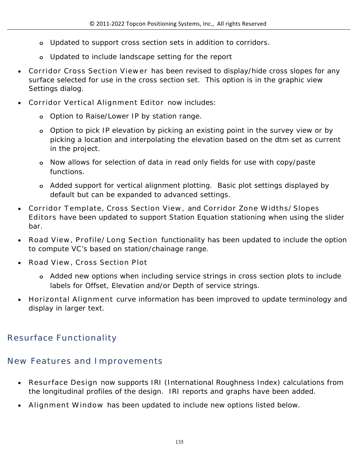- **o** Updated to support cross section sets in addition to corridors.
- **o** Updated to include landscape setting for the report
- **Corridor Cross Section Viewer** has been revised to display/hide cross slopes for any surface selected for use in the cross section set. This option is in the graphic view Settings dialog.
- **Corridor Vertical Alignment Editor** now includes:
	- **o** Option to Raise/Lower IP by station range.
	- **o** Option to pick IP elevation by picking an existing point in the survey view or by picking a location and interpolating the elevation based on the dtm set as current in the project.
	- **o** Now allows for selection of data in read only fields for use with copy/paste functions.
	- **o** Added support for vertical alignment plotting. Basic plot settings displayed by default but can be expanded to advanced settings.
- **Corridor Template, Cross Section View,** and **Corridor Zone Widths/Slopes Editors** have been updated to support Station Equation stationing when using the slider bar.
- **Road View, Profile/Long Section** functionality has been updated to include the option to compute VC's based on station/chainage range.
- **Road View, Cross Section Plot** 
	- **o** Added new options when including service strings in cross section plots to include labels for Offset, Elevation and/or Depth of service strings.
- **Horizontal Alignment** curve information has been improved to update terminology and display in larger text.

# **Resurface Functionality**

# **New Features and Improvements**

- **Resurface Design** now supports IRI (International Roughness Index) calculations from the longitudinal profiles of the design. IRI reports and graphs have been added.
- **Alignment Window** has been updated to include new options listed below.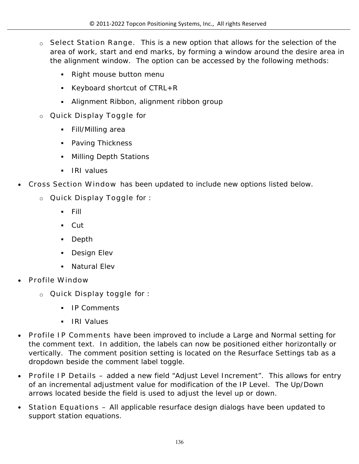- o **Select Station Range.** This is a new option that allows for the selection of the area of work, start and end marks, by forming a window around the desire area in the alignment window. The option can be accessed by the following methods:
	- Right mouse button menu
	- Keyboard shortcut of  $CTRL+R$
	- Alignment Ribbon, alignment ribbon group
- o **Quick Display Toggle** for
	- Fill/Milling area
	- Paving Thickness
	- Milling Depth Stations
	- IRI values
- **Cross Section Window** has been updated to include new options listed below.
	- o **Quick Display Toggle** for :
		- $-$  Fill
		- Cut
		- Depth
		- **Design Elev**
		- Natural Elev
- **Profile Window**
	- o **Quick Display toggle** for :
		- IP Comments
		- **IRI Values**
- **Profile IP Comments** have been improved to include a Large and Normal setting for the comment text. In addition, the labels can now be positioned either horizontally or vertically. The comment position setting is located on the Resurface Settings tab as a dropdown beside the comment label toggle.
- **Profile IP Details –** added a new field "Adjust Level Increment". This allows for entry of an incremental adjustment value for modification of the IP Level. The Up/Down arrows located beside the field is used to adjust the level up or down.
- **Station Equations –** All applicable resurface design dialogs have been updated to support station equations.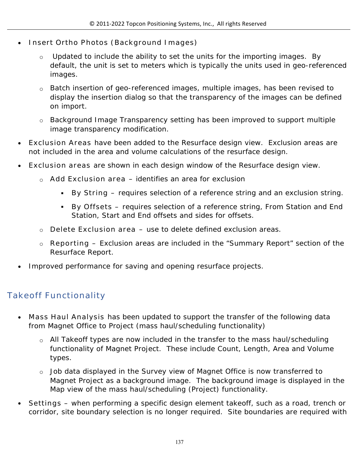- **Insert Ortho Photos (Background Images)** 
	- o Updated to include the ability to set the units for the importing images. By default, the unit is set to meters which is typically the units used in geo-referenced images.
	- o Batch insertion of geo-referenced images, multiple images, has been revised to display the insertion dialog so that the transparency of the images can be defined on import.
	- o Background Image Transparency setting has been improved to support multiple image transparency modification.
- **Exclusion Areas** have been added to the Resurface design view. Exclusion areas are not included in the area and volume calculations of the resurface design.
- **Exclusion areas** are shown in each design window of the Resurface design view.
	- o **Add Exclusion area**  identifies an area for exclusion
		- **By String –** requires selection of a reference string and an exclusion string.
		- **By Offsets –** requires selection of a reference string, From Station and End Station, Start and End offsets and sides for offsets.
	- o **Delete Exclusion area –** use to delete defined exclusion areas.
	- o **Reporting –** Exclusion areas are included in the "Summary Report" section of the Resurface Report.
- Improved performance for saving and opening resurface projects.

### **Takeoff Functionality**

- **Mass Haul Analysis** has been updated to support the transfer of the following data from Magnet Office to Project (mass haul/scheduling functionality)
	- o All Takeoff types are now included in the transfer to the mass haul/scheduling functionality of Magnet Project. These include Count, Length, Area and Volume types.
	- $\circ$  Job data displayed in the Survey view of Magnet Office is now transferred to Magnet Project as a background image. The background image is displayed in the Map view of the mass haul/scheduling (Project) functionality.
- **Settings**  when performing a specific design element takeoff, such as a road, trench or corridor, site boundary selection is no longer required. Site boundaries are required with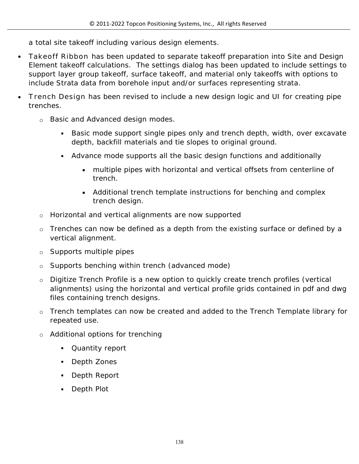a total site takeoff including various design elements.

- **Takeoff Ribbon** has been updated to separate takeoff preparation into Site and Design Element takeoff calculations. The settings dialog has been updated to include settings to support layer group takeoff, surface takeoff, and material only takeoffs with options to include Strata data from borehole input and/or surfaces representing strata.
- **Trench Design** has been revised to include a new design logic and UI for creating pipe trenches.
	- o Basic and Advanced design modes.
		- Basic mode support single pipes only and trench depth, width, over excavate depth, backfill materials and tie slopes to original ground.
		- Advance mode supports all the basic design functions and additionally
			- multiple pipes with horizontal and vertical offsets from centerline of trench.
			- Additional trench template instructions for benching and complex trench design.
	- o Horizontal and vertical alignments are now supported
	- o Trenches can now be defined as a depth from the existing surface or defined by a vertical alignment.
	- o Supports multiple pipes
	- o Supports benching within trench (advanced mode)
	- o Digitize Trench Profile is a new option to quickly create trench profiles (vertical alignments) using the horizontal and vertical profile grids contained in pdf and dwg files containing trench designs.
	- $\circ$  Trench templates can now be created and added to the Trench Template library for repeated use.
	- o Additional options for trenching
		- Quantity report
		- Depth Zones
		- Depth Report
		- Depth Plot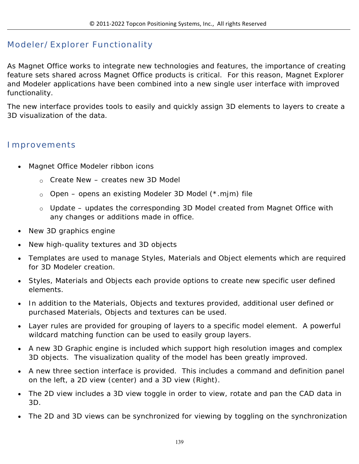### **Modeler/Explorer Functionality**

As Magnet Office works to integrate new technologies and features, the importance of creating feature sets shared across Magnet Office products is critical. For this reason, Magnet Explorer and Modeler applications have been combined into a new single user interface with improved functionality.

The new interface provides tools to easily and quickly assign 3D elements to layers to create a 3D visualization of the data.

#### **Improvements**

- Magnet Office Modeler ribbon icons
	- o Create New creates new 3D Model
	- o Open opens an existing Modeler 3D Model (\*.mjm) file
	- o Update updates the corresponding 3D Model created from Magnet Office with any changes or additions made in office.
- New 3D graphics engine
- New high-quality textures and 3D objects
- Templates are used to manage Styles, Materials and Object elements which are required for 3D Modeler creation.
- Styles, Materials and Objects each provide options to create new specific user defined elements.
- In addition to the Materials, Objects and textures provided, additional user defined or purchased Materials, Objects and textures can be used.
- Layer rules are provided for grouping of layers to a specific model element. A powerful wildcard matching function can be used to easily group layers.
- A new 3D Graphic engine is included which support high resolution images and complex 3D objects. The visualization quality of the model has been greatly improved.
- A new three section interface is provided. This includes a command and definition panel on the left, a 2D view (center) and a 3D view (Right).
- The 2D view includes a 3D view toggle in order to view, rotate and pan the CAD data in 3D.
- The 2D and 3D views can be synchronized for viewing by toggling on the synchronization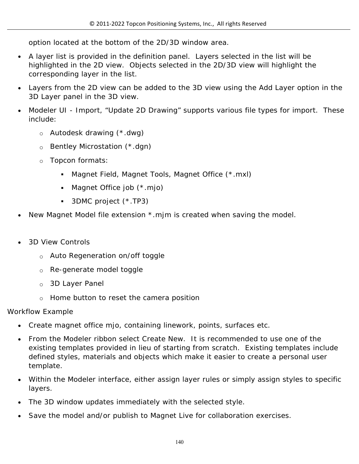option located at the bottom of the 2D/3D window area.

- A layer list is provided in the definition panel. Layers selected in the list will be highlighted in the 2D view. Objects selected in the 2D/3D view will highlight the corresponding layer in the list.
- Layers from the 2D view can be added to the 3D view using the Add Layer option in the 3D Layer panel in the 3D view.
- Modeler UI Import, "Update 2D Drawing" supports various file types for import. These include:
	- o Autodesk drawing (\*.dwg)
	- o Bentley Microstation (\*.dgn)
	- o Topcon formats:
		- Magnet Field, Magnet Tools, Magnet Office (\*.mxl)
		- Magnet Office job (\*.mjo)
		- 3DMC project (\*.TP3)
- New Magnet Model file extension \*.mjm is created when saving the model.
- 3D View Controls
	- o Auto Regeneration on/off toggle
	- o Re-generate model toggle
	- o 3D Layer Panel
	- o Home button to reset the camera position

#### Workflow Example

- Create magnet office mjo, containing linework, points, surfaces etc.
- From the Modeler ribbon select Create New. It is recommended to use one of the existing templates provided in lieu of starting from scratch. Existing templates include defined styles, materials and objects which make it easier to create a personal user template.
- Within the Modeler interface, either assign layer rules or simply assign styles to specific layers.
- The 3D window updates immediately with the selected style.
- Save the model and/or publish to Magnet Live for collaboration exercises.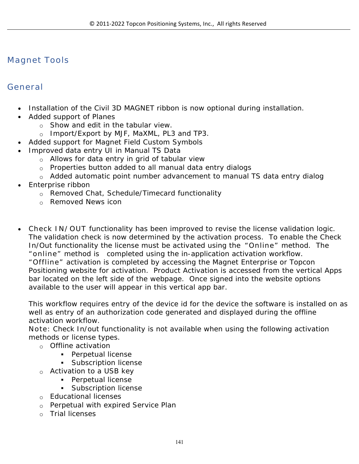### **Magnet Tools**

### **General**

- Installation of the Civil 3D MAGNET ribbon is now optional during installation.
- Added support of Planes
	- $\circ$  Show and edit in the tabular view.
	- o Import/Export by MJF, MaXML, PL3 and TP3.
	- Added support for Magnet Field Custom Symbols
- Improved data entry UI in Manual TS Data
	- $\circ$  Allows for data entry in grid of tabular view
	- o Properties button added to all manual data entry dialogs
	- o Added automatic point number advancement to manual TS data entry dialog
- Enterprise ribbon
	- o Removed Chat, Schedule/Timecard functionality
	- o Removed News icon
- **Check IN/OUT** functionality has been improved to revise the license validation logic. The validation check is now determined by the activation process. To enable the Check In/Out functionality the license must be activated using the **"Online"** method. The **"online"** method is completed using the in-application activation workflow. **"Offline"** activation is completed by accessing the Magnet Enterprise or Topcon Positioning website for activation. Product Activation is accessed from the vertical Apps bar located on the left side of the webpage. Once signed into the website options available to the user will appear in this vertical app bar.

This workflow requires entry of the device id for the device the software is installed on as well as entry of an authorization code generated and displayed during the offline activation workflow.

**Note:** Check In/out functionality is not available when using the following activation methods or license types.

- o Offline activation
	- **Perpetual license**
	- **Subscription license**
- o Activation to a USB key
	- **Perpetual license**
	- **Subscription license**
- o Educational licenses
- o Perpetual with expired Service Plan
- o Trial licenses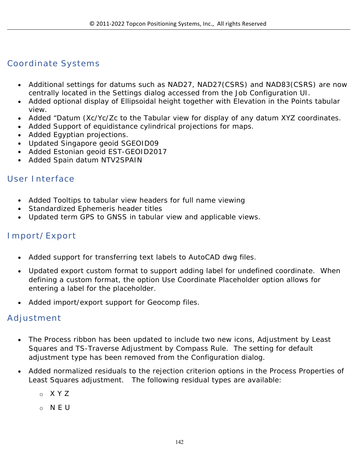### **Coordinate Systems**

- Additional settings for datums such as NAD27, NAD27(CSRS) and NAD83(CSRS) are now centrally located in the Settings dialog accessed from the Job Configuration UI.
- Added optional display of Ellipsoidal height together with Elevation in the Points tabular view.
- Added "Datum (Xc/Yc/Zc to the Tabular view for display of any datum XYZ coordinates.
- Added Support of equidistance cylindrical projections for maps.
- Added Egyptian projections.
- Updated Singapore geoid SGEOID09
- Added Estonian geoid EST-GEOID2017
- Added Spain datum NTV2SPAIN

#### **User Interface**

- Added Tooltips to tabular view headers for full name viewing
- Standardized Ephemeris header titles
- Updated term GPS to GNSS in tabular view and applicable views.

#### **Import/Export**

- Added support for transferring text labels to AutoCAD dwg files.
- Updated export custom format to support adding label for undefined coordinate. When defining a custom format, the option Use Coordinate Placeholder option allows for entering a label for the placeholder.
- Added import/export support for Geocomp files.

#### **Adjustment**

- The Process ribbon has been updated to include two new icons, Adjustment by Least Squares and TS-Traverse Adjustment by Compass Rule. The setting for default adjustment type has been removed from the Configuration dialog.
- Added normalized residuals to the rejection criterion options in the Process Properties of Least Squares adjustment. The following residual types are available:
	- o X Y Z
	- o N E U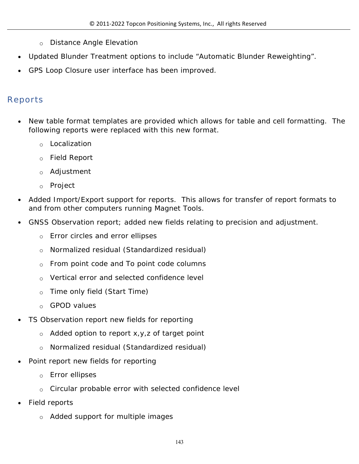- o Distance Angle Elevation
- Updated Blunder Treatment options to include "Automatic Blunder Reweighting".
- GPS Loop Closure user interface has been improved.

### **Reports**

- New table format templates are provided which allows for table and cell formatting. The following reports were replaced with this new format.
	- o Localization
	- o Field Report
	- o Adjustment
	- o Project
- Added Import/Export support for reports. This allows for transfer of report formats to and from other computers running Magnet Tools.
- GNSS Observation report; added new fields relating to precision and adjustment.
	- o Error circles and error ellipses
	- o Normalized residual (Standardized residual)
	- o From point code and To point code columns
	- o Vertical error and selected confidence level
	- o Time only field (Start Time)
	- o GPOD values
- TS Observation report new fields for reporting
	- o Added option to report x,y,z of target point
	- o Normalized residual (Standardized residual)
- Point report new fields for reporting
	- o Error ellipses
	- $\circ$  Circular probable error with selected confidence level
- Field reports
	- o Added support for multiple images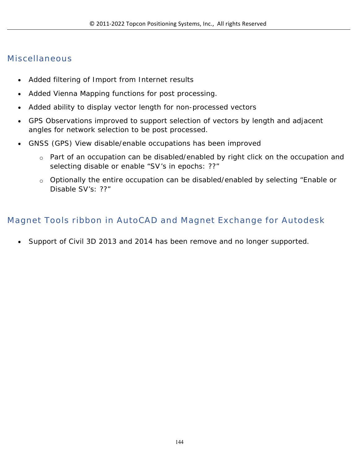### **Miscellaneous**

- Added filtering of Import from Internet results
- Added Vienna Mapping functions for post processing.
- Added ability to display vector length for non-processed vectors
- GPS Observations improved to support selection of vectors by length and adjacent angles for network selection to be post processed.
- GNSS (GPS) View disable/enable occupations has been improved
	- o Part of an occupation can be disabled/enabled by right click on the occupation and selecting disable or enable "SV's in epochs: ??"
	- o Optionally the entire occupation can be disabled/enabled by selecting "Enable or Disable SV's: ??"

### **Magnet Tools ribbon in AutoCAD and Magnet Exchange for Autodesk**

Support of Civil 3D 2013 and 2014 has been remove and no longer supported.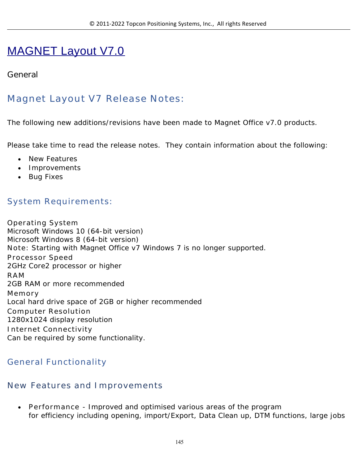# MAGNET Layout V7.0

#### **General**

# **Magnet Layout V7 Release Notes:**

The following new additions/revisions have been made to Magnet Office v7.0 products.

Please take time to read the release notes. They contain information about the following:

- New Features
- Improvements
- Bug Fixes

#### **System Requirements:**

**Operating System** Microsoft Windows 10 (64-bit version) Microsoft Windows 8 (64-bit version) **Note:** Starting with Magnet Office v7 Windows 7 is no longer supported. **Processor Speed** 2GHz Core2 processor or higher **RAM** 2GB RAM or more recommended **Memory** Local hard drive space of 2GB or higher recommended **Computer Resolution** 1280x1024 display resolution **Internet Connectivity** Can be required by some functionality.

#### **General Functionality**

#### **New Features and Improvements**

 **Performance** - Improved and optimised various areas of the program for efficiency including opening, import/Export, Data Clean up, DTM functions, large jobs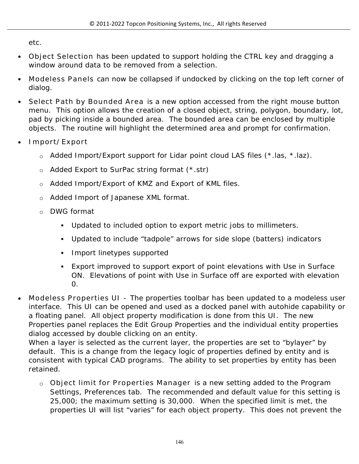etc.

- **Object Selection** has been updated to support holding the CTRL key and dragging a window around data to be removed from a selection.
- **Modeless Panels** can now be collapsed if undocked by clicking on the top left corner of dialog.
- **Select Path by Bounded Area** is a new option accessed from the right mouse button menu. This option allows the creation of a closed object, string, polygon, boundary, lot, pad by picking inside a bounded area. The bounded area can be enclosed by multiple objects. The routine will highlight the determined area and prompt for confirmation.
- **Import/Export**
	- $\circ$  Added Import/Export support for Lidar point cloud LAS files (\*.las, \*.laz).
	- o Added Export to SurPac string format (\*.str)
	- o Added Import/Export of KMZ and Export of KML files.
	- o Added Import of Japanese XML format.
	- o DWG format
		- Updated to included option to export metric jobs to millimeters.
		- Updated to include "tadpole" arrows for side slope (batters) indicators
		- **Import linetypes supported**
		- Export improved to support export of point elevations with Use in Surface ON. Elevations of point with Use in Surface off are exported with elevation 0.
- **Modeless Properties UI** The properties toolbar has been updated to a modeless user interface. This UI can be opened and used as a docked panel with autohide capability or a floating panel. All object property modification is done from this UI. The new Properties panel replaces the Edit Group Properties and the individual entity properties dialog accessed by double clicking on an entity.

When a layer is selected as the current layer, the properties are set to "bylayer" by default. This is a change from the legacy logic of properties defined by entity and is consistent with typical CAD programs. The ability to set properties by entity has been retained.

o **Object limit for Properties Manager** is a new setting added to the Program Settings, Preferences tab. The recommended and default value for this setting is 25,000; the maximum setting is 30,000. When the specified limit is met, the properties UI will list "varies" for each object property. This does not prevent the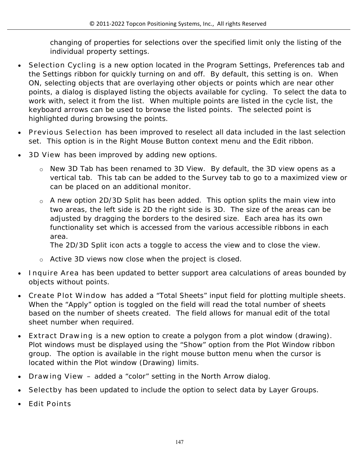changing of properties for selections over the specified limit only the listing of the individual property settings.

- **Selection Cycling** is a new option located in the Program Settings, Preferences tab and the Settings ribbon for quickly turning on and off. By default, this setting is on. When ON, selecting objects that are overlaying other objects or points which are near other points, a dialog is displayed listing the objects available for cycling. To select the data to work with, select it from the list. When multiple points are listed in the cycle list, the keyboard arrows can be used to browse the listed points. The selected point is highlighted during browsing the points.
- **Previous Selection** has been improved to reselect all data included in the last selection set. This option is in the Right Mouse Button context menu and the Edit ribbon.
- **3D View** has been improved by adding new options.
	- o New 3D Tab has been renamed to 3D View. By default, the 3D view opens as a vertical tab. This tab can be added to the Survey tab to go to a maximized view or can be placed on an additional monitor.
	- o A new option 2D/3D Split has been added. This option splits the main view into two areas, the left side is 2D the right side is 3D. The size of the areas can be adjusted by dragging the borders to the desired size. Each area has its own functionality set which is accessed from the various accessible ribbons in each area.

The 2D/3D Split icon acts a toggle to access the view and to close the view.

- o Active 3D views now close when the project is closed.
- **Inquire Area** has been updated to better support area calculations of areas bounded by objects without points.
- **Create Plot Window** has added a "Total Sheets" input field for plotting multiple sheets. When the "Apply" option is toggled on the field will read the total number of sheets based on the number of sheets created. The field allows for manual edit of the total sheet number when required.
- **Extract Drawing** is a new option to create a polygon from a plot window (drawing). Plot windows must be displayed using the "Show" option from the Plot Window ribbon group. The option is available in the right mouse button menu when the cursor is located within the Plot window (Drawing) limits.
- **Drawing View –** added a "color" setting in the North Arrow dialog.
- **Selectby** has been updated to include the option to select data by Layer Groups.
- **Edit Points**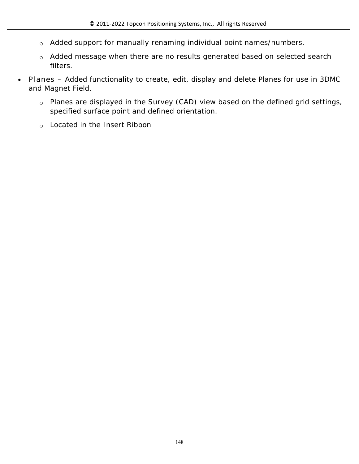- o Added support for manually renaming individual point names/numbers.
- o Added message when there are no results generated based on selected search filters.
- **Planes –** Added functionality to create, edit, display and delete Planes for use in 3DMC and Magnet Field.
	- o Planes are displayed in the Survey (CAD) view based on the defined grid settings, specified surface point and defined orientation.
	- o Located in the Insert Ribbon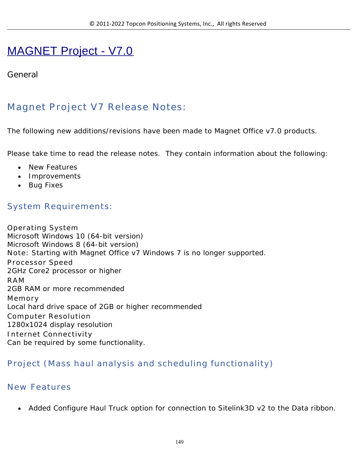# MAGNET Project - V7.0

#### **General**

# **Magnet Project V7 Release Notes:**

The following new additions/revisions have been made to Magnet Office v7.0 products.

Please take time to read the release notes. They contain information about the following:

- New Features
- Improvements
- Bug Fixes

#### **System Requirements:**

**Operating System** Microsoft Windows 10 (64-bit version) Microsoft Windows 8 (64-bit version) **Note:** Starting with Magnet Office v7 Windows 7 is no longer supported. **Processor Speed** 2GHz Core2 processor or higher **RAM** 2GB RAM or more recommended **Memory** Local hard drive space of 2GB or higher recommended **Computer Resolution** 1280x1024 display resolution **Internet Connectivity** Can be required by some functionality.

#### **Project (Mass haul analysis and scheduling functionality)**

#### **New Features**

Added Configure Haul Truck option for connection to Sitelink3D v2 to the Data ribbon.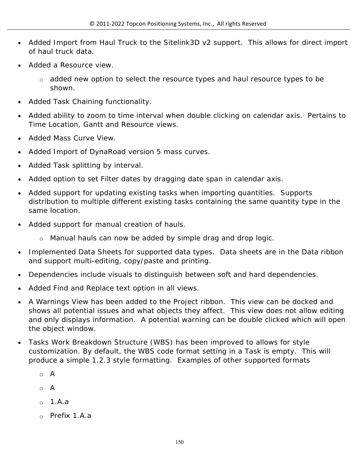- Added Import from Haul Truck to the Sitelink3D v2 support. This allows for direct import of haul truck data.
- Added a Resource view.
	- o added new option to select the resource types and haul resource types to be shown.
- Added Task Chaining functionality.
- Added ability to zoom to time interval when double clicking on calendar axis. Pertains to Time Location, Gantt and Resource views.
- Added Mass Curve View.
- Added Import of DynaRoad version 5 mass curves.
- Added Task splitting by interval.
- Added option to set Filter dates by dragging date span in calendar axis.
- Added support for updating existing tasks when importing quantities. Supports distribution to multiple different existing tasks containing the same quantity type in the same location.
- Added support for manual creation of hauls.
	- o Manual hauls can now be added by simple drag and drop logic.
- Implemented Data Sheets for supported data types. Data sheets are in the Data ribbon and support multi-editing, copy/paste and printing.
- Dependencies include visuals to distinguish between soft and hard dependencies.
- Added Find and Replace text option in all views.
- A Warnings View has been added to the Project ribbon. This view can be docked and shows all potential issues and what objects they affect. This view does not allow editing and only displays information. A potential warning can be double clicked which will open the object window.
- Tasks Work Breakdown Structure (WBS) has been improved to allows for style customization. By default, the WBS code format setting in a Task is empty. This will produce a simple 1.2.3 style formatting. Examples of other supported formats
	- o A
	- $\circ$  A
	- o 1.A.a
	- o Prefix 1.A.a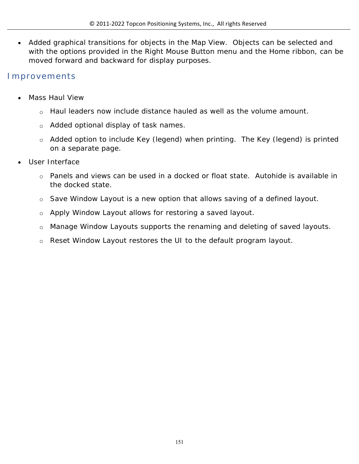Added graphical transitions for objects in the Map View. Objects can be selected and with the options provided in the Right Mouse Button menu and the Home ribbon, can be moved forward and backward for display purposes.

#### **Improvements**

- Mass Haul View
	- $\circ$  Haul leaders now include distance hauled as well as the volume amount.
	- o Added optional display of task names.
	- o Added option to include Key (legend) when printing. The Key (legend) is printed on a separate page.
- User Interface
	- o Panels and views can be used in a docked or float state. Autohide is available in the docked state.
	- $\circ$  Save Window Layout is a new option that allows saving of a defined layout.
	- o Apply Window Layout allows for restoring a saved layout.
	- o Manage Window Layouts supports the renaming and deleting of saved layouts.
	- o Reset Window Layout restores the UI to the default program layout.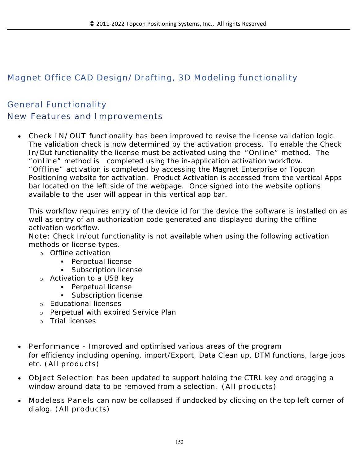# **Magnet Office CAD Design/Drafting, 3D Modeling functionality**

# **General Functionality New Features and Improvements**

 **Check IN/OUT** functionality has been improved to revise the license validation logic. The validation check is now determined by the activation process. To enable the Check In/Out functionality the license must be activated using the **"Online"** method. The **"online"** method is completed using the in-application activation workflow. **"Offline"** activation is completed by accessing the Magnet Enterprise or Topcon Positioning website for activation. Product Activation is accessed from the vertical Apps bar located on the left side of the webpage. Once signed into the website options available to the user will appear in this vertical app bar.

This workflow requires entry of the device id for the device the software is installed on as well as entry of an authorization code generated and displayed during the offline activation workflow.

**Note:** Check In/out functionality is not available when using the following activation methods or license types.

- o Offline activation
	- **Perpetual license**
	- **Subscription license**
- o Activation to a USB key
	- **Perpetual license** 
		- **Subscription license**
- o Educational licenses
- o Perpetual with expired Service Plan
- o Trial licenses
- **Performance** Improved and optimised various areas of the program for efficiency including opening, import/Export, Data Clean up, DTM functions, large jobs etc. **(All products)**
- **Object Selection** has been updated to support holding the CTRL key and dragging a window around data to be removed from a selection. **(All products)**
- **Modeless Panels** can now be collapsed if undocked by clicking on the top left corner of dialog. **(All products)**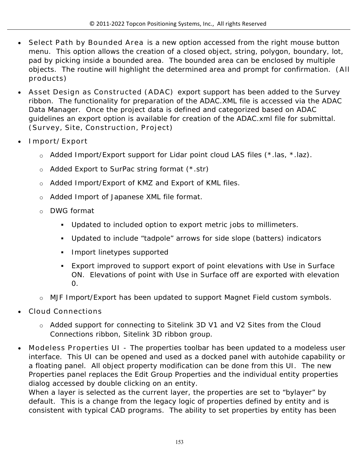- **Select Path by Bounded Area** is a new option accessed from the right mouse button menu. This option allows the creation of a closed object, string, polygon, boundary, lot, pad by picking inside a bounded area. The bounded area can be enclosed by multiple objects. The routine will highlight the determined area and prompt for confirmation. **(All products)**
- **Asset Design as Constructed (ADAC)** export support has been added to the Survey ribbon. The functionality for preparation of the ADAC.XML file is accessed via the ADAC Data Manager. Once the project data is defined and categorized based on ADAC guidelines an export option is available for creation of the ADAC.xml file for submittal. **(Survey, Site, Construction, Project)**
- **Import/Export**
	- o Added Import/Export support for Lidar point cloud LAS files (\*.las, \*.laz).
	- o Added Export to SurPac string format (\*.str)
	- o Added Import/Export of KMZ and Export of KML files.
	- o Added Import of Japanese XML file format.
	- o DWG format
		- Updated to included option to export metric jobs to millimeters.
		- Updated to include "tadpole" arrows for side slope (batters) indicators
		- **Import linetypes supported**
		- Export improved to support export of point elevations with Use in Surface ON. Elevations of point with Use in Surface off are exported with elevation 0.
	- o MJF Import/Export has been updated to support Magnet Field custom symbols.
- **Cloud Connections**
	- o Added support for connecting to Sitelink 3D V1 and V2 Sites from the Cloud Connections ribbon, Sitelink 3D ribbon group.
- **Modeless Properties UI** The properties toolbar has been updated to a modeless user interface. This UI can be opened and used as a docked panel with autohide capability or a floating panel. All object property modification can be done from this UI. The new Properties panel replaces the Edit Group Properties and the individual entity properties dialog accessed by double clicking on an entity.

When a layer is selected as the current layer, the properties are set to "bylayer" by default. This is a change from the legacy logic of properties defined by entity and is consistent with typical CAD programs. The ability to set properties by entity has been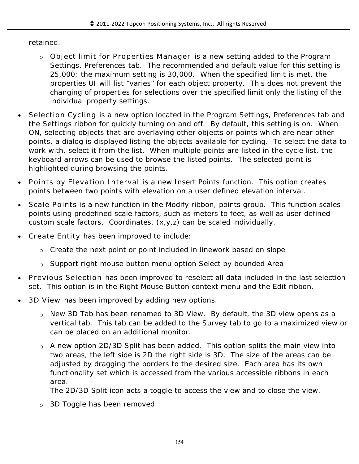#### retained.

- o **Object limit for Properties Manager** is a new setting added to the Program Settings, Preferences tab. The recommended and default value for this setting is 25,000; the maximum setting is 30,000. When the specified limit is met, the properties UI will list "varies" for each object property. This does not prevent the changing of properties for selections over the specified limit only the listing of the individual property settings.
- **Selection Cycling** is a new option located in the Program Settings, Preferences tab and the Settings ribbon for quickly turning on and off. By default, this setting is on. When ON, selecting objects that are overlaying other objects or points which are near other points, a dialog is displayed listing the objects available for cycling. To select the data to work with, select it from the list. When multiple points are listed in the cycle list, the keyboard arrows can be used to browse the listed points. The selected point is highlighted during browsing the points.
- **Points by Elevation Interval** is a new Insert Points function. This option creates points between two points with elevation on a user defined elevation interval.
- **Scale Points** is a new function in the Modify ribbon, points group. This function scales points using predefined scale factors, such as meters to feet, as well as user defined custom scale factors. Coordinates, (x,y,z) can be scaled individually.
- **Create Entity** has been improved to include:
	- o Create the next point or point included in linework based on slope
	- o Support right mouse button menu option Select by bounded Area
- **Previous Selection** has been improved to reselect all data included in the last selection set. This option is in the Right Mouse Button context menu and the Edit ribbon.
- **3D View** has been improved by adding new options.
	- o New 3D Tab has been renamed to 3D View. By default, the 3D view opens as a vertical tab. This tab can be added to the Survey tab to go to a maximized view or can be placed on an additional monitor.
	- $\circ$  A new option 2D/3D Split has been added. This option splits the main view into two areas, the left side is 2D the right side is 3D. The size of the areas can be adjusted by dragging the borders to the desired size. Each area has its own functionality set which is accessed from the various accessible ribbons in each area.

The 2D/3D Split icon acts a toggle to access the view and to close the view.

o 3D Toggle has been removed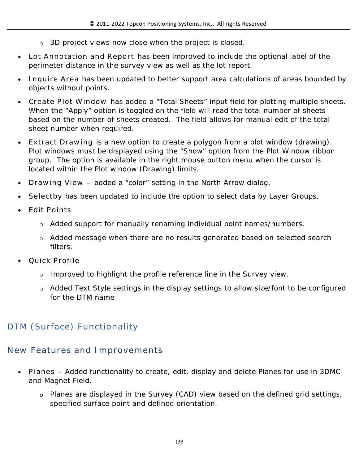- o 3D project views now close when the project is closed.
- **Lot Annotation and Report** has been improved to include the optional label of the perimeter distance in the survey view as well as the lot report.
- **Inquire Area** has been updated to better support area calculations of areas bounded by objects without points.
- **Create Plot Window** has added a "Total Sheets" input field for plotting multiple sheets. When the "Apply" option is toggled on the field will read the total number of sheets based on the number of sheets created. The field allows for manual edit of the total sheet number when required.
- **Extract Drawing** is a new option to create a polygon from a plot window (drawing). Plot windows must be displayed using the "Show" option from the Plot Window ribbon group. The option is available in the right mouse button menu when the cursor is located within the Plot window (Drawing) limits.
- **Drawing View –** added a "color" setting in the North Arrow dialog.
- **Selectby** has been updated to include the option to select data by Layer Groups.
- **Edit Points**
	- $\circ$  Added support for manually renaming individual point names/numbers.
	- o Added message when there are no results generated based on selected search filters.
- **Quick Profile**
	- $\circ$  Improved to highlight the profile reference line in the Survey view.
	- o Added Text Style settings in the display settings to allow size/font to be configured for the DTM name

# **DTM (Surface) Functionality**

# **New Features and Improvements**

- **Planes –** Added functionality to create, edit, display and delete Planes for use in 3DMC and Magnet Field.
	- **o** Planes are displayed in the Survey (CAD) view based on the defined grid settings, specified surface point and defined orientation.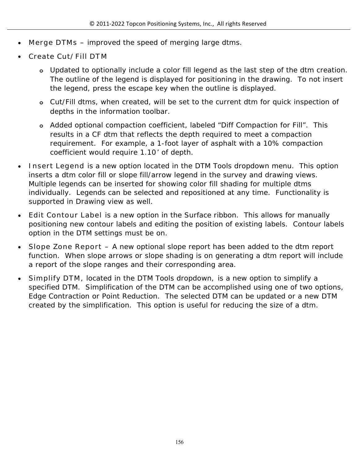- **Merge DTMs** improved the speed of merging large dtms.
- **Create Cut/Fill DTM**
	- **o** Updated to optionally include a color fill legend as the last step of the dtm creation. The outline of the legend is displayed for positioning in the drawing. To not insert the legend, press the escape key when the outline is displayed.
	- **o** Cut/Fill dtms, when created, will be set to the current dtm for quick inspection of depths in the information toolbar.
	- **o** Added optional compaction coefficient, labeled "Diff Compaction for Fill". This results in a CF dtm that reflects the depth required to meet a compaction requirement. For example, a 1-foot layer of asphalt with a 10% compaction coefficient would require 1.10' of depth.
- **Insert Legend** is a new option located in the DTM Tools dropdown menu. This option inserts a dtm color fill or slope fill/arrow legend in the survey and drawing views. Multiple legends can be inserted for showing color fill shading for multiple dtms individually. Legends can be selected and repositioned at any time. Functionality is supported in Drawing view as well.
- **Edit Contour Label** is a new option in the Surface ribbon. This allows for manually positioning new contour labels and editing the position of existing labels. Contour labels option in the DTM settings must be on.
- **Slope Zone Report –** A new optional slope report has been added to the dtm report function. When slope arrows or slope shading is on generating a dtm report will include a report of the slope ranges and their corresponding area.
- **Simplify DTM,** located in the DTM Tools dropdown, is a new option to simplify a specified DTM. Simplification of the DTM can be accomplished using one of two options, Edge Contraction or Point Reduction. The selected DTM can be updated or a new DTM created by the simplification. This option is useful for reducing the size of a dtm.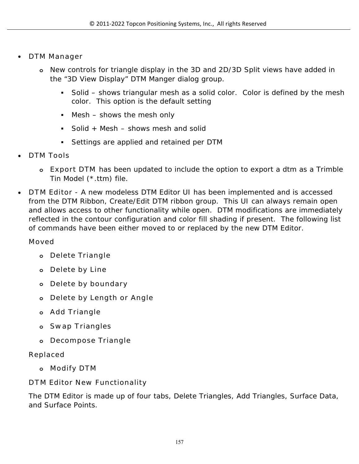- **DTM Manager**
	- **o** New controls for triangle display in the 3D and 2D/3D Split views have added in the "3D View Display" DTM Manger dialog group.
		- Solid shows triangular mesh as a solid color. Color is defined by the mesh color. This option is the default setting
		- Mesh shows the mesh only
		- Solid + Mesh  $-$  shows mesh and solid
		- Settings are applied and retained per DTM
- **DTM Tools**
	- **o Export DTM** has been updated to include the option to export a dtm as a Trimble Tin Model (\*.ttm) file.
- **DTM Editor** A new modeless DTM Editor UI has been implemented and is accessed from the DTM Ribbon, Create/Edit DTM ribbon group. This UI can always remain open and allows access to other functionality while open. DTM modifications are immediately reflected in the contour configuration and color fill shading if present. The following list of commands have been either moved to or replaced by the new DTM Editor.

#### **Moved**

- **o Delete Triangle**
- **o Delete by Line**
- **o Delete by boundary**
- **o Delete by Length or Angle**
- **o Add Triangle**
- **o Swap Triangles**
- **o Decompose Triangle**

#### **Replaced**

**o Modify DTM**

**DTM Editor New Functionality**

The DTM Editor is made up of four tabs, Delete Triangles, Add Triangles, Surface Data, and Surface Points.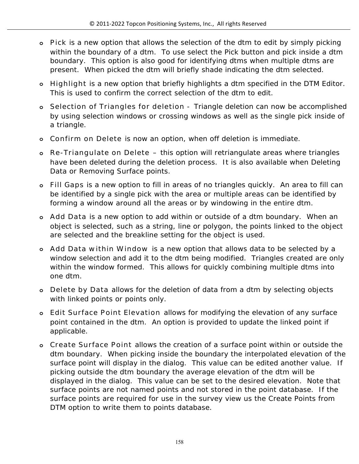- **o Pick** is a new option that allows the selection of the dtm to edit by simply picking within the boundary of a dtm. To use select the Pick button and pick inside a dtm boundary. This option is also good for identifying dtms when multiple dtms are present. When picked the dtm will briefly shade indicating the dtm selected.
- **o Highlight** is a new option that briefly highlights a dtm specified in the DTM Editor. This is used to confirm the correct selection of the dtm to edit.
- **o Selection of Triangles for deletion** Triangle deletion can now be accomplished by using selection windows or crossing windows as well as the single pick inside of a triangle.
- **o Confirm on Delete** is now an option, when off deletion is immediate.
- **o Re-Triangulate on Delete –** this option will retriangulate areas where triangles have been deleted during the deletion process. It is also available when Deleting Data or Removing Surface points.
- **o Fill Gaps** is a new option to fill in areas of no triangles quickly. An area to fill can be identified by a single pick with the area or multiple areas can be identified by forming a window around all the areas or by windowing in the entire dtm.
- **o Add Data** is a new option to add within or outside of a dtm boundary. When an object is selected, such as a string, line or polygon, the points linked to the object are selected and the breakline setting for the object is used.
- **o Add Data within Window** is a new option that allows data to be selected by a window selection and add it to the dtm being modified. Triangles created are only within the window formed. This allows for quickly combining multiple dtms into one dtm.
- **o Delete by Data** allows for the deletion of data from a dtm by selecting objects with linked points or points only.
- **o Edit Surface Point Elevation** allows for modifying the elevation of any surface point contained in the dtm. An option is provided to update the linked point if applicable.
- **o Create Surface Point** allows the creation of a surface point within or outside the dtm boundary. When picking inside the boundary the interpolated elevation of the surface point will display in the dialog. This value can be edited another value. If picking outside the dtm boundary the average elevation of the dtm will be displayed in the dialog. This value can be set to the desired elevation. Note that surface points are not named points and not stored in the point database. If the surface points are required for use in the survey view us the Create Points from DTM option to write them to points database.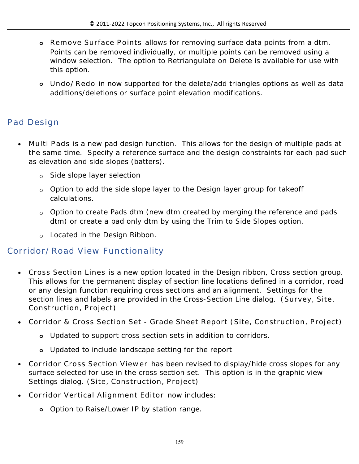- **o Remove Surface Points** allows for removing surface data points from a dtm. Points can be removed individually, or multiple points can be removed using a window selection. The option to Retriangulate on Delete is available for use with this option.
- **o Undo/Redo** in now supported for the delete/add triangles options as well as data additions/deletions or surface point elevation modifications.

# **Pad Design**

- **Multi Pads** is a new pad design function. This allows for the design of multiple pads at the same time. Specify a reference surface and the design constraints for each pad such as elevation and side slopes (batters).
	- o Side slope layer selection
	- o Option to add the side slope layer to the Design layer group for takeoff calculations.
	- o Option to create Pads dtm (new dtm created by merging the reference and pads dtm) or create a pad only dtm by using the Trim to Side Slopes option.
	- o Located in the Design Ribbon.

## **Corridor/Road View Functionality**

- **Cross Section Lines** is a new option located in the Design ribbon, Cross section group. This allows for the permanent display of section line locations defined in a corridor, road or any design function requiring cross sections and an alignment. Settings for the section lines and labels are provided in the Cross-Section Line dialog. **(Survey, Site, Construction, Project)**
- **Corridor & Cross Section Set Grade Sheet Report (Site, Construction, Project)**
	- **o** Updated to support cross section sets in addition to corridors.
	- **o** Updated to include landscape setting for the report
- **Corridor Cross Section Viewer** has been revised to display/hide cross slopes for any surface selected for use in the cross section set. This option is in the graphic view Settings dialog. **(Site, Construction, Project)**
- **Corridor Vertical Alignment Editor** now includes:
	- **o** Option to Raise/Lower IP by station range.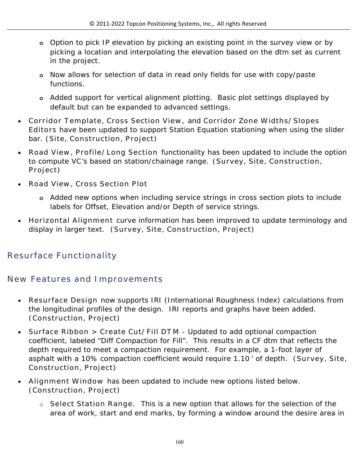- **o** Option to pick IP elevation by picking an existing point in the survey view or by picking a location and interpolating the elevation based on the dtm set as current in the project.
- **o** Now allows for selection of data in read only fields for use with copy/paste functions.
- **o** Added support for vertical alignment plotting. Basic plot settings displayed by default but can be expanded to advanced settings.
- **Corridor Template, Cross Section View,** and **Corridor Zone Widths/Slopes Editors** have been updated to support Station Equation stationing when using the slider bar. **(Site, Construction, Project)**
- **Road View, Profile/Long Section** functionality has been updated to include the option to compute VC's based on station/chainage range. **(Survey, Site, Construction, Project)**
- **Road View, Cross Section Plot**
	- **o** Added new options when including service strings in cross section plots to include labels for Offset, Elevation and/or Depth of service strings.
- **Horizontal Alignment** curve information has been improved to update terminology and display in larger text. **(Survey, Site, Construction, Project)**

# **Resurface Functionality**

#### **New Features and Improvements**

- **Resurface Design** now supports IRI (International Roughness Index) calculations from the longitudinal profiles of the design. IRI reports and graphs have been added. **(Construction, Project)**
- **Surface Ribbon > Create Cut/Fill DT M** Updated to add optional compaction coefficient, labeled "Diff Compaction for Fill". This results in a CF dtm that reflects the depth required to meet a compaction requirement. For example, a 1-foot layer of asphalt with a 10% compaction coefficient would require 1.10 ' of depth. **(Survey, Site, Construction, Project)**
- **Alignment Window** has been updated to include new options listed below. **(Construction, Project)**
	- o **Select Station Range.** This is a new option that allows for the selection of the area of work, start and end marks, by forming a window around the desire area in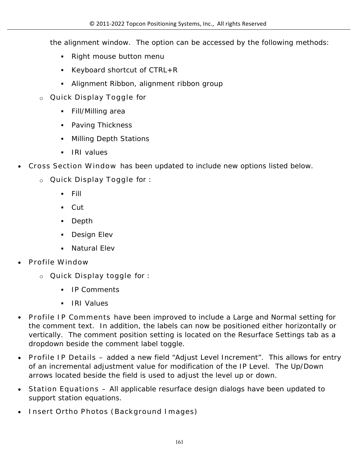the alignment window. The option can be accessed by the following methods:

- Right mouse button menu
- Keyboard shortcut of  $CTRL+R$
- Alignment Ribbon, alignment ribbon group
- o **Quick Display Toggle** for
	- Fill/Milling area
	- Paving Thickness
	- Milling Depth Stations
	- **IRI** values
- **Cross Section Window** has been updated to include new options listed below.
	- o **Quick Display Toggle** for :
		- Fill
		- Cut
		- Depth
		- **Design Elev**
		- Natural Elev
- **Profile Window**
	- o **Quick Display toggle** for :
		- **IP Comments**
		- IRI Values
- **Profile IP Comments** have been improved to include a Large and Normal setting for the comment text. In addition, the labels can now be positioned either horizontally or vertically. The comment position setting is located on the Resurface Settings tab as a dropdown beside the comment label toggle.
- **Profile IP Details –** added a new field "Adjust Level Increment". This allows for entry of an incremental adjustment value for modification of the IP Level. The Up/Down arrows located beside the field is used to adjust the level up or down.
- **Station Equations –** All applicable resurface design dialogs have been updated to support station equations.
- **Insert Ortho Photos (Background Images)**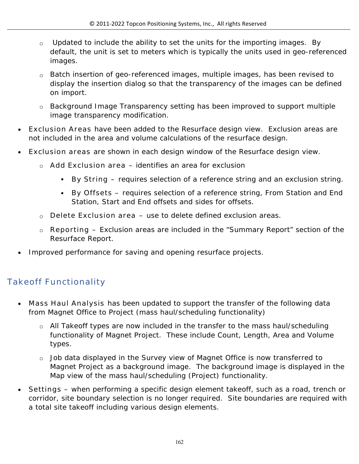- o Updated to include the ability to set the units for the importing images. By default, the unit is set to meters which is typically the units used in geo-referenced images.
- o Batch insertion of geo-referenced images, multiple images, has been revised to display the insertion dialog so that the transparency of the images can be defined on import.
- o Background Image Transparency setting has been improved to support multiple image transparency modification.
- **Exclusion Areas** have been added to the Resurface design view. Exclusion areas are not included in the area and volume calculations of the resurface design.
- **Exclusion areas** are shown in each design window of the Resurface design view.
	- o **Add Exclusion area**  identifies an area for exclusion
		- **By String –** requires selection of a reference string and an exclusion string.
		- **By Offsets –** requires selection of a reference string, From Station and End Station, Start and End offsets and sides for offsets.
	- o **Delete Exclusion area –** use to delete defined exclusion areas.
	- o **Reporting –** Exclusion areas are included in the "Summary Report" section of the Resurface Report.
- Improved performance for saving and opening resurface projects.

# **Takeoff Functionality**

- **Mass Haul Analysis** has been updated to support the transfer of the following data from Magnet Office to Project (mass haul/scheduling functionality)
	- o All Takeoff types are now included in the transfer to the mass haul/scheduling functionality of Magnet Project. These include Count, Length, Area and Volume types.
	- o Job data displayed in the Survey view of Magnet Office is now transferred to Magnet Project as a background image. The background image is displayed in the Map view of the mass haul/scheduling (Project) functionality.
- **Settings**  when performing a specific design element takeoff, such as a road, trench or corridor, site boundary selection is no longer required. Site boundaries are required with a total site takeoff including various design elements.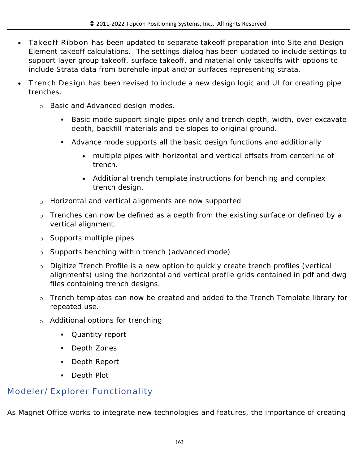- **Takeoff Ribbon** has been updated to separate takeoff preparation into Site and Design Element takeoff calculations. The settings dialog has been updated to include settings to support layer group takeoff, surface takeoff, and material only takeoffs with options to include Strata data from borehole input and/or surfaces representing strata.
- **Trench Design** has been revised to include a new design logic and UI for creating pipe trenches.
	- o Basic and Advanced design modes.
		- Basic mode support single pipes only and trench depth, width, over excavate depth, backfill materials and tie slopes to original ground.
		- Advance mode supports all the basic design functions and additionally
			- multiple pipes with horizontal and vertical offsets from centerline of trench.
			- Additional trench template instructions for benching and complex trench design.
	- o Horizontal and vertical alignments are now supported
	- o Trenches can now be defined as a depth from the existing surface or defined by a vertical alignment.
	- o Supports multiple pipes
	- o Supports benching within trench (advanced mode)
	- o Digitize Trench Profile is a new option to quickly create trench profiles (vertical alignments) using the horizontal and vertical profile grids contained in pdf and dwg files containing trench designs.
	- o Trench templates can now be created and added to the Trench Template library for repeated use.
	- o Additional options for trenching
		- Quantity report
		- **Depth Zones**
		- Depth Report
		- Depth Plot

# **Modeler/Explorer Functionality**

As Magnet Office works to integrate new technologies and features, the importance of creating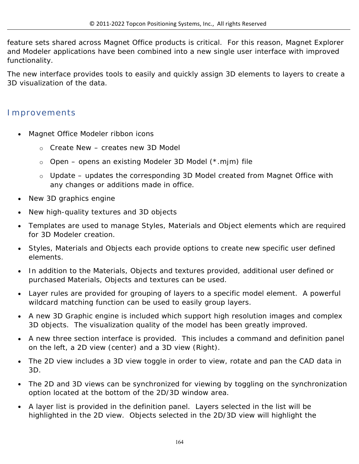feature sets shared across Magnet Office products is critical. For this reason, Magnet Explorer and Modeler applications have been combined into a new single user interface with improved functionality.

The new interface provides tools to easily and quickly assign 3D elements to layers to create a 3D visualization of the data.

#### **Improvements**

- Magnet Office Modeler ribbon icons
	- o Create New creates new 3D Model
	- o Open opens an existing Modeler 3D Model (\*.mjm) file
	- $\circ$  Update updates the corresponding 3D Model created from Magnet Office with any changes or additions made in office.
- New 3D graphics engine
- New high-quality textures and 3D objects
- Templates are used to manage Styles, Materials and Object elements which are required for 3D Modeler creation.
- Styles, Materials and Objects each provide options to create new specific user defined elements.
- In addition to the Materials, Objects and textures provided, additional user defined or purchased Materials, Objects and textures can be used.
- Layer rules are provided for grouping of layers to a specific model element. A powerful wildcard matching function can be used to easily group layers.
- A new 3D Graphic engine is included which support high resolution images and complex 3D objects. The visualization quality of the model has been greatly improved.
- A new three section interface is provided. This includes a command and definition panel on the left, a 2D view (center) and a 3D view (Right).
- The 2D view includes a 3D view toggle in order to view, rotate and pan the CAD data in 3D.
- The 2D and 3D views can be synchronized for viewing by toggling on the synchronization option located at the bottom of the 2D/3D window area.
- A layer list is provided in the definition panel. Layers selected in the list will be highlighted in the 2D view. Objects selected in the 2D/3D view will highlight the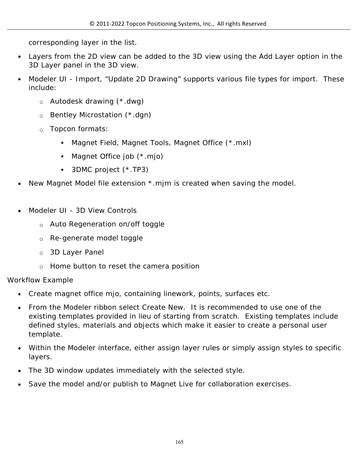corresponding layer in the list.

- Layers from the 2D view can be added to the 3D view using the Add Layer option in the 3D Layer panel in the 3D view.
- Modeler UI Import, "Update 2D Drawing" supports various file types for import. These include:
	- o Autodesk drawing (\*.dwg)
	- o Bentley Microstation (\*.dgn)
	- o Topcon formats:
		- Magnet Field, Magnet Tools, Magnet Office (\*.mxl)
		- Magnet Office job (\*.mjo)
		- 3DMC project (\*.TP3)
- New Magnet Model file extension \*.mjm is created when saving the model.
- Modeler UI 3D View Controls
	- o Auto Regeneration on/off toggle
	- o Re-generate model toggle
	- o 3D Layer Panel
	- o Home button to reset the camera position

#### Workflow Example

- Create magnet office mjo, containing linework, points, surfaces etc.
- From the Modeler ribbon select Create New. It is recommended to use one of the existing templates provided in lieu of starting from scratch. Existing templates include defined styles, materials and objects which make it easier to create a personal user template.
- Within the Modeler interface, either assign layer rules or simply assign styles to specific layers.
- The 3D window updates immediately with the selected style.
- Save the model and/or publish to Magnet Live for collaboration exercises.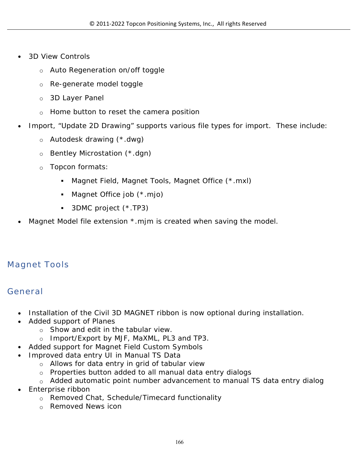- 3D View Controls
	- o Auto Regeneration on/off toggle
	- o Re-generate model toggle
	- o 3D Layer Panel
	- o Home button to reset the camera position
- Import, "Update 2D Drawing" supports various file types for import. These include:
	- o Autodesk drawing (\*.dwg)
	- o Bentley Microstation (\*.dgn)
	- o Topcon formats:
		- Magnet Field, Magnet Tools, Magnet Office (\*.mxl)
		- Magnet Office job (\*.mjo)
		- 3DMC project (\*.TP3)
- Magnet Model file extension \*.mjm is created when saving the model.

# **Magnet Tools**

## **General**

- Installation of the Civil 3D MAGNET ribbon is now optional during installation.
- Added support of Planes
	- o Show and edit in the tabular view.
	- o Import/Export by MJF, MaXML, PL3 and TP3.
- Added support for Magnet Field Custom Symbols
- Improved data entry UI in Manual TS Data
	- o Allows for data entry in grid of tabular view
	- o Properties button added to all manual data entry dialogs
	- $\circ$  Added automatic point number advancement to manual TS data entry dialog
- Enterprise ribbon
	- o Removed Chat, Schedule/Timecard functionality
	- o Removed News icon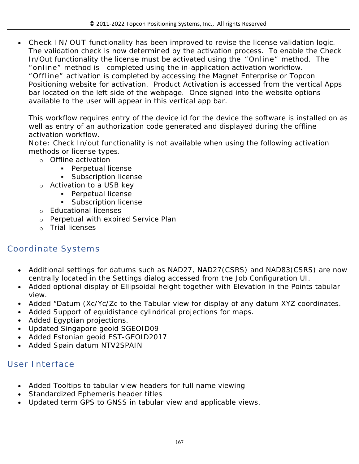**Check IN/OUT** functionality has been improved to revise the license validation logic. The validation check is now determined by the activation process. To enable the Check In/Out functionality the license must be activated using the **"Online"** method. The **"online"** method is completed using the in-application activation workflow. **"Offline"** activation is completed by accessing the Magnet Enterprise or Topcon Positioning website for activation. Product Activation is accessed from the vertical Apps bar located on the left side of the webpage. Once signed into the website options available to the user will appear in this vertical app bar.

This workflow requires entry of the device id for the device the software is installed on as well as entry of an authorization code generated and displayed during the offline activation workflow.

**Note:** Check In/out functionality is not available when using the following activation methods or license types.

- o Offline activation
	- **Perpetual license**
	- **Subscription license**
- o Activation to a USB key
	- **Perpetual license**
	- **Subscription license**
- o Educational licenses
- o Perpetual with expired Service Plan
- o Trial licenses

# **Coordinate Systems**

- Additional settings for datums such as NAD27, NAD27(CSRS) and NAD83(CSRS) are now centrally located in the Settings dialog accessed from the Job Configuration UI.
- Added optional display of Ellipsoidal height together with Elevation in the Points tabular view.
- Added "Datum (Xc/Yc/Zc to the Tabular view for display of any datum XYZ coordinates.
- Added Support of equidistance cylindrical projections for maps.
- Added Egyptian projections.
- Updated Singapore geoid SGEOID09
- Added Estonian geoid EST-GEOID2017
- Added Spain datum NTV2SPAIN

## **User Interface**

- Added Tooltips to tabular view headers for full name viewing
- Standardized Ephemeris header titles
- Updated term GPS to GNSS in tabular view and applicable views.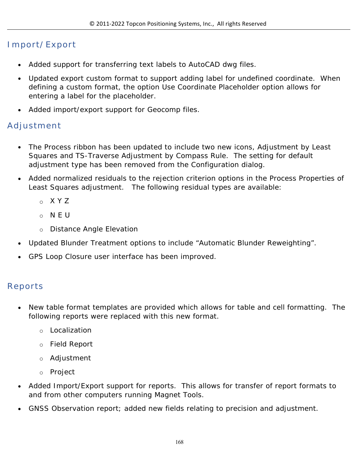## **Import/Export**

- Added support for transferring text labels to AutoCAD dwg files.
- Updated export custom format to support adding label for undefined coordinate. When defining a custom format, the option Use Coordinate Placeholder option allows for entering a label for the placeholder.
- Added import/export support for Geocomp files.

## **Adjustment**

- The Process ribbon has been updated to include two new icons, Adjustment by Least Squares and TS-Traverse Adjustment by Compass Rule. The setting for default adjustment type has been removed from the Configuration dialog.
- Added normalized residuals to the rejection criterion options in the Process Properties of Least Squares adjustment. The following residual types are available:
	- o X Y Z
	- o N E U
	- o Distance Angle Elevation
- Updated Blunder Treatment options to include "Automatic Blunder Reweighting".
- GPS Loop Closure user interface has been improved.

#### **Reports**

- New table format templates are provided which allows for table and cell formatting. The following reports were replaced with this new format.
	- o Localization
	- o Field Report
	- o Adjustment
	- o Project
- Added Import/Export support for reports. This allows for transfer of report formats to and from other computers running Magnet Tools.
- GNSS Observation report; added new fields relating to precision and adjustment.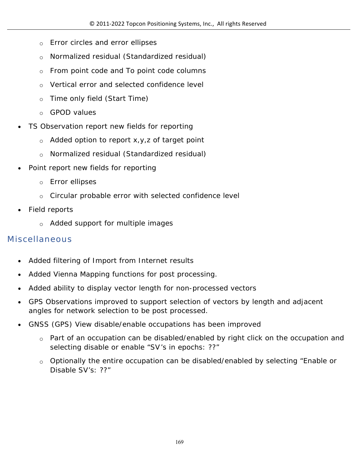- o Error circles and error ellipses
- o Normalized residual (Standardized residual)
- $\circ$  From point code and To point code columns
- o Vertical error and selected confidence level
- o Time only field (Start Time)
- o GPOD values
- TS Observation report new fields for reporting
	- $\circ$  Added option to report x, y, z of target point
	- o Normalized residual (Standardized residual)
- Point report new fields for reporting
	- o Error ellipses
	- o Circular probable error with selected confidence level
- Field reports
	- o Added support for multiple images

## **Miscellaneous**

- Added filtering of Import from Internet results
- Added Vienna Mapping functions for post processing.
- Added ability to display vector length for non-processed vectors
- GPS Observations improved to support selection of vectors by length and adjacent angles for network selection to be post processed.
- GNSS (GPS) View disable/enable occupations has been improved
	- o Part of an occupation can be disabled/enabled by right click on the occupation and selecting disable or enable "SV's in epochs: ??"
	- $\circ$  Optionally the entire occupation can be disabled/enabled by selecting "Enable or Disable SV's: ??"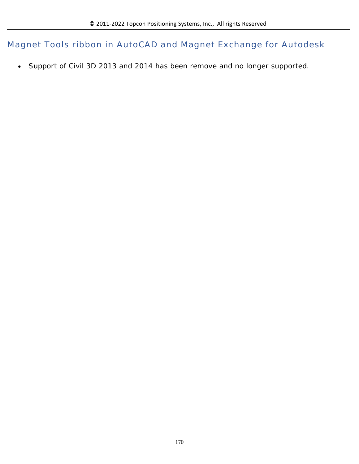**Magnet Tools ribbon in AutoCAD and Magnet Exchange for Autodesk**

Support of Civil 3D 2013 and 2014 has been remove and no longer supported.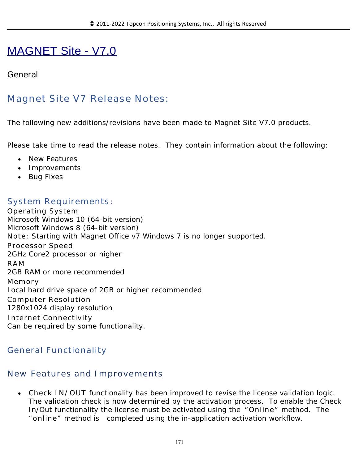# MAGNET Site - V7.0

#### **General**

# **Magnet Site V7 Release Notes:**

The following new additions/revisions have been made to Magnet Site V7.0 products.

Please take time to read the release notes. They contain information about the following:

- New Features
- Improvements
- Bug Fixes

#### **System Requirements:**

**Operating System** Microsoft Windows 10 (64-bit version) Microsoft Windows 8 (64-bit version) **Note:** Starting with Magnet Office v7 Windows 7 is no longer supported. **Processor Speed** 2GHz Core2 processor or higher **RAM** 2GB RAM or more recommended **Memory** Local hard drive space of 2GB or higher recommended **Computer Resolution** 1280x1024 display resolution **Internet Connectivity** Can be required by some functionality.

#### **General Functionality**

#### **New Features and Improvements**

 **Check IN/OUT** functionality has been improved to revise the license validation logic. The validation check is now determined by the activation process. To enable the Check In/Out functionality the license must be activated using the **"Online"** method. The **"online"** method is completed using the in-application activation workflow.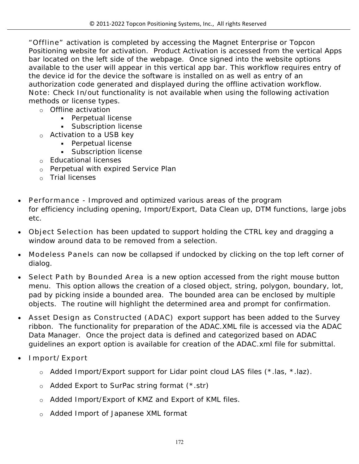**"Offline"** activation is completed by accessing the Magnet Enterprise or Topcon Positioning website for activation. Product Activation is accessed from the vertical Apps bar located on the left side of the webpage. Once signed into the website options available to the user will appear in this vertical app bar. This workflow requires entry of the device id for the device the software is installed on as well as entry of an authorization code generated and displayed during the offline activation workflow. **Note:** Check In/out functionality is not available when using the following activation methods or license types.

- o Offline activation
	- **Perpetual license**
	- **Subscription license**
- o Activation to a USB key
	- **Perpetual license**
	- **Subscription license**
- o Educational licenses
- o Perpetual with expired Service Plan
- o Trial licenses
- **Performance** Improved and optimized various areas of the program for efficiency including opening, Import/Export, Data Clean up, DTM functions, large jobs etc.
- **Object Selection** has been updated to support holding the CTRL key and dragging a window around data to be removed from a selection.
- **Modeless Panels** can now be collapsed if undocked by clicking on the top left corner of dialog.
- **Select Path by Bounded Area** is a new option accessed from the right mouse button menu. This option allows the creation of a closed object, string, polygon, boundary, lot, pad by picking inside a bounded area. The bounded area can be enclosed by multiple objects. The routine will highlight the determined area and prompt for confirmation.
- **Asset Design as Constructed (ADAC)** export support has been added to the Survey ribbon. The functionality for preparation of the ADAC.XML file is accessed via the ADAC Data Manager. Once the project data is defined and categorized based on ADAC guidelines an export option is available for creation of the ADAC.xml file for submittal.
- **Import/Export**
	- o Added Import/Export support for Lidar point cloud LAS files (\*.las, \*.laz).
	- o Added Export to SurPac string format (\*.str)
	- o Added Import/Export of KMZ and Export of KML files.
	- o Added Import of Japanese XML format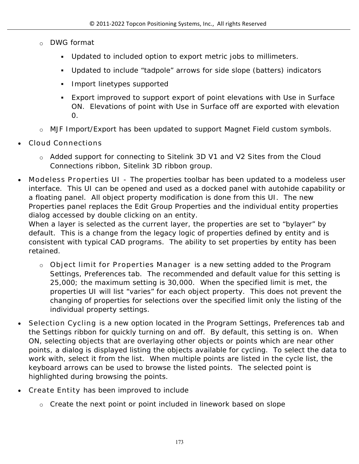- o DWG format
	- Updated to included option to export metric jobs to millimeters.
	- Updated to include "tadpole" arrows for side slope (batters) indicators
	- **Import linetypes supported**
	- Export improved to support export of point elevations with Use in Surface ON. Elevations of point with Use in Surface off are exported with elevation 0.
- o MJF Import/Export has been updated to support Magnet Field custom symbols.
- **Cloud Connections**
	- o Added support for connecting to Sitelink 3D V1 and V2 Sites from the Cloud Connections ribbon, Sitelink 3D ribbon group.
- **Modeless Properties UI** The properties toolbar has been updated to a modeless user interface. This UI can be opened and used as a docked panel with autohide capability or a floating panel. All object property modification is done from this UI. The new Properties panel replaces the Edit Group Properties and the individual entity properties dialog accessed by double clicking on an entity.

When a layer is selected as the current layer, the properties are set to "bylayer" by default. This is a change from the legacy logic of properties defined by entity and is consistent with typical CAD programs. The ability to set properties by entity has been retained.

- o **Object limit for Properties Manager** is a new setting added to the Program Settings, Preferences tab. The recommended and default value for this setting is 25,000; the maximum setting is 30,000. When the specified limit is met, the properties UI will list "varies" for each object property. This does not prevent the changing of properties for selections over the specified limit only the listing of the individual property settings.
- **Selection Cycling** is a new option located in the Program Settings, Preferences tab and the Settings ribbon for quickly turning on and off. By default, this setting is on. When ON, selecting objects that are overlaying other objects or points which are near other points, a dialog is displayed listing the objects available for cycling. To select the data to work with, select it from the list. When multiple points are listed in the cycle list, the keyboard arrows can be used to browse the listed points. The selected point is highlighted during browsing the points.
- **Create Entity** has been improved to include
	- $\circ$  Create the next point or point included in linework based on slope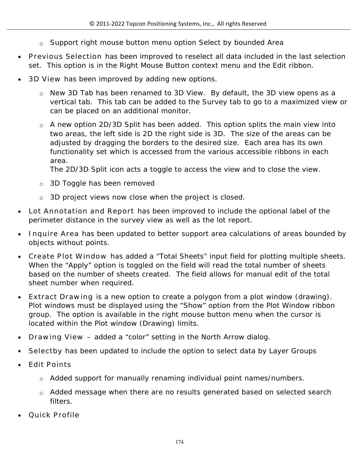- $\circ$  Support right mouse button menu option Select by bounded Area
- **Previous Selection** has been improved to reselect all data included in the last selection set. This option is in the Right Mouse Button context menu and the Edit ribbon.
- **3D View** has been improved by adding new options.
	- o New 3D Tab has been renamed to 3D View. By default, the 3D view opens as a vertical tab. This tab can be added to the Survey tab to go to a maximized view or can be placed on an additional monitor.
	- o A new option 2D/3D Split has been added. This option splits the main view into two areas, the left side is 2D the right side is 3D. The size of the areas can be adjusted by dragging the borders to the desired size. Each area has its own functionality set which is accessed from the various accessible ribbons in each area.

The 2D/3D Split icon acts a toggle to access the view and to close the view.

- o 3D Toggle has been removed
- o 3D project views now close when the project is closed.
- **Lot Annotation and Report** has been improved to include the optional label of the perimeter distance in the survey view as well as the lot report.
- **Inquire Area** has been updated to better support area calculations of areas bounded by objects without points.
- **Create Plot Window** has added a "Total Sheets" input field for plotting multiple sheets. When the "Apply" option is toggled on the field will read the total number of sheets based on the number of sheets created. The field allows for manual edit of the total sheet number when required.
- **Extract Drawing** is a new option to create a polygon from a plot window (drawing). Plot windows must be displayed using the "Show" option from the Plot Window ribbon group. The option is available in the right mouse button menu when the cursor is located within the Plot window (Drawing) limits.
- **Drawing View –** added a "color" setting in the North Arrow dialog.
- **Selectby** has been updated to include the option to select data by Layer Groups
- **Edit Points** 
	- o Added support for manually renaming individual point names/numbers.
	- o Added message when there are no results generated based on selected search filters.
- **Quick Profile**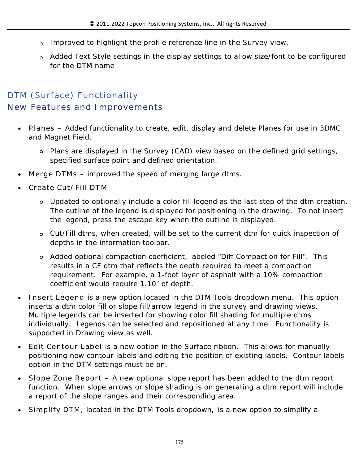- o Improved to highlight the profile reference line in the Survey view.
- o Added Text Style settings in the display settings to allow size/font to be configured for the DTM name

# **DTM (Surface) Functionality New Features and Improvements**

- **Planes –** Added functionality to create, edit, display and delete Planes for use in 3DMC and Magnet Field.
	- **o** Plans are displayed in the Survey (CAD) view based on the defined grid settings, specified surface point and defined orientation.
- **Merge DTMs** improved the speed of merging large dtms.
- **Create Cut/Fill DTM** 
	- **o** Updated to optionally include a color fill legend as the last step of the dtm creation. The outline of the legend is displayed for positioning in the drawing. To not insert the legend, press the escape key when the outline is displayed.
	- **o** Cut/Fill dtms, when created, will be set to the current dtm for quick inspection of depths in the information toolbar.
	- **o** Added optional compaction coefficient, labeled "Diff Compaction for Fill". This results in a CF dtm that reflects the depth required to meet a compaction requirement. For example, a 1-foot layer of asphalt with a 10% compaction coefficient would require 1.10' of depth.
- **Insert Legend** is a new option located in the DTM Tools dropdown menu. This option inserts a dtm color fill or slope fill/arrow legend in the survey and drawing views. Multiple legends can be inserted for showing color fill shading for multiple dtms individually. Legends can be selected and repositioned at any time. Functionality is supported in Drawing view as well.
- **Edit Contour Label** is a new option in the Surface ribbon. This allows for manually positioning new contour labels and editing the position of existing labels. Contour labels option in the DTM settings must be on.
- **Slope Zone Report –** A new optional slope report has been added to the dtm report function. When slope arrows or slope shading is on generating a dtm report will include a report of the slope ranges and their corresponding area.
- **Simplify DTM,** located in the DTM Tools dropdown, is a new option to simplify a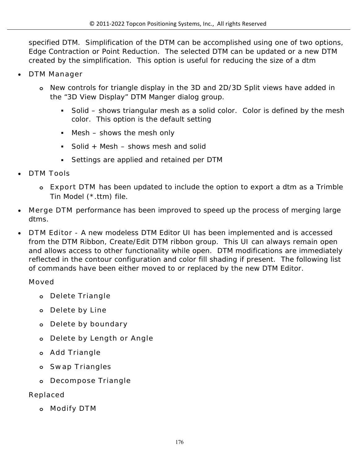specified DTM. Simplification of the DTM can be accomplished using one of two options, Edge Contraction or Point Reduction. The selected DTM can be updated or a new DTM created by the simplification. This option is useful for reducing the size of a dtm

- **DTM Manager**
	- **o** New controls for triangle display in the 3D and 2D/3D Split views have added in the "3D View Display" DTM Manger dialog group.
		- Solid shows triangular mesh as a solid color. Color is defined by the mesh color. This option is the default setting
		- $M$  Mesh shows the mesh only
		- Solid + Mesh  $-$  shows mesh and solid
		- Settings are applied and retained per DTM
- **DTM Tools** 
	- **o Export DTM** has been updated to include the option to export a dtm as a Trimble Tin Model (\*.ttm) file.
- **Merge DTM** performance has been improved to speed up the process of merging large dtms.
- **DTM Editor** A new modeless DTM Editor UI has been implemented and is accessed from the DTM Ribbon, Create/Edit DTM ribbon group. This UI can always remain open and allows access to other functionality while open. DTM modifications are immediately reflected in the contour configuration and color fill shading if present. The following list of commands have been either moved to or replaced by the new DTM Editor.

**Moved**

- **o Delete Triangle**
- **o Delete by Line**
- **o Delete by boundary**
- **o Delete by Length or Angle**
- **o Add Triangle**
- **o Swap Triangles**
- **o Decompose Triangle**

**Replaced**

**o Modify DTM**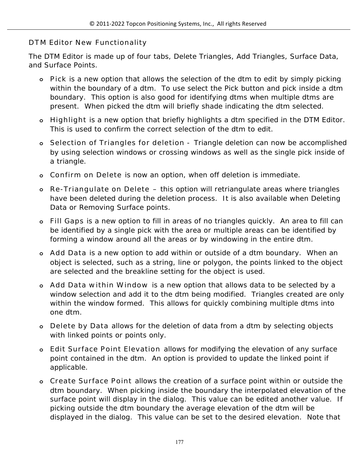#### **DTM Editor New Functionality**

The DTM Editor is made up of four tabs, Delete Triangles, Add Triangles, Surface Data, and Surface Points.

- **o Pick** is a new option that allows the selection of the dtm to edit by simply picking within the boundary of a dtm. To use select the Pick button and pick inside a dtm boundary. This option is also good for identifying dtms when multiple dtms are present. When picked the dtm will briefly shade indicating the dtm selected.
- **o Highlight** is a new option that briefly highlights a dtm specified in the DTM Editor. This is used to confirm the correct selection of the dtm to edit.
- **o Selection of Triangles for deletion** Triangle deletion can now be accomplished by using selection windows or crossing windows as well as the single pick inside of a triangle.
- **o Confirm on Delete** is now an option, when off deletion is immediate.
- **o Re-Triangulate on Delete –** this option will retriangulate areas where triangles have been deleted during the deletion process. It is also available when Deleting Data or Removing Surface points.
- **o Fill Gaps** is a new option to fill in areas of no triangles quickly. An area to fill can be identified by a single pick with the area or multiple areas can be identified by forming a window around all the areas or by windowing in the entire dtm.
- **o Add Data** is a new option to add within or outside of a dtm boundary. When an object is selected, such as a string, line or polygon, the points linked to the object are selected and the breakline setting for the object is used.
- **o Add Data within Window** is a new option that allows data to be selected by a window selection and add it to the dtm being modified. Triangles created are only within the window formed. This allows for quickly combining multiple dtms into one dtm.
- **o Delete by Data** allows for the deletion of data from a dtm by selecting objects with linked points or points only.
- **o Edit Surface Point Elevation** allows for modifying the elevation of any surface point contained in the dtm. An option is provided to update the linked point if applicable.
- **o Create Surface Point** allows the creation of a surface point within or outside the dtm boundary. When picking inside the boundary the interpolated elevation of the surface point will display in the dialog. This value can be edited another value. If picking outside the dtm boundary the average elevation of the dtm will be displayed in the dialog. This value can be set to the desired elevation. Note that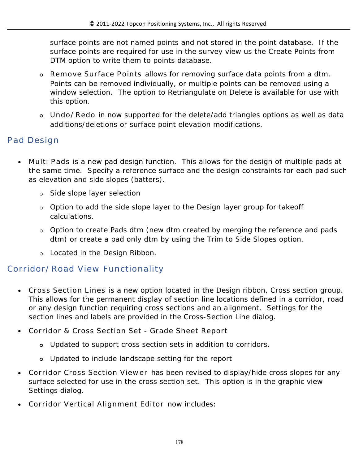surface points are not named points and not stored in the point database. If the surface points are required for use in the survey view us the Create Points from DTM option to write them to points database.

- **o Remove Surface Points** allows for removing surface data points from a dtm. Points can be removed individually, or multiple points can be removed using a window selection. The option to Retriangulate on Delete is available for use with this option.
- **o Undo/Redo** in now supported for the delete/add triangles options as well as data additions/deletions or surface point elevation modifications.

# **Pad Design**

- **Multi Pads** is a new pad design function. This allows for the design of multiple pads at the same time. Specify a reference surface and the design constraints for each pad such as elevation and side slopes (batters).
	- o Side slope layer selection
	- o Option to add the side slope layer to the Design layer group for takeoff calculations.
	- o Option to create Pads dtm (new dtm created by merging the reference and pads dtm) or create a pad only dtm by using the Trim to Side Slopes option.
	- o Located in the Design Ribbon.

## **Corridor/Road View Functionality**

- **Cross Section Lines** is a new option located in the Design ribbon, Cross section group. This allows for the permanent display of section line locations defined in a corridor, road or any design function requiring cross sections and an alignment. Settings for the section lines and labels are provided in the Cross-Section Line dialog.
- **Corridor & Cross Section Set Grade Sheet Report** 
	- **o** Updated to support cross section sets in addition to corridors.
	- **o** Updated to include landscape setting for the report
- **Corridor Cross Section Viewer** has been revised to display/hide cross slopes for any surface selected for use in the cross section set. This option is in the graphic view Settings dialog.
- **Corridor Vertical Alignment Editor** now includes: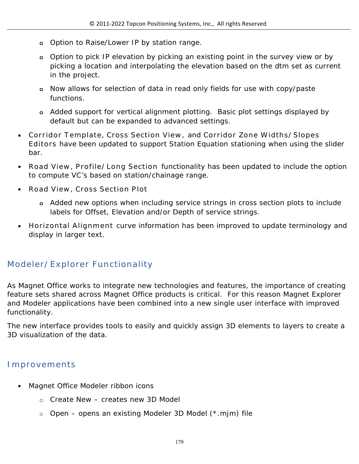- **o** Option to Raise/Lower IP by station range.
- **o** Option to pick IP elevation by picking an existing point in the survey view or by picking a location and interpolating the elevation based on the dtm set as current in the project.
- **o** Now allows for selection of data in read only fields for use with copy/paste functions.
- **o** Added support for vertical alignment plotting. Basic plot settings displayed by default but can be expanded to advanced settings.
- **Corridor Template, Cross Section View,** and **Corridor Zone Widths/Slopes Editors** have been updated to support Station Equation stationing when using the slider bar.
- **Road View, Profile/Long Section** functionality has been updated to include the option to compute VC's based on station/chainage range.
- **Road View, Cross Section Plot** 
	- **o** Added new options when including service strings in cross section plots to include labels for Offset, Elevation and/or Depth of service strings.
- **Horizontal Alignment** curve information has been improved to update terminology and display in larger text.

# **Modeler/Explorer Functionality**

As Magnet Office works to integrate new technologies and features, the importance of creating feature sets shared across Magnet Office products is critical. For this reason Magnet Explorer and Modeler applications have been combined into a new single user interface with improved functionality.

The new interface provides tools to easily and quickly assign 3D elements to layers to create a 3D visualization of the data.

## **Improvements**

- Magnet Office Modeler ribbon icons
	- o Create New creates new 3D Model
	- o Open opens an existing Modeler 3D Model (\*.mjm) file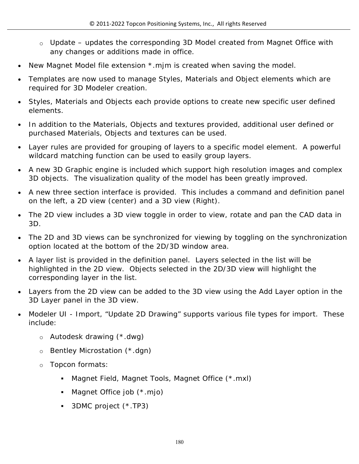- o Update updates the corresponding 3D Model created from Magnet Office with any changes or additions made in office.
- New Magnet Model file extension  $*$  mjm is created when saving the model.
- Templates are now used to manage Styles, Materials and Object elements which are required for 3D Modeler creation.
- Styles, Materials and Objects each provide options to create new specific user defined elements.
- In addition to the Materials, Objects and textures provided, additional user defined or purchased Materials, Objects and textures can be used.
- Layer rules are provided for grouping of layers to a specific model element. A powerful wildcard matching function can be used to easily group layers.
- A new 3D Graphic engine is included which support high resolution images and complex 3D objects. The visualization quality of the model has been greatly improved.
- A new three section interface is provided. This includes a command and definition panel on the left, a 2D view (center) and a 3D view (Right).
- The 2D view includes a 3D view toggle in order to view, rotate and pan the CAD data in 3D.
- The 2D and 3D views can be synchronized for viewing by toggling on the synchronization option located at the bottom of the 2D/3D window area.
- A layer list is provided in the definition panel. Layers selected in the list will be highlighted in the 2D view. Objects selected in the 2D/3D view will highlight the corresponding layer in the list.
- Layers from the 2D view can be added to the 3D view using the Add Layer option in the 3D Layer panel in the 3D view.
- Modeler UI Import, "Update 2D Drawing" supports various file types for import. These include:
	- o Autodesk drawing (\*.dwg)
	- o Bentley Microstation (\*.dgn)
	- o Topcon formats:
		- Magnet Field, Magnet Tools, Magnet Office (\*.mxl)
		- Magnet Office job (\*.mjo)
		- 3DMC project (\*.TP3)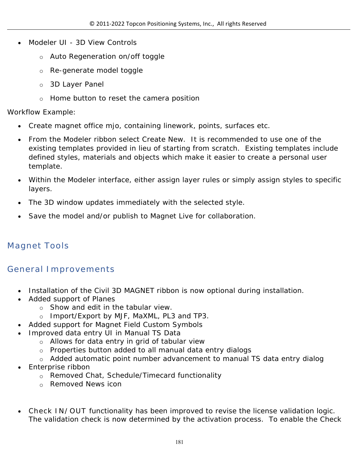- Modeler UI 3D View Controls
	- o Auto Regeneration on/off toggle
	- o Re-generate model toggle
	- o 3D Layer Panel
	- o Home button to reset the camera position

#### Workflow Example:

- Create magnet office mjo, containing linework, points, surfaces etc.
- From the Modeler ribbon select Create New. It is recommended to use one of the existing templates provided in lieu of starting from scratch. Existing templates include defined styles, materials and objects which make it easier to create a personal user template.
- Within the Modeler interface, either assign layer rules or simply assign styles to specific layers.
- The 3D window updates immediately with the selected style.
- Save the model and/or publish to Magnet Live for collaboration.

# **Magnet Tools**

### **General Improvements**

- Installation of the Civil 3D MAGNET ribbon is now optional during installation.
- Added support of Planes
	- o Show and edit in the tabular view.
	- o Import/Export by MJF, MaXML, PL3 and TP3.
- Added support for Magnet Field Custom Symbols
- Improved data entry UI in Manual TS Data
	- o Allows for data entry in grid of tabular view
	- o Properties button added to all manual data entry dialogs
	- o Added automatic point number advancement to manual TS data entry dialog
- Enterprise ribbon
	- o Removed Chat, Schedule/Timecard functionality
	- o Removed News icon
- **Check IN/OUT** functionality has been improved to revise the license validation logic. The validation check is now determined by the activation process. To enable the Check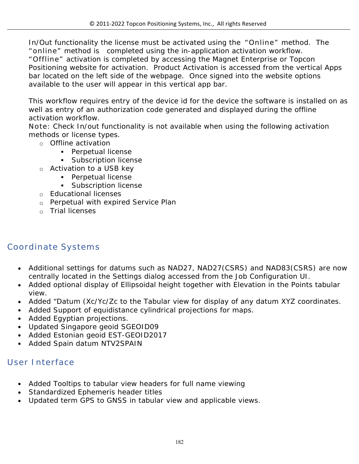In/Out functionality the license must be activated using the **"Online"** method. The **"online"** method is completed using the in-application activation workflow. **"Offline"** activation is completed by accessing the Magnet Enterprise or Topcon Positioning website for activation. Product Activation is accessed from the vertical Apps bar located on the left side of the webpage. Once signed into the website options available to the user will appear in this vertical app bar.

This workflow requires entry of the device id for the device the software is installed on as well as entry of an authorization code generated and displayed during the offline activation workflow.

**Note:** Check In/out functionality is not available when using the following activation methods or license types.

- o Offline activation
	- **Perpetual license**
	- **Subscription license**
- o Activation to a USB key
	- **Perpetual license**
	- **Subscription license**
- o Educational licenses
- o Perpetual with expired Service Plan
- o Trial licenses

# **Coordinate Systems**

- Additional settings for datums such as NAD27, NAD27(CSRS) and NAD83(CSRS) are now centrally located in the Settings dialog accessed from the Job Configuration UI.
- Added optional display of Ellipsoidal height together with Elevation in the Points tabular view.
- Added "Datum (Xc/Yc/Zc to the Tabular view for display of any datum XYZ coordinates.
- Added Support of equidistance cylindrical projections for maps.
- Added Egyptian projections.
- Updated Singapore geoid SGEOID09
- Added Estonian geoid EST-GEOID2017
- Added Spain datum NTV2SPAIN

## **User Interface**

- Added Tooltips to tabular view headers for full name viewing
- Standardized Ephemeris header titles
- Updated term GPS to GNSS in tabular view and applicable views.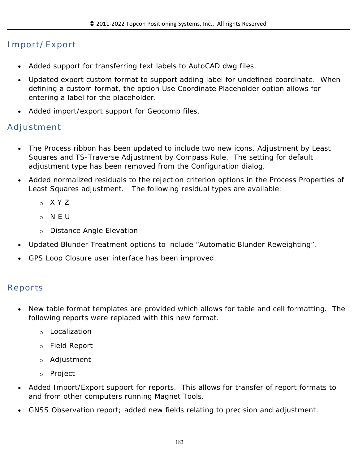# **Import/Export**

- Added support for transferring text labels to AutoCAD dwg files.
- Updated export custom format to support adding label for undefined coordinate. When defining a custom format, the option Use Coordinate Placeholder option allows for entering a label for the placeholder.
- Added import/export support for Geocomp files.

## **Adjustment**

- The Process ribbon has been updated to include two new icons, Adjustment by Least Squares and TS-Traverse Adjustment by Compass Rule. The setting for default adjustment type has been removed from the Configuration dialog.
- Added normalized residuals to the rejection criterion options in the Process Properties of Least Squares adjustment. The following residual types are available:
	- o X Y Z
	- o N E U
	- o Distance Angle Elevation
- Updated Blunder Treatment options to include "Automatic Blunder Reweighting".
- GPS Loop Closure user interface has been improved.

# **Reports**

- New table format templates are provided which allows for table and cell formatting. The following reports were replaced with this new format.
	- o Localization
	- o Field Report
	- o Adjustment
	- o Project
- Added Import/Export support for reports. This allows for transfer of report formats to and from other computers running Magnet Tools.
- GNSS Observation report; added new fields relating to precision and adjustment.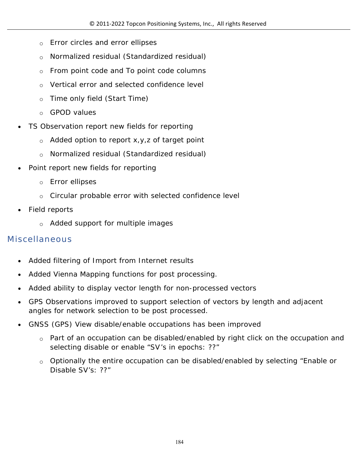- o Error circles and error ellipses
- o Normalized residual (Standardized residual)
- $\circ$  From point code and To point code columns
- o Vertical error and selected confidence level
- o Time only field (Start Time)
- o GPOD values
- TS Observation report new fields for reporting
	- $\circ$  Added option to report x, y, z of target point
	- o Normalized residual (Standardized residual)
- Point report new fields for reporting
	- o Error ellipses
	- o Circular probable error with selected confidence level
- Field reports
	- o Added support for multiple images

# **Miscellaneous**

- Added filtering of Import from Internet results
- Added Vienna Mapping functions for post processing.
- Added ability to display vector length for non-processed vectors
- GPS Observations improved to support selection of vectors by length and adjacent angles for network selection to be post processed.
- GNSS (GPS) View disable/enable occupations has been improved
	- o Part of an occupation can be disabled/enabled by right click on the occupation and selecting disable or enable "SV's in epochs: ??"
	- $\circ$  Optionally the entire occupation can be disabled/enabled by selecting "Enable or Disable SV's: ??"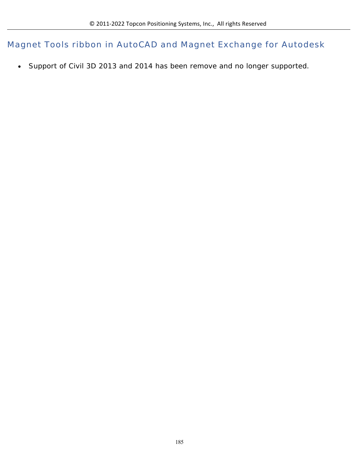**Magnet Tools ribbon in AutoCAD and Magnet Exchange for Autodesk**

Support of Civil 3D 2013 and 2014 has been remove and no longer supported.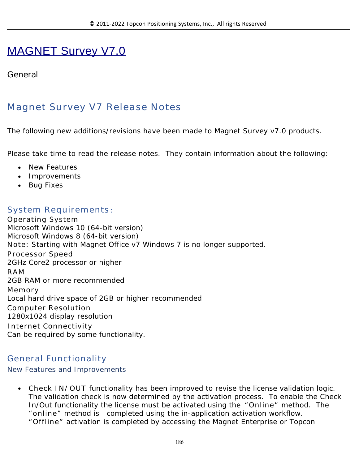# MAGNET Survey V7.0

#### **General**

# **Magnet Survey V7 Release Notes**

The following new additions/revisions have been made to Magnet Survey v7.0 products.

Please take time to read the release notes. They contain information about the following:

- New Features
- Improvements
- Bug Fixes

#### **System Requirements**:

**Operating System** Microsoft Windows 10 (64-bit version) Microsoft Windows 8 (64-bit version) **Note:** Starting with Magnet Office v7 Windows 7 is no longer supported. **Processor Speed** 2GHz Core2 processor or higher **RAM** 2GB RAM or more recommended **Memory** Local hard drive space of 2GB or higher recommended **Computer Resolution** 1280x1024 display resolution **Internet Connectivity** Can be required by some functionality.

#### **General Functionality**

#### New Features and Improvements

 **Check IN/OUT** functionality has been improved to revise the license validation logic. The validation check is now determined by the activation process. To enable the Check In/Out functionality the license must be activated using the **"Online"** method. The **"online"** method is completed using the in-application activation workflow. **"Offline"** activation is completed by accessing the Magnet Enterprise or Topcon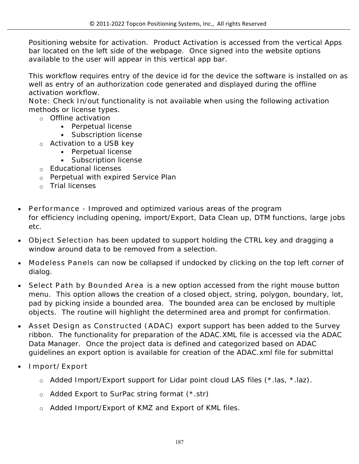Positioning website for activation. Product Activation is accessed from the vertical Apps bar located on the left side of the webpage. Once signed into the website options available to the user will appear in this vertical app bar.

This workflow requires entry of the device id for the device the software is installed on as well as entry of an authorization code generated and displayed during the offline activation workflow.

**Note:** Check In/out functionality is not available when using the following activation methods or license types.

- o Offline activation
	- **Perpetual license**
	- **Subscription license**
- o Activation to a USB key
	- **Perpetual license** 
		- **Subscription license**
- o Educational licenses
- o Perpetual with expired Service Plan
- o Trial licenses
- **Performance** Improved and optimized various areas of the program for efficiency including opening, import/Export, Data Clean up, DTM functions, large jobs etc.
- **Object Selection** has been updated to support holding the CTRL key and dragging a window around data to be removed from a selection.
- **Modeless Panels** can now be collapsed if undocked by clicking on the top left corner of dialog.
- **Select Path by Bounded Area** is a new option accessed from the right mouse button menu. This option allows the creation of a closed object, string, polygon, boundary, lot, pad by picking inside a bounded area. The bounded area can be enclosed by multiple objects. The routine will highlight the determined area and prompt for confirmation.
- **Asset Design as Constructed (ADAC)** export support has been added to the Survey ribbon. The functionality for preparation of the ADAC.XML file is accessed via the ADAC Data Manager. Once the project data is defined and categorized based on ADAC guidelines an export option is available for creation of the ADAC.xml file for submittal
- **Import/Export**
	- o Added Import/Export support for Lidar point cloud LAS files (\*.las, \*.laz).
	- o Added Export to SurPac string format (\*.str)
	- o Added Import/Export of KMZ and Export of KML files.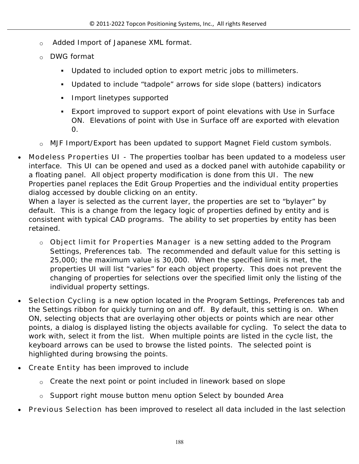- o Added Import of Japanese XML format.
- o DWG format
	- Updated to included option to export metric jobs to millimeters.
	- Updated to include "tadpole" arrows for side slope (batters) indicators
	- **Import linetypes supported**
	- Export improved to support export of point elevations with Use in Surface ON. Elevations of point with Use in Surface off are exported with elevation 0.
- o MJF Import/Export has been updated to support Magnet Field custom symbols.
- **Modeless Properties UI** The properties toolbar has been updated to a modeless user interface. This UI can be opened and used as a docked panel with autohide capability or a floating panel. All object property modification is done from this UI. The new Properties panel replaces the Edit Group Properties and the individual entity properties dialog accessed by double clicking on an entity.

When a layer is selected as the current layer, the properties are set to "bylayer" by default. This is a change from the legacy logic of properties defined by entity and is consistent with typical CAD programs. The ability to set properties by entity has been retained.

- o **Object limit for Properties Manager** is a new setting added to the Program Settings, Preferences tab. The recommended and default value for this setting is 25,000; the maximum value is 30,000. When the specified limit is met, the properties UI will list "varies" for each object property. This does not prevent the changing of properties for selections over the specified limit only the listing of the individual property settings.
- **Selection Cycling** is a new option located in the Program Settings, Preferences tab and the Settings ribbon for quickly turning on and off. By default, this setting is on. When ON, selecting objects that are overlaying other objects or points which are near other points, a dialog is displayed listing the objects available for cycling. To select the data to work with, select it from the list. When multiple points are listed in the cycle list, the keyboard arrows can be used to browse the listed points. The selected point is highlighted during browsing the points.
- **Create Entity** has been improved to include
	- $\circ$  Create the next point or point included in linework based on slope
	- o Support right mouse button menu option Select by bounded Area
- **Previous Selection** has been improved to reselect all data included in the last selection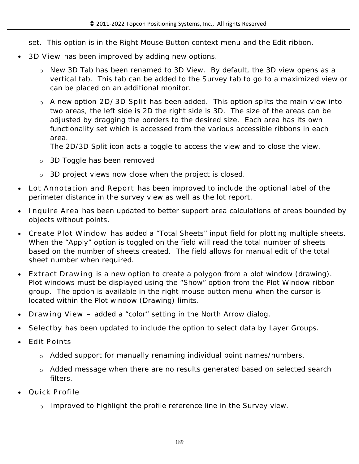set. This option is in the Right Mouse Button context menu and the Edit ribbon.

- **3D View** has been improved by adding new options.
	- o New 3D Tab has been renamed to 3D View. By default, the 3D view opens as a vertical tab. This tab can be added to the Survey tab to go to a maximized view or can be placed on an additional monitor.
	- o A new option **2D/3D Split** has been added. This option splits the main view into two areas, the left side is 2D the right side is 3D. The size of the areas can be adjusted by dragging the borders to the desired size. Each area has its own functionality set which is accessed from the various accessible ribbons in each area.

The 2D/3D Split icon acts a toggle to access the view and to close the view.

- o 3D Toggle has been removed
- o 3D project views now close when the project is closed.
- **Lot Annotation and Report** has been improved to include the optional label of the perimeter distance in the survey view as well as the lot report.
- **Inquire Area** has been updated to better support area calculations of areas bounded by objects without points.
- **Create Plot Window** has added a "Total Sheets" input field for plotting multiple sheets. When the "Apply" option is toggled on the field will read the total number of sheets based on the number of sheets created. The field allows for manual edit of the total sheet number when required.
- **Extract Drawing** is a new option to create a polygon from a plot window (drawing). Plot windows must be displayed using the "Show" option from the Plot Window ribbon group. The option is available in the right mouse button menu when the cursor is located within the Plot window (Drawing) limits.
- **Drawing View –** added a "color" setting in the North Arrow dialog.
- **Selectby** has been updated to include the option to select data by Layer Groups.
- **Edit Points** 
	- o Added support for manually renaming individual point names/numbers.
	- o Added message when there are no results generated based on selected search filters.
- **Quick Profile** 
	- $\circ$  Improved to highlight the profile reference line in the Survey view.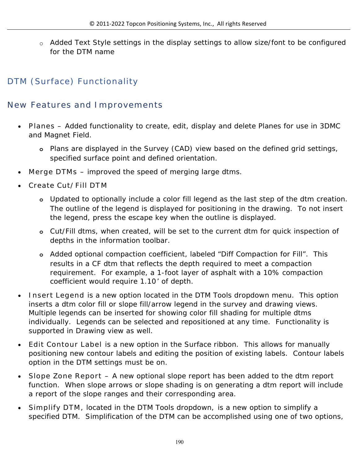o Added Text Style settings in the display settings to allow size/font to be configured for the DTM name

# **DTM (Surface) Functionality**

### **New Features and Improvements**

- **Planes –** Added functionality to create, edit, display and delete Planes for use in 3DMC and Magnet Field.
	- **o** Plans are displayed in the Survey (CAD) view based on the defined grid settings, specified surface point and defined orientation.
- **Merge DTMs** improved the speed of merging large dtms.
- **Create Cut/Fill DTM** 
	- **o** Updated to optionally include a color fill legend as the last step of the dtm creation. The outline of the legend is displayed for positioning in the drawing. To not insert the legend, press the escape key when the outline is displayed.
	- **o** Cut/Fill dtms, when created, will be set to the current dtm for quick inspection of depths in the information toolbar.
	- **o** Added optional compaction coefficient, labeled "Diff Compaction for Fill". This results in a CF dtm that reflects the depth required to meet a compaction requirement. For example, a 1-foot layer of asphalt with a 10% compaction coefficient would require 1.10' of depth.
- **Insert Legend** is a new option located in the DTM Tools dropdown menu. This option inserts a dtm color fill or slope fill/arrow legend in the survey and drawing views. Multiple legends can be inserted for showing color fill shading for multiple dtms individually. Legends can be selected and repositioned at any time. Functionality is supported in Drawing view as well.
- **Edit Contour Label** is a new option in the Surface ribbon. This allows for manually positioning new contour labels and editing the position of existing labels. Contour labels option in the DTM settings must be on.
- **Slope Zone Report –** A new optional slope report has been added to the dtm report function. When slope arrows or slope shading is on generating a dtm report will include a report of the slope ranges and their corresponding area.
- **Simplify DTM,** located in the DTM Tools dropdown, is a new option to simplify a specified DTM. Simplification of the DTM can be accomplished using one of two options,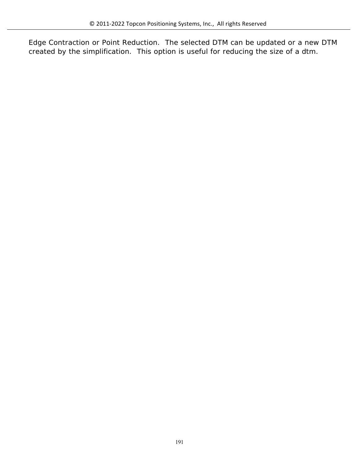Edge Contraction or Point Reduction. The selected DTM can be updated or a new DTM created by the simplification. This option is useful for reducing the size of a dtm.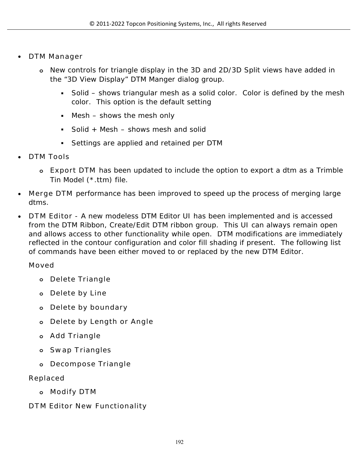- **DTM Manager**
	- **o** New controls for triangle display in the 3D and 2D/3D Split views have added in the "3D View Display" DTM Manger dialog group.
		- Solid shows triangular mesh as a solid color. Color is defined by the mesh color. This option is the default setting
		- Mesh shows the mesh only
		- Solid + Mesh  $-$  shows mesh and solid
		- Settings are applied and retained per DTM
- **DTM Tools**
	- **o Export DTM** has been updated to include the option to export a dtm as a Trimble Tin Model (\*.ttm) file.
- **Merge DTM** performance has been improved to speed up the process of merging large dtms.
- **DTM Editor** A new modeless DTM Editor UI has been implemented and is accessed from the DTM Ribbon, Create/Edit DTM ribbon group. This UI can always remain open and allows access to other functionality while open. DTM modifications are immediately reflected in the contour configuration and color fill shading if present. The following list of commands have been either moved to or replaced by the new DTM Editor.

#### **Moved**

- **o Delete Triangle**
- **o Delete by Line**
- **o Delete by boundary**
- **o Delete by Length or Angle**
- **o Add Triangle**
- **o Swap Triangles**
- **o Decompose Triangle**

#### **Replaced**

**o Modify DTM**

#### **DTM Editor New Functionality**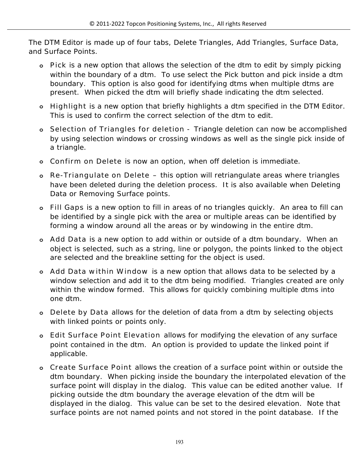The DTM Editor is made up of four tabs, Delete Triangles, Add Triangles, Surface Data, and Surface Points.

- **o Pick** is a new option that allows the selection of the dtm to edit by simply picking within the boundary of a dtm. To use select the Pick button and pick inside a dtm boundary. This option is also good for identifying dtms when multiple dtms are present. When picked the dtm will briefly shade indicating the dtm selected.
- **o Highlight** is a new option that briefly highlights a dtm specified in the DTM Editor. This is used to confirm the correct selection of the dtm to edit.
- **o Selection of Triangles for deletion** Triangle deletion can now be accomplished by using selection windows or crossing windows as well as the single pick inside of a triangle.
- **o Confirm on Delete** is now an option, when off deletion is immediate.
- **o Re-Triangulate on Delete –** this option will retriangulate areas where triangles have been deleted during the deletion process. It is also available when Deleting Data or Removing Surface points.
- **o Fill Gaps** is a new option to fill in areas of no triangles quickly. An area to fill can be identified by a single pick with the area or multiple areas can be identified by forming a window around all the areas or by windowing in the entire dtm.
- **o Add Data** is a new option to add within or outside of a dtm boundary. When an object is selected, such as a string, line or polygon, the points linked to the object are selected and the breakline setting for the object is used.
- **o Add Data within Window** is a new option that allows data to be selected by a window selection and add it to the dtm being modified. Triangles created are only within the window formed. This allows for quickly combining multiple dtms into one dtm.
- **o Delete by Data** allows for the deletion of data from a dtm by selecting objects with linked points or points only.
- **o Edit Surface Point Elevation** allows for modifying the elevation of any surface point contained in the dtm. An option is provided to update the linked point if applicable.
- **o Create Surface Point** allows the creation of a surface point within or outside the dtm boundary. When picking inside the boundary the interpolated elevation of the surface point will display in the dialog. This value can be edited another value. If picking outside the dtm boundary the average elevation of the dtm will be displayed in the dialog. This value can be set to the desired elevation. Note that surface points are not named points and not stored in the point database. If the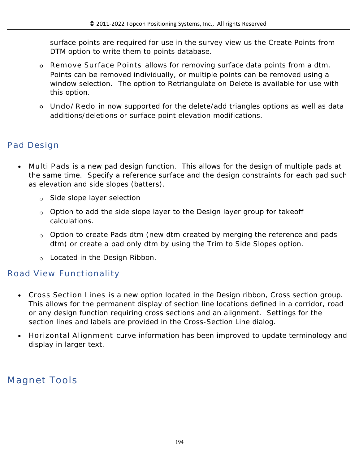surface points are required for use in the survey view us the Create Points from DTM option to write them to points database.

- **o Remove Surface Points** allows for removing surface data points from a dtm. Points can be removed individually, or multiple points can be removed using a window selection. The option to Retriangulate on Delete is available for use with this option.
- **o Undo/Redo** in now supported for the delete/add triangles options as well as data additions/deletions or surface point elevation modifications.

# **Pad Design**

- **Multi Pads** is a new pad design function. This allows for the design of multiple pads at the same time. Specify a reference surface and the design constraints for each pad such as elevation and side slopes (batters).
	- o Side slope layer selection
	- $\circ$  Option to add the side slope layer to the Design layer group for takeoff calculations.
	- o Option to create Pads dtm (new dtm created by merging the reference and pads dtm) or create a pad only dtm by using the Trim to Side Slopes option.
	- o Located in the Design Ribbon.

## **Road View Functionality**

- **Cross Section Lines** is a new option located in the Design ribbon, Cross section group. This allows for the permanent display of section line locations defined in a corridor, road or any design function requiring cross sections and an alignment. Settings for the section lines and labels are provided in the Cross-Section Line dialog.
- **Horizontal Alignment** curve information has been improved to update terminology and display in larger text.

# **Magnet Tools**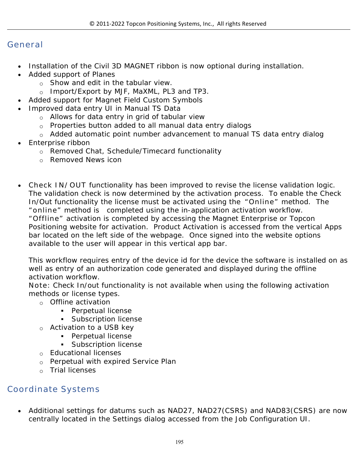#### **General**

- Installation of the Civil 3D MAGNET ribbon is now optional during installation.
- Added support of Planes
	- o Show and edit in the tabular view.
	- o Import/Export by MJF, MaXML, PL3 and TP3.
- Added support for Magnet Field Custom Symbols
- Improved data entry UI in Manual TS Data
	- o Allows for data entry in grid of tabular view
	- o Properties button added to all manual data entry dialogs
	- o Added automatic point number advancement to manual TS data entry dialog
- Enterprise ribbon
	- o Removed Chat, Schedule/Timecard functionality
	- o Removed News icon
- **Check IN/OUT** functionality has been improved to revise the license validation logic. The validation check is now determined by the activation process. To enable the Check In/Out functionality the license must be activated using the **"Online"** method. The **"online"** method is completed using the in-application activation workflow. **"Offline"** activation is completed by accessing the Magnet Enterprise or Topcon Positioning website for activation. Product Activation is accessed from the vertical Apps bar located on the left side of the webpage. Once signed into the website options available to the user will appear in this vertical app bar.

This workflow requires entry of the device id for the device the software is installed on as well as entry of an authorization code generated and displayed during the offline activation workflow.

**Note:** Check In/out functionality is not available when using the following activation methods or license types.

- o Offline activation
	- **Perpetual license**
	- **Subscription license**
- o Activation to a USB key
	- **Perpetual license**
	- **Subscription license**
- o Educational licenses
- o Perpetual with expired Service Plan
- o Trial licenses

## **Coordinate Systems**

 Additional settings for datums such as NAD27, NAD27(CSRS) and NAD83(CSRS) are now centrally located in the Settings dialog accessed from the Job Configuration UI.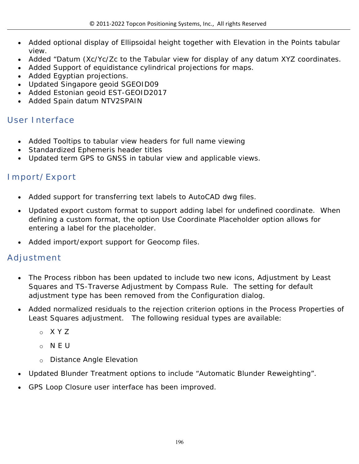- Added optional display of Ellipsoidal height together with Elevation in the Points tabular view.
- Added "Datum (Xc/Yc/Zc to the Tabular view for display of any datum XYZ coordinates.
- Added Support of equidistance cylindrical projections for maps.
- Added Egyptian projections.
- Updated Singapore geoid SGEOID09
- Added Estonian geoid EST-GEOID2017
- Added Spain datum NTV2SPAIN

# **User Interface**

- Added Tooltips to tabular view headers for full name viewing
- Standardized Ephemeris header titles
- Updated term GPS to GNSS in tabular view and applicable views.

# **Import/Export**

- Added support for transferring text labels to AutoCAD dwg files.
- Updated export custom format to support adding label for undefined coordinate. When defining a custom format, the option Use Coordinate Placeholder option allows for entering a label for the placeholder.
- Added import/export support for Geocomp files.

## **Adjustment**

- The Process ribbon has been updated to include two new icons, Adjustment by Least Squares and TS-Traverse Adjustment by Compass Rule. The setting for default adjustment type has been removed from the Configuration dialog.
- Added normalized residuals to the rejection criterion options in the Process Properties of Least Squares adjustment. The following residual types are available:
	- o X Y Z
	- o N E U
	- o Distance Angle Elevation
- Updated Blunder Treatment options to include "Automatic Blunder Reweighting".
- GPS Loop Closure user interface has been improved.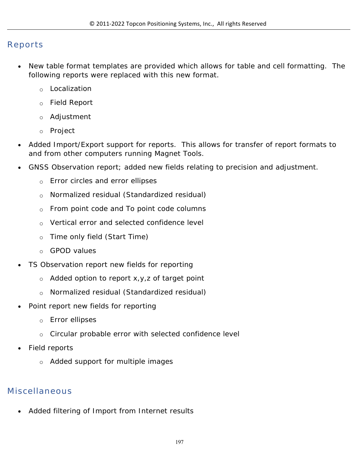#### **Reports**

- New table format templates are provided which allows for table and cell formatting. The following reports were replaced with this new format.
	- o Localization
	- o Field Report
	- o Adjustment
	- o Project
- Added Import/Export support for reports. This allows for transfer of report formats to and from other computers running Magnet Tools.
- GNSS Observation report; added new fields relating to precision and adjustment.
	- o Error circles and error ellipses
	- o Normalized residual (Standardized residual)
	- o From point code and To point code columns
	- o Vertical error and selected confidence level
	- o Time only field (Start Time)
	- o GPOD values
- TS Observation report new fields for reporting
	- o Added option to report x,y,z of target point
	- o Normalized residual (Standardized residual)
- Point report new fields for reporting
	- o Error ellipses
	- o Circular probable error with selected confidence level
- Field reports
	- o Added support for multiple images

# **Miscellaneous**

Added filtering of Import from Internet results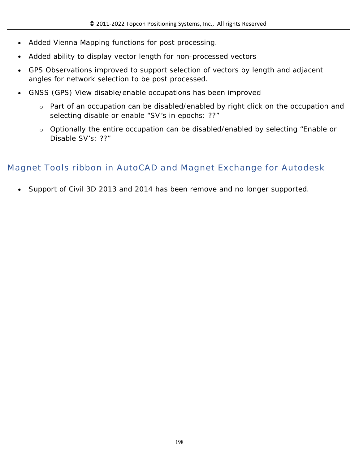- Added Vienna Mapping functions for post processing.
- Added ability to display vector length for non-processed vectors
- GPS Observations improved to support selection of vectors by length and adjacent angles for network selection to be post processed.
- GNSS (GPS) View disable/enable occupations has been improved
	- o Part of an occupation can be disabled/enabled by right click on the occupation and selecting disable or enable "SV's in epochs: ??"
	- o Optionally the entire occupation can be disabled/enabled by selecting "Enable or Disable SV's: ??"

# **Magnet Tools ribbon in AutoCAD and Magnet Exchange for Autodesk**

Support of Civil 3D 2013 and 2014 has been remove and no longer supported.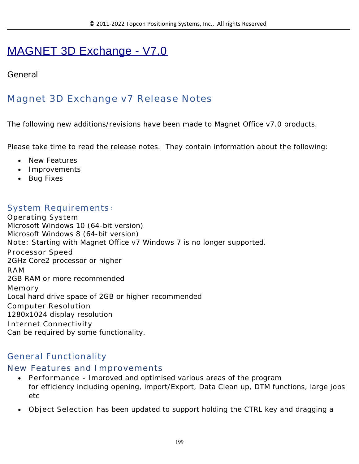# MAGNET 3D Exchange - V7.0

### **General**

# **Magnet 3D Exchange v7 Release Notes**

The following new additions/revisions have been made to Magnet Office v7.0 products.

Please take time to read the release notes. They contain information about the following:

- New Features
- Improvements
- Bug Fixes

#### **System Requirements**:

**Operating System** Microsoft Windows 10 (64-bit version) Microsoft Windows 8 (64-bit version) **Note:** Starting with Magnet Office v7 Windows 7 is no longer supported. **Processor Speed** 2GHz Core2 processor or higher **RAM** 2GB RAM or more recommended **Memory** Local hard drive space of 2GB or higher recommended **Computer Resolution** 1280x1024 display resolution **Internet Connectivity** Can be required by some functionality.

### **General Functionality**

### **New Features and Improvements**

- **Performance** Improved and optimised various areas of the program for efficiency including opening, import/Export, Data Clean up, DTM functions, large jobs etc
- **Object Selection** has been updated to support holding the CTRL key and dragging a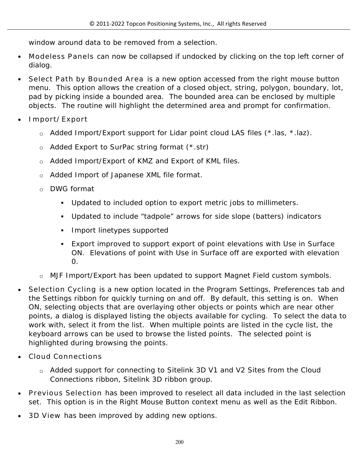window around data to be removed from a selection.

- **Modeless Panels** can now be collapsed if undocked by clicking on the top left corner of dialog.
- **Select Path by Bounded Area** is a new option accessed from the right mouse button menu. This option allows the creation of a closed object, string, polygon, boundary, lot, pad by picking inside a bounded area. The bounded area can be enclosed by multiple objects. The routine will highlight the determined area and prompt for confirmation.
- **Import/Export**
	- o Added Import/Export support for Lidar point cloud LAS files (\*.las, \*.laz).
	- o Added Export to SurPac string format (\*.str)
	- o Added Import/Export of KMZ and Export of KML files.
	- o Added Import of Japanese XML file format.
	- o DWG format
		- Updated to included option to export metric jobs to millimeters.
		- Updated to include "tadpole" arrows for side slope (batters) indicators
		- **Import linetypes supported**
		- Export improved to support export of point elevations with Use in Surface ON. Elevations of point with Use in Surface off are exported with elevation  $\Omega$ .
	- o MJF Import/Export has been updated to support Magnet Field custom symbols.
- **Selection Cycling** is a new option located in the Program Settings, Preferences tab and the Settings ribbon for quickly turning on and off. By default, this setting is on. When ON, selecting objects that are overlaying other objects or points which are near other points, a dialog is displayed listing the objects available for cycling. To select the data to work with, select it from the list. When multiple points are listed in the cycle list, the keyboard arrows can be used to browse the listed points. The selected point is highlighted during browsing the points.
- **Cloud Connections**
	- o Added support for connecting to Sitelink 3D V1 and V2 Sites from the Cloud Connections ribbon, Sitelink 3D ribbon group.
- **Previous Selection** has been improved to reselect all data included in the last selection set. This option is in the Right Mouse Button context menu as well as the Edit Ribbon.
- **3D View** has been improved by adding new options.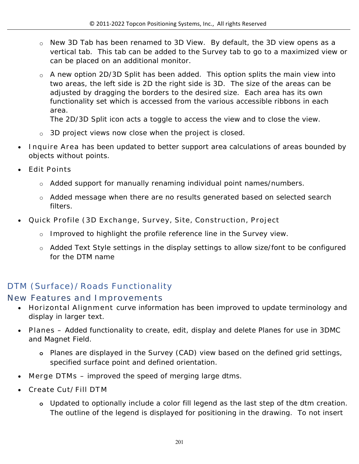- o New 3D Tab has been renamed to 3D View. By default, the 3D view opens as a vertical tab. This tab can be added to the Survey tab to go to a maximized view or can be placed on an additional monitor.
- $\circ$  A new option 2D/3D Split has been added. This option splits the main view into two areas, the left side is 2D the right side is 3D. The size of the areas can be adjusted by dragging the borders to the desired size. Each area has its own functionality set which is accessed from the various accessible ribbons in each area.

The 2D/3D Split icon acts a toggle to access the view and to close the view.

- o 3D project views now close when the project is closed.
- **Inquire Area** has been updated to better support area calculations of areas bounded by objects without points.
- **Edit Points** 
	- o Added support for manually renaming individual point names/numbers.
	- o Added message when there are no results generated based on selected search filters.
- **Quick Profile (3D Exchange, Survey, Site, Construction, Project**
	- o Improved to highlight the profile reference line in the Survey view.
	- o Added Text Style settings in the display settings to allow size/font to be configured for the DTM name

# **DTM (Surface)/Roads Functionality**

#### **New Features and Improvements**

- **Horizontal Alignment** curve information has been improved to update terminology and display in larger text.
- **Planes –** Added functionality to create, edit, display and delete Planes for use in 3DMC and Magnet Field.
	- **o** Planes are displayed in the Survey (CAD) view based on the defined grid settings, specified surface point and defined orientation.
- **Merge DTMs** improved the speed of merging large dtms.
- **Create Cut/Fill DTM** 
	- **o** Updated to optionally include a color fill legend as the last step of the dtm creation. The outline of the legend is displayed for positioning in the drawing. To not insert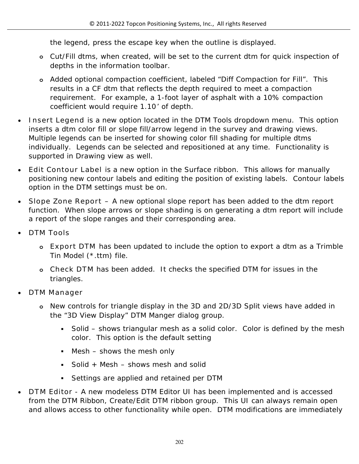the legend, press the escape key when the outline is displayed.

- **o** Cut/Fill dtms, when created, will be set to the current dtm for quick inspection of depths in the information toolbar.
- **o** Added optional compaction coefficient, labeled "Diff Compaction for Fill". This results in a CF dtm that reflects the depth required to meet a compaction requirement. For example, a 1-foot layer of asphalt with a 10% compaction coefficient would require 1.10' of depth.
- **Insert Legend** is a new option located in the DTM Tools dropdown menu. This option inserts a dtm color fill or slope fill/arrow legend in the survey and drawing views. Multiple legends can be inserted for showing color fill shading for multiple dtms individually. Legends can be selected and repositioned at any time. Functionality is supported in Drawing view as well.
- **Edit Contour Label** is a new option in the Surface ribbon. This allows for manually positioning new contour labels and editing the position of existing labels. Contour labels option in the DTM settings must be on.
- **Slope Zone Report –** A new optional slope report has been added to the dtm report function. When slope arrows or slope shading is on generating a dtm report will include a report of the slope ranges and their corresponding area.
- **DTM Tools**
	- **o Export DTM** has been updated to include the option to export a dtm as a Trimble Tin Model (\*.ttm) file.
	- **o Check DTM** has been added. It checks the specified DTM for issues in the triangles.
- **DTM Manager**
	- **o** New controls for triangle display in the 3D and 2D/3D Split views have added in the "3D View Display" DTM Manger dialog group.
		- Solid shows triangular mesh as a solid color. Color is defined by the mesh color. This option is the default setting
		- $M$  Mesh shows the mesh only
		- Solid + Mesh  $-$  shows mesh and solid
		- Settings are applied and retained per DTM
- **DTM Editor** A new modeless DTM Editor UI has been implemented and is accessed from the DTM Ribbon, Create/Edit DTM ribbon group. This UI can always remain open and allows access to other functionality while open. DTM modifications are immediately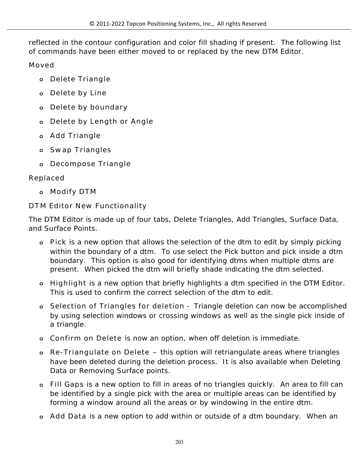reflected in the contour configuration and color fill shading if present. The following list of commands have been either moved to or replaced by the new DTM Editor.

**Moved**

- **o Delete Triangle**
- **o Delete by Line**
- **o Delete by boundary**
- **o Delete by Length or Angle**
- **o Add Triangle**
- **o Swap Triangles**
- **o Decompose Triangle**

### **Replaced**

**o Modify DTM**

### **DTM Editor New Functionality**

The DTM Editor is made up of four tabs, Delete Triangles, Add Triangles, Surface Data, and Surface Points.

- **o Pick** is a new option that allows the selection of the dtm to edit by simply picking within the boundary of a dtm. To use select the Pick button and pick inside a dtm boundary. This option is also good for identifying dtms when multiple dtms are present. When picked the dtm will briefly shade indicating the dtm selected.
- **o Highlight** is a new option that briefly highlights a dtm specified in the DTM Editor. This is used to confirm the correct selection of the dtm to edit.
- **o Selection of Triangles for deletion** Triangle deletion can now be accomplished by using selection windows or crossing windows as well as the single pick inside of a triangle.
- **o Confirm on Delete** is now an option, when off deletion is immediate.
- **o Re-Triangulate on Delete –** this option will retriangulate areas where triangles have been deleted during the deletion process. It is also available when Deleting Data or Removing Surface points.
- **o Fill Gaps** is a new option to fill in areas of no triangles quickly. An area to fill can be identified by a single pick with the area or multiple areas can be identified by forming a window around all the areas or by windowing in the entire dtm.
- **o Add Data** is a new option to add within or outside of a dtm boundary. When an